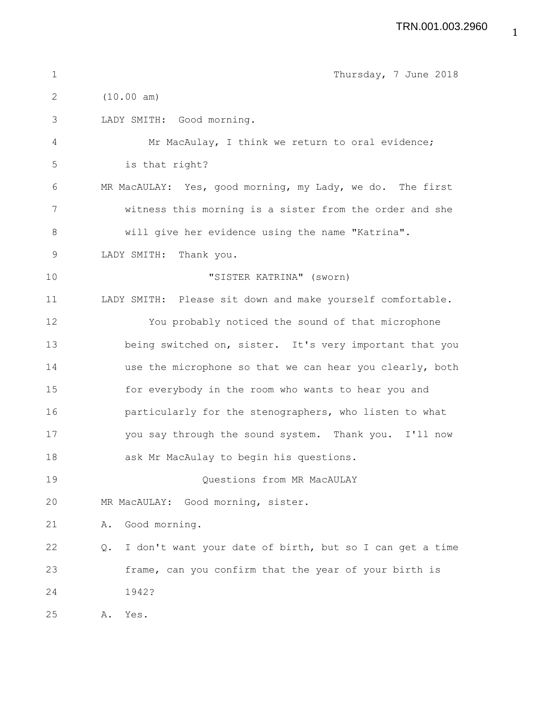| $\mathbf 1$ | Thursday, 7 June 2018                                          |
|-------------|----------------------------------------------------------------|
| 2           | (10.00 am)                                                     |
| 3           | LADY SMITH: Good morning.                                      |
| 4           | Mr MacAulay, I think we return to oral evidence;               |
| 5           | is that right?                                                 |
| 6           | MR MacAULAY: Yes, good morning, my Lady, we do. The first      |
| 7           | witness this morning is a sister from the order and she        |
| $8\,$       | will give her evidence using the name "Katrina".               |
| 9           | LADY SMITH: Thank you.                                         |
| 10          | "SISTER KATRINA" (sworn)                                       |
| 11          | LADY SMITH: Please sit down and make yourself comfortable.     |
| 12          | You probably noticed the sound of that microphone              |
| 13          | being switched on, sister. It's very important that you        |
| 14          | use the microphone so that we can hear you clearly, both       |
| 15          | for everybody in the room who wants to hear you and            |
| 16          | particularly for the stenographers, who listen to what         |
| 17          | you say through the sound system. Thank you. I'll now          |
| 18          | ask Mr MacAulay to begin his questions.                        |
| 19          | Questions from MR MacAULAY                                     |
| 20          | MR MacAULAY: Good morning, sister.                             |
| 21          | Good morning.<br>Α.                                            |
| 22          | I don't want your date of birth, but so I can get a time<br>Q. |
| 23          | frame, can you confirm that the year of your birth is          |
| 24          | 1942?                                                          |
| 25          | Yes.<br>Α.                                                     |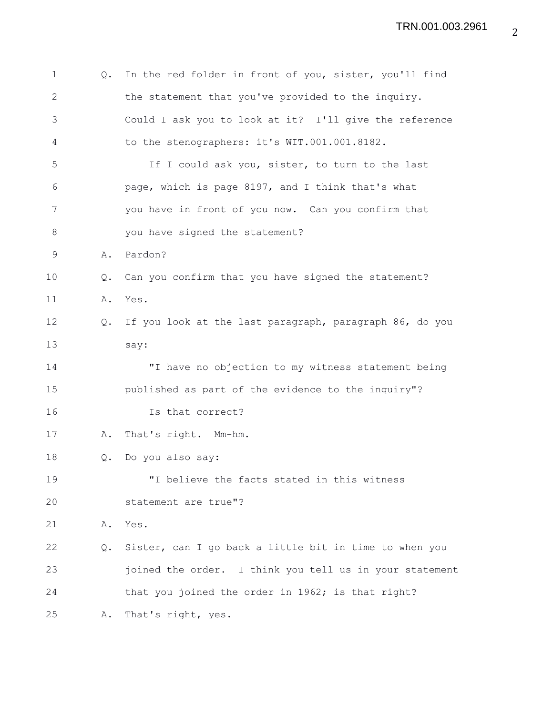| 1            | Q. | In the red folder in front of you, sister, you'll find  |
|--------------|----|---------------------------------------------------------|
| $\mathbf{2}$ |    | the statement that you've provided to the inquiry.      |
| 3            |    | Could I ask you to look at it? I'll give the reference  |
| 4            |    | to the stenographers: it's WIT.001.001.8182.            |
| 5            |    | If I could ask you, sister, to turn to the last         |
| 6            |    | page, which is page 8197, and I think that's what       |
| 7            |    | you have in front of you now. Can you confirm that      |
| 8            |    | you have signed the statement?                          |
| 9            | Α. | Pardon?                                                 |
| 10           | Q. | Can you confirm that you have signed the statement?     |
| 11           | Α. | Yes.                                                    |
| 12           | Q. | If you look at the last paragraph, paragraph 86, do you |
| 13           |    | say:                                                    |
| 14           |    | "I have no objection to my witness statement being      |
| 15           |    | published as part of the evidence to the inquiry"?      |
| 16           |    | Is that correct?                                        |
| 17           | Α. | That's right. Mm-hm.                                    |
| 18           | Q. | Do you also say:                                        |
| 19           |    | "I believe the facts stated in this witness             |
| 20           |    | statement are true"?                                    |
| 21           | Α. | Yes.                                                    |
| 22           | Q. | Sister, can I go back a little bit in time to when you  |
| 23           |    | joined the order. I think you tell us in your statement |
| 24           |    | that you joined the order in 1962; is that right?       |
| 25           | Α. | That's right, yes.                                      |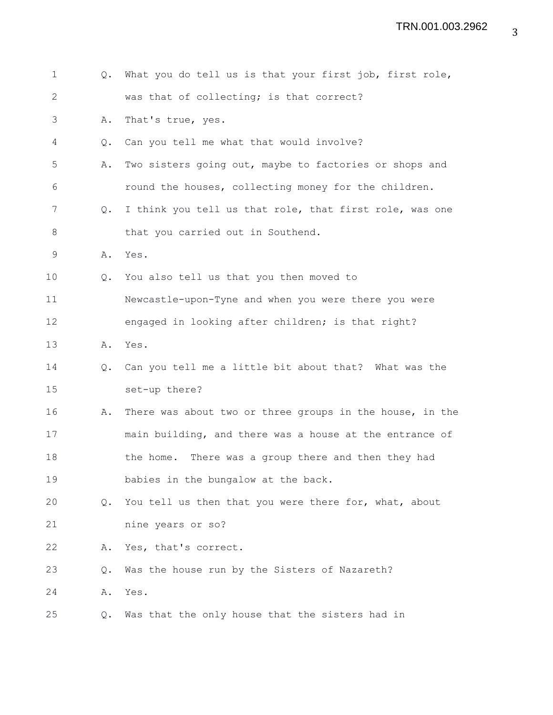| $\mathbf 1$  | Q.            | What you do tell us is that your first job, first role,  |
|--------------|---------------|----------------------------------------------------------|
| $\mathbf{2}$ |               | was that of collecting; is that correct?                 |
| 3            | Α.            | That's true, yes.                                        |
| 4            | $Q_{\bullet}$ | Can you tell me what that would involve?                 |
| 5            | Α.            | Two sisters going out, maybe to factories or shops and   |
| 6            |               | round the houses, collecting money for the children.     |
| 7            | $Q_{\bullet}$ | I think you tell us that role, that first role, was one  |
| 8            |               | that you carried out in Southend.                        |
| 9            |               | A. Yes.                                                  |
| 10           | $Q_{\bullet}$ | You also tell us that you then moved to                  |
| 11           |               | Newcastle-upon-Tyne and when you were there you were     |
| 12           |               | engaged in looking after children; is that right?        |
| 13           | Α.            | Yes.                                                     |
| 14           | Q.            | Can you tell me a little bit about that? What was the    |
| 15           |               | set-up there?                                            |
| 16           | Α.            | There was about two or three groups in the house, in the |
| 17           |               | main building, and there was a house at the entrance of  |
| 18           |               | the home. There was a group there and then they had      |
| 19           |               | babies in the bungalow at the back.                      |
| 20           | $Q_{\bullet}$ | You tell us then that you were there for, what, about    |
| 21           |               | nine years or so?                                        |
| 22           | Α.            | Yes, that's correct.                                     |
| 23           | Q.            | Was the house run by the Sisters of Nazareth?            |
| 24           | Α.            | Yes.                                                     |
| 25           | Q.            | Was that the only house that the sisters had in          |
|              |               |                                                          |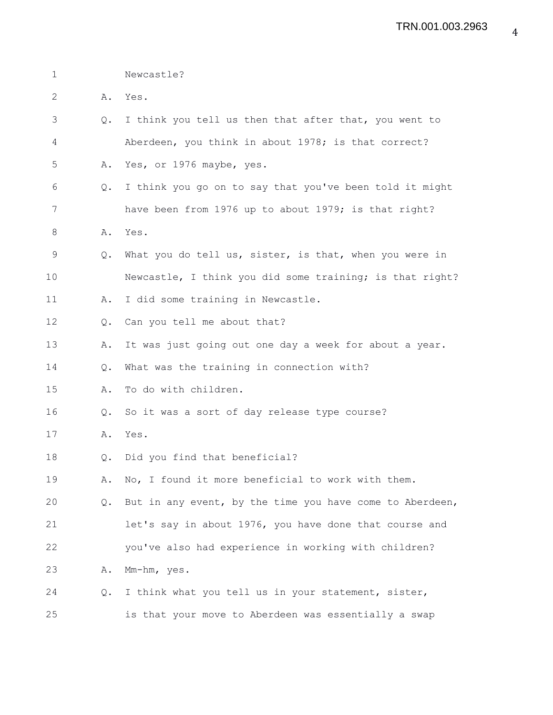1 Newcastle?

2 A. Yes.

3 Q. I think you tell us then that after that, you went to 4 Aberdeen, you think in about 1978; is that correct? 5 A. Yes, or 1976 maybe, yes. 6 Q. I think you go on to say that you've been told it might 7 have been from 1976 up to about 1979; is that right? 8 A. Yes. 9 Q. What you do tell us, sister, is that, when you were in 10 Newcastle, I think you did some training; is that right? 11 A. I did some training in Newcastle. 12 Q. Can you tell me about that? 13 A. It was just going out one day a week for about a year. 14 Q. What was the training in connection with? 15 A. To do with children. 16 Q. So it was a sort of day release type course? 17 A. Yes. 18 Q. Did you find that beneficial? 19 A. No, I found it more beneficial to work with them. 20 Q. But in any event, by the time you have come to Aberdeen, 21 let's say in about 1976, you have done that course and 22 you've also had experience in working with children? 23 A. Mm-hm, yes. 24 Q. I think what you tell us in your statement, sister, 25 is that your move to Aberdeen was essentially a swap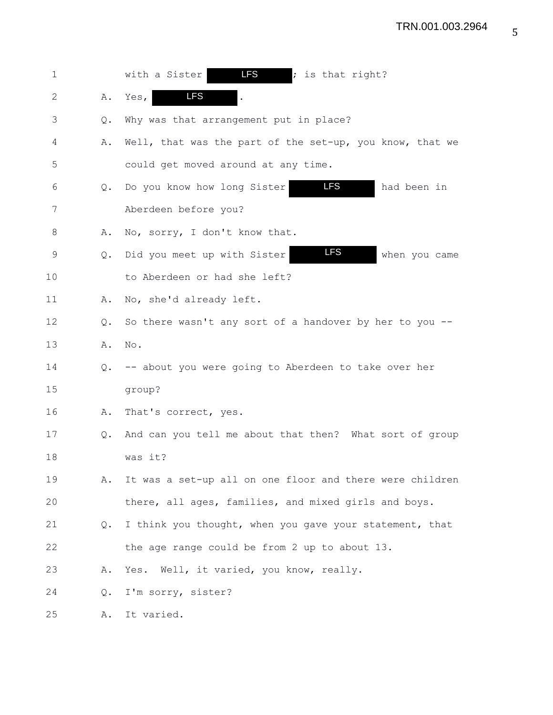| 1  |    | <b>LFS</b><br>with a Sister<br>; is that right?            |
|----|----|------------------------------------------------------------|
| 2  | Α. | <b>LFS</b><br>Yes,                                         |
| 3  | Q. | Why was that arrangement put in place?                     |
| 4  | Α. | Well, that was the part of the set-up, you know, that we   |
| 5  |    | could get moved around at any time.                        |
| 6  | Q. | <b>LFS</b><br>Do you know how long Sister<br>had been in   |
| 7  |    | Aberdeen before you?                                       |
| 8  | Α. | No, sorry, I don't know that.                              |
| 9  | Q. | <b>LFS</b><br>Did you meet up with Sister<br>when you came |
| 10 |    | to Aberdeen or had she left?                               |
| 11 | Α. | No, she'd already left.                                    |
| 12 | Q. | So there wasn't any sort of a handover by her to you --    |
| 13 | Α. | No.                                                        |
| 14 | Q. | -- about you were going to Aberdeen to take over her       |
| 15 |    | group?                                                     |
| 16 | Α. | That's correct, yes.                                       |
| 17 | Q. | And can you tell me about that then? What sort of group    |
| 18 |    | was it?                                                    |
| 19 | Α. | It was a set-up all on one floor and there were children   |
| 20 |    | there, all ages, families, and mixed girls and boys.       |
| 21 | Q. | I think you thought, when you gave your statement, that    |
| 22 |    | the age range could be from 2 up to about 13.              |
| 23 | Α. | Yes. Well, it varied, you know, really.                    |
| 24 | Q. | I'm sorry, sister?                                         |
| 25 | Α. | It varied.                                                 |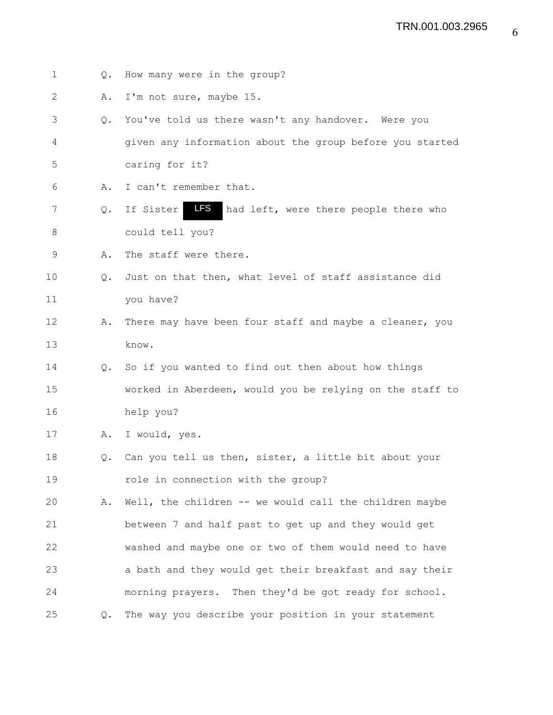| 1  | $Q_{\bullet}$ | How many were in the group?                               |
|----|---------------|-----------------------------------------------------------|
| 2  | Α.            | I'm not sure, maybe 15.                                   |
| 3  | $Q_{\bullet}$ | You've told us there wasn't any handover. Were you        |
| 4  |               | given any information about the group before you started  |
| 5  |               | caring for it?                                            |
| 6  | Α.            | I can't remember that.                                    |
| 7  | Q.            | LFS<br>If Sister<br>had left, were there people there who |
| 8  |               | could tell you?                                           |
| 9  | Α.            | The staff were there.                                     |
| 10 | 0.            | Just on that then, what level of staff assistance did     |
| 11 |               | you have?                                                 |
| 12 | Α.            | There may have been four staff and maybe a cleaner, you   |
| 13 |               | know.                                                     |
| 14 | Q.            | So if you wanted to find out then about how things        |
| 15 |               | worked in Aberdeen, would you be relying on the staff to  |
| 16 |               | help you?                                                 |
| 17 | Α.            | I would, yes.                                             |
| 18 | Q.            | Can you tell us then, sister, a little bit about your     |
| 19 |               | role in connection with the group?                        |
| 20 | Α.            | Well, the children -- we would call the children maybe    |
| 21 |               | between 7 and half past to get up and they would get      |
| 22 |               | washed and maybe one or two of them would need to have    |
| 23 |               | a bath and they would get their breakfast and say their   |
| 24 |               | morning prayers. Then they'd be got ready for school.     |
| 25 | Q.            | The way you describe your position in your statement      |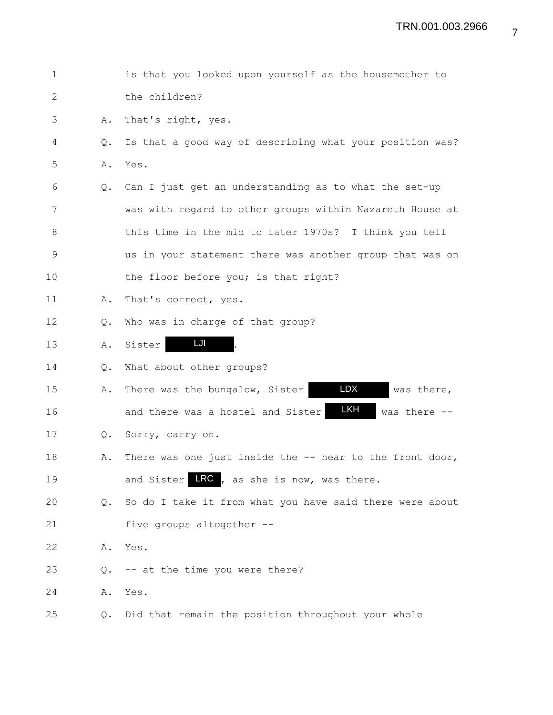| $\mathbf 1$  |    | is that you looked upon yourself as the housemother to     |
|--------------|----|------------------------------------------------------------|
| $\mathbf{2}$ |    | the children?                                              |
| 3            | Α. | That's right, yes.                                         |
| 4            | Q. | Is that a good way of describing what your position was?   |
| 5            | Α. | Yes.                                                       |
| 6            | Q. | Can I just get an understanding as to what the set-up      |
| 7            |    | was with regard to other groups within Nazareth House at   |
| 8            |    | this time in the mid to later 1970s? I think you tell      |
| $\mathsf 9$  |    | us in your statement there was another group that was on   |
| 10           |    | the floor before you; is that right?                       |
| 11           | Α. | That's correct, yes.                                       |
| 12           | Q. | Who was in charge of that group?                           |
| 13           | Α. | LJI<br>Sister                                              |
| 14           | Q. | What about other groups?                                   |
| 15           | Α. | <b>LDX</b><br>There was the bungalow, Sister<br>was there, |
| 16           |    | LKH<br>and there was a hostel and Sister<br>was there --   |
| 17           | Q. | Sorry, carry on.                                           |
| 18           | Α. | There was one just inside the -- near to the front door,   |
| 19           |    | and Sister LRC, as she is now, was there.                  |
| 20           | Q. | So do I take it from what you have said there were about   |
| 21           |    | five groups altogether --                                  |
| 22           | Α. | Yes.                                                       |
| 23           | Q. | -- at the time you were there?                             |
| 24           | Α. | Yes.                                                       |
| 25           | Q. | Did that remain the position throughout your whole         |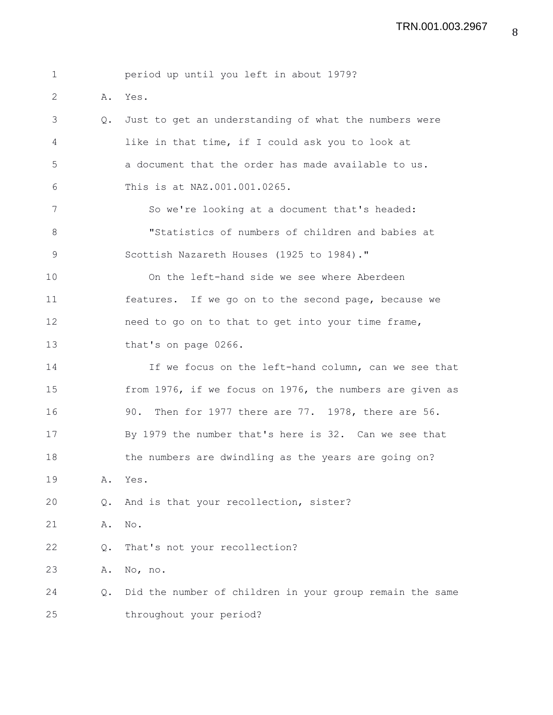| 1     |               | period up until you left in about 1979?                  |
|-------|---------------|----------------------------------------------------------|
| 2     | Α.            | Yes.                                                     |
| 3     | $Q_{\bullet}$ | Just to get an understanding of what the numbers were    |
| 4     |               | like in that time, if I could ask you to look at         |
| 5     |               | a document that the order has made available to us.      |
| 6     |               | This is at NAZ.001.001.0265.                             |
| 7     |               | So we're looking at a document that's headed:            |
| $8\,$ |               | "Statistics of numbers of children and babies at         |
| 9     |               | Scottish Nazareth Houses (1925 to 1984)."                |
| 10    |               | On the left-hand side we see where Aberdeen              |
| 11    |               | features. If we go on to the second page, because we     |
| 12    |               | need to go on to that to get into your time frame,       |
| 13    |               | that's on page 0266.                                     |
| 14    |               | If we focus on the left-hand column, can we see that     |
| 15    |               | from 1976, if we focus on 1976, the numbers are given as |
| 16    |               | Then for 1977 there are 77. 1978, there are 56.<br>90.   |
| 17    |               | By 1979 the number that's here is 32. Can we see that    |
| 18    |               | the numbers are dwindling as the years are going on?     |
| 19    | Α.            | Yes.                                                     |
| 20    | Q.            | And is that your recollection, sister?                   |
| 21    | Α.            | No.                                                      |
| 22    | Q.            | That's not your recollection?                            |
| 23    | Α.            | No, no.                                                  |
| 24    | Q.            | Did the number of children in your group remain the same |
| 25    |               | throughout your period?                                  |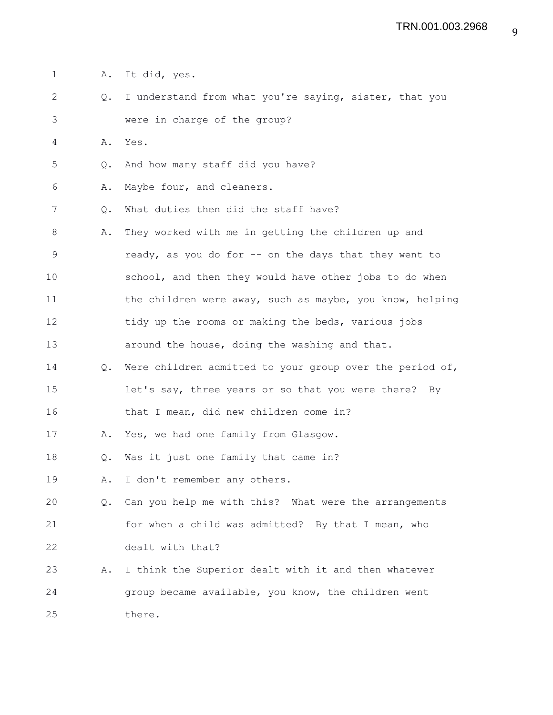- 1 A. It did, yes.
- 2 Q. I understand from what you're saying, sister, that you 3 were in charge of the group?
- 4 A. Yes.
- 5 Q. And how many staff did you have?
- 6 A. Maybe four, and cleaners.
- 7 Q. What duties then did the staff have?
- 8 A. They worked with me in getting the children up and 9 ready, as you do for -- on the days that they went to 10 school, and then they would have other jobs to do when 11 the children were away, such as maybe, you know, helping 12 tidy up the rooms or making the beds, various jobs 13 around the house, doing the washing and that.
- 14 Q. Were children admitted to your group over the period of, 15 let's say, three years or so that you were there? By
- 16 that I mean, did new children come in?
- 17 A. Yes, we had one family from Glasgow.
- 18 Q. Was it just one family that came in?
- 19 A. I don't remember any others.
- 20 Q. Can you help me with this? What were the arrangements 21 for when a child was admitted? By that I mean, who 22 dealt with that?
- 23 A. I think the Superior dealt with it and then whatever 24 group became available, you know, the children went 25 there.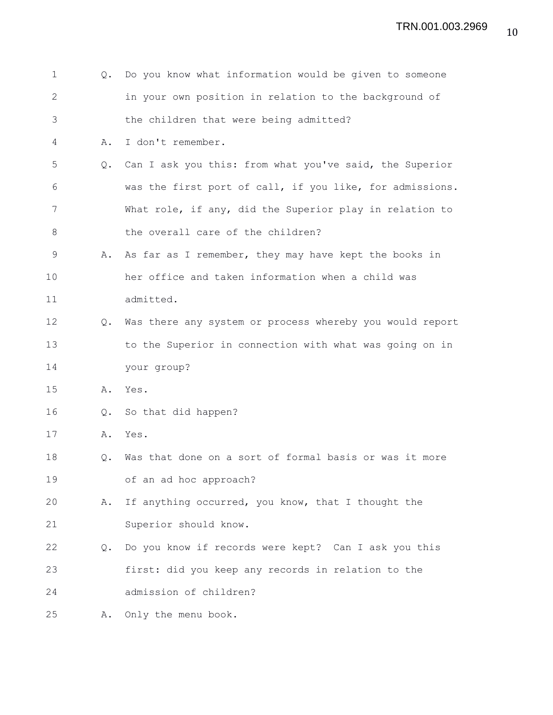| 1            | Q.            | Do you know what information would be given to someone   |
|--------------|---------------|----------------------------------------------------------|
| $\mathbf{2}$ |               | in your own position in relation to the background of    |
| 3            |               | the children that were being admitted?                   |
| 4            | Α.            | I don't remember.                                        |
| 5            | $Q_{\bullet}$ | Can I ask you this: from what you've said, the Superior  |
| 6            |               | was the first port of call, if you like, for admissions. |
| 7            |               | What role, if any, did the Superior play in relation to  |
| 8            |               | the overall care of the children?                        |
| 9            | Α.            | As far as I remember, they may have kept the books in    |
| 10           |               | her office and taken information when a child was        |
| 11           |               | admitted.                                                |
| 12           | $Q_{\bullet}$ | Was there any system or process whereby you would report |
| 13           |               | to the Superior in connection with what was going on in  |
| 14           |               | your group?                                              |
| 15           | Α.            | Yes.                                                     |
| 16           | Q.            | So that did happen?                                      |
| 17           | Α.            | Yes.                                                     |
| 18           | Q.            | Was that done on a sort of formal basis or was it more   |
| 19           |               | of an ad hoc approach?                                   |
| 20           | Α.            | If anything occurred, you know, that I thought the       |
| 21           |               | Superior should know.                                    |
| 22           | Q.            | Do you know if records were kept? Can I ask you this     |
| 23           |               | first: did you keep any records in relation to the       |
| 24           |               | admission of children?                                   |
| 25           | Α.            | Only the menu book.                                      |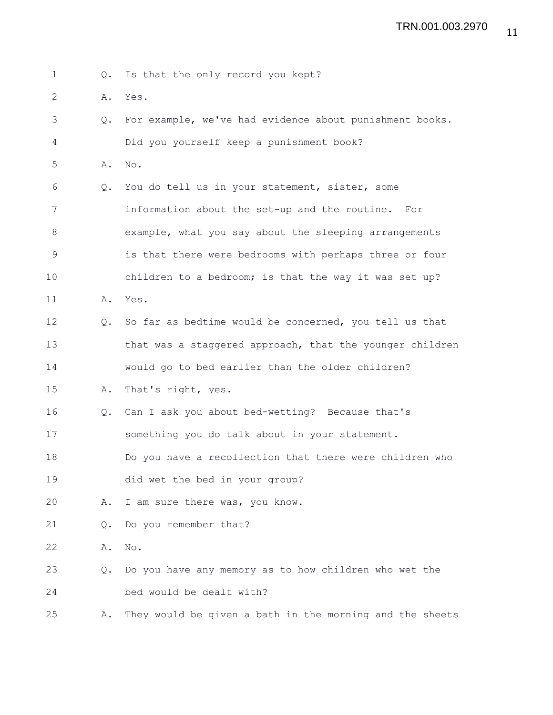1 Q. Is that the only record you kept?

2  $\lambda$   $\lambda$   $\lambda$ 

| Ζ           | Α.            | res.                                                     |
|-------------|---------------|----------------------------------------------------------|
| 3           | Q.            | For example, we've had evidence about punishment books.  |
| 4           |               | Did you yourself keep a punishment book?                 |
| 5           | Α.            | No.                                                      |
| 6           | $Q_{\bullet}$ | You do tell us in your statement, sister, some           |
| 7           |               | information about the set-up and the routine. For        |
| 8           |               | example, what you say about the sleeping arrangements    |
| $\mathsf 9$ |               | is that there were bedrooms with perhaps three or four   |
| 10          |               | children to a bedroom; is that the way it was set up?    |
| 11          | Α.            | Yes.                                                     |
| 12          | $\circ$ .     | So far as bedtime would be concerned, you tell us that   |
| 13          |               | that was a staggered approach, that the younger children |
| 14          |               | would go to bed earlier than the older children?         |
| 15          | Α.            | That's right, yes.                                       |
| 16          | Q.            | Can I ask you about bed-wetting? Because that's          |
| 17          |               | something you do talk about in your statement.           |
| 18          |               | Do you have a recollection that there were children who  |
| 19          |               | did wet the bed in your group?                           |
| 20          | Α.            | I am sure there was, you know.                           |
| 21          | Q.            | Do you remember that?                                    |
|             |               |                                                          |

22 A. No.

23 Q. Do you have any memory as to how children who wet the 24 bed would be dealt with?

25 A. They would be given a bath in the morning and the sheets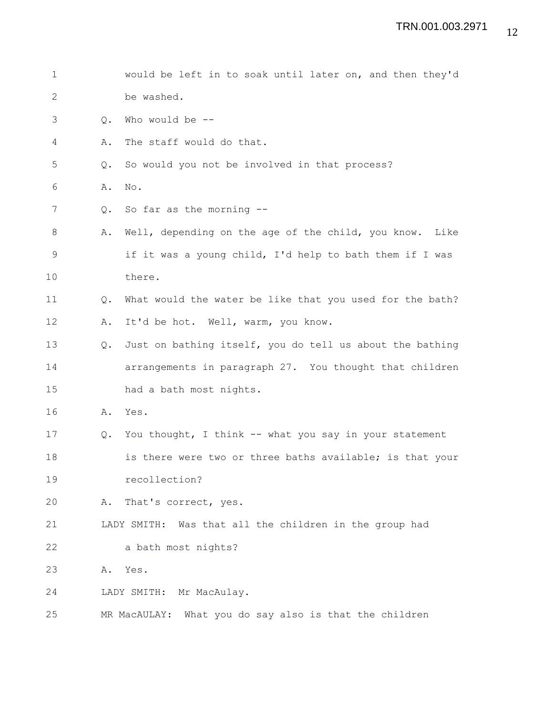| $\mathbf 1$  |               | would be left in to soak until later on, and then they'd   |
|--------------|---------------|------------------------------------------------------------|
| $\mathbf{2}$ |               | be washed.                                                 |
| 3            | Q.            | Who would be --                                            |
| 4            | Α.            | The staff would do that.                                   |
| 5            | Q.            | So would you not be involved in that process?              |
| 6            | Α.            | No.                                                        |
| 7            | Q.            | So far as the morning $-$ -                                |
| 8            | Α.            | Well, depending on the age of the child, you know.<br>Like |
| $\mathsf 9$  |               | if it was a young child, I'd help to bath them if I was    |
| 10           |               | there.                                                     |
| 11           | $Q_{\bullet}$ | What would the water be like that you used for the bath?   |
| 12           | Α.            | It'd be hot. Well, warm, you know.                         |
| 13           | Q.            | Just on bathing itself, you do tell us about the bathing   |
| 14           |               | arrangements in paragraph 27. You thought that children    |
| 15           |               | had a bath most nights.                                    |
| 16           | Α.            | Yes.                                                       |
| 17           | Q.            | You thought, I think -- what you say in your statement     |
| 18           |               | is there were two or three baths available; is that your   |
| 19           |               | recollection?                                              |
| 20           | Α.            | That's correct, yes.                                       |
| 21           |               | LADY SMITH: Was that all the children in the group had     |
| 22           |               | a bath most nights?                                        |
| 23           | Α.            | Yes.                                                       |
| 24           |               | LADY SMITH: Mr MacAulay.                                   |
| 25           |               | MR MacAULAY: What you do say also is that the children     |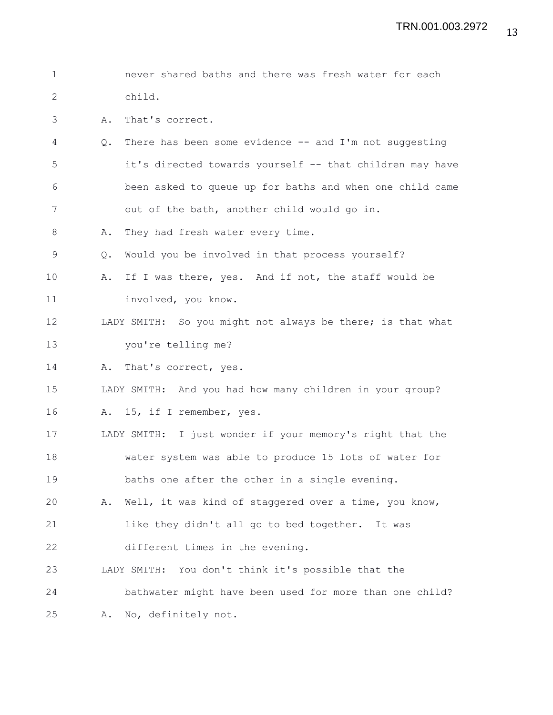1 never shared baths and there was fresh water for each 2 child. 3 A. That's correct. 4 Q. There has been some evidence -- and I'm not suggesting 5 it's directed towards yourself -- that children may have 6 been asked to queue up for baths and when one child came 7 out of the bath, another child would go in. 8 A. They had fresh water every time. 9 Q. Would you be involved in that process yourself? 10 A. If I was there, yes. And if not, the staff would be 11 involved, you know. 12 LADY SMITH: So you might not always be there; is that what 13 you're telling me? 14 A. That's correct, yes. 15 LADY SMITH: And you had how many children in your group? 16 A. 15, if I remember, yes. 17 LADY SMITH: I just wonder if your memory's right that the 18 water system was able to produce 15 lots of water for 19 baths one after the other in a single evening. 20 A. Well, it was kind of staggered over a time, you know, 21 like they didn't all go to bed together. It was 22 different times in the evening. 23 LADY SMITH: You don't think it's possible that the 24 bathwater might have been used for more than one child? 25 A. No, definitely not.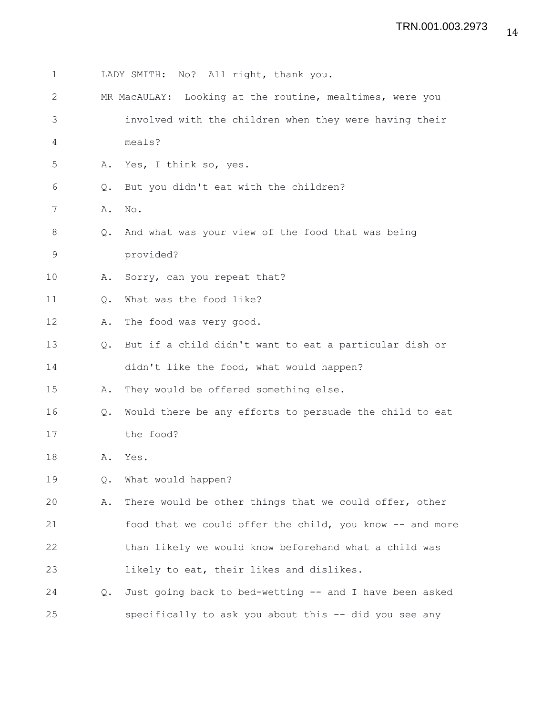| $\mathbf 1$  |    | LADY SMITH: No? All right, thank you.                    |
|--------------|----|----------------------------------------------------------|
| $\mathbf{2}$ |    | MR MacAULAY: Looking at the routine, mealtimes, were you |
| 3            |    | involved with the children when they were having their   |
| 4            |    | meals?                                                   |
| 5            | Α. | Yes, I think so, yes.                                    |
| 6            | Q. | But you didn't eat with the children?                    |
| 7            | Α. | No.                                                      |
| 8            | Q. | And what was your view of the food that was being        |
| 9            |    | provided?                                                |
| 10           | Α. | Sorry, can you repeat that?                              |
| 11           | Q. | What was the food like?                                  |
| 12           | Α. | The food was very good.                                  |
| 13           | Q. | But if a child didn't want to eat a particular dish or   |
| 14           |    | didn't like the food, what would happen?                 |
| 15           | Α. | They would be offered something else.                    |
| 16           | Q. | Would there be any efforts to persuade the child to eat  |
| 17           |    | the food?                                                |
| 18           | Α. | Yes.                                                     |
| 19           | Q. | What would happen?                                       |
| 20           | Α. | There would be other things that we could offer, other   |
| 21           |    | food that we could offer the child, you know -- and more |
| 22           |    | than likely we would know beforehand what a child was    |
| 23           |    | likely to eat, their likes and dislikes.                 |
| 24           | Q. | Just going back to bed-wetting -- and I have been asked  |
| 25           |    | specifically to ask you about this -- did you see any    |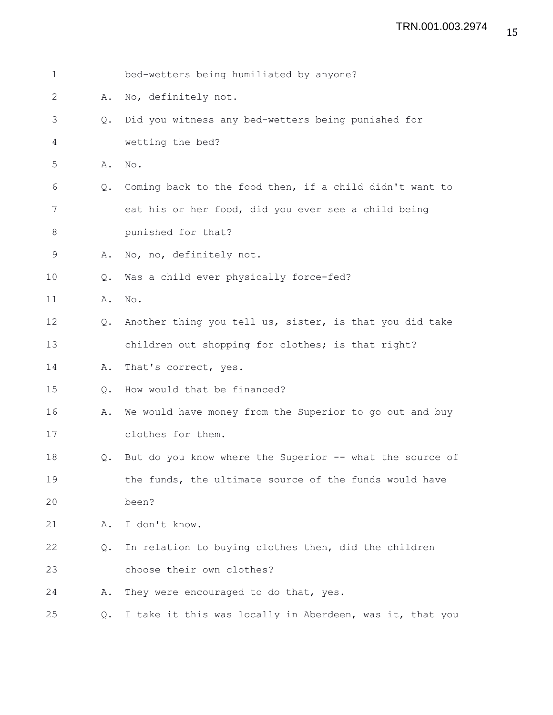| $\mathbf 1$ |               | bed-wetters being humiliated by anyone?                  |
|-------------|---------------|----------------------------------------------------------|
| 2           | Α.            | No, definitely not.                                      |
| 3           | $Q_{\bullet}$ | Did you witness any bed-wetters being punished for       |
| 4           |               | wetting the bed?                                         |
| 5           | Α.            | No.                                                      |
| 6           | Q.            | Coming back to the food then, if a child didn't want to  |
| 7           |               | eat his or her food, did you ever see a child being      |
| 8           |               | punished for that?                                       |
| 9           | Α.            | No, no, definitely not.                                  |
| 10          | Q.            | Was a child ever physically force-fed?                   |
| 11          | Α.            | No.                                                      |
| 12          | Q.            | Another thing you tell us, sister, is that you did take  |
| 13          |               | children out shopping for clothes; is that right?        |
| 14          | Α.            | That's correct, yes.                                     |
| 15          | Q.            | How would that be financed?                              |
| 16          | Α.            | We would have money from the Superior to go out and buy  |
| 17          |               | clothes for them.                                        |
| 18          | Q.            | But do you know where the Superior -- what the source of |
| 19          |               | the funds, the ultimate source of the funds would have   |
| 20          |               | been?                                                    |
| 21          | Α.            | I don't know.                                            |
| 22          | Q.            | In relation to buying clothes then, did the children     |
| 23          |               | choose their own clothes?                                |
| 24          | Α.            | They were encouraged to do that, yes.                    |
| 25          | Q.            | I take it this was locally in Aberdeen, was it, that you |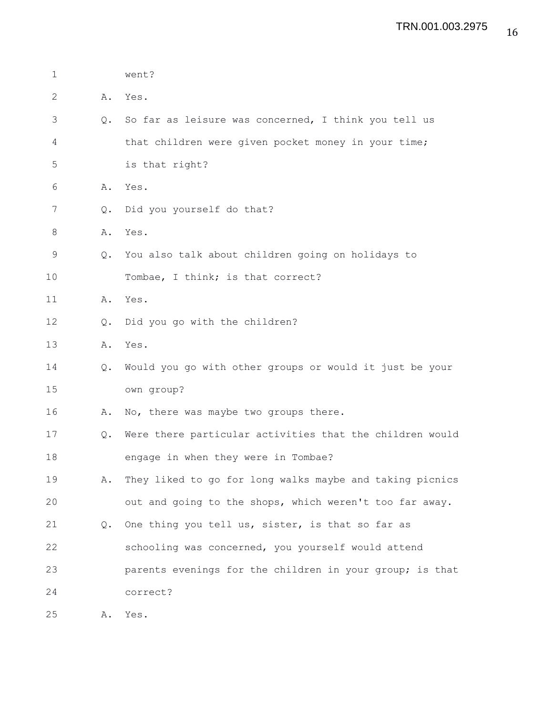| $\mathbf 1$ |               | went?                                                    |
|-------------|---------------|----------------------------------------------------------|
| 2           | Α.            | Yes.                                                     |
| 3           | $Q_{\bullet}$ | So far as leisure was concerned, I think you tell us     |
| 4           |               | that children were given pocket money in your time;      |
| 5           |               | is that right?                                           |
| 6           | Α.            | Yes.                                                     |
| 7           | Q.            | Did you yourself do that?                                |
| 8           |               | A. Yes.                                                  |
| 9           | Q.            | You also talk about children going on holidays to        |
| 10          |               | Tombae, I think; is that correct?                        |
| 11          | Α.            | Yes.                                                     |
| 12          | Q.            | Did you go with the children?                            |
| 13          | Α.            | Yes.                                                     |
| 14          | $Q_{\bullet}$ | Would you go with other groups or would it just be your  |
| 15          |               | own group?                                               |
| 16          | Α.            | No, there was maybe two groups there.                    |
| 17          | Q.            | Were there particular activities that the children would |
| 18          |               | engage in when they were in Tombae?                      |
| 19          | Α.            | They liked to go for long walks maybe and taking picnics |
| 20          |               | out and going to the shops, which weren't too far away.  |
| 21          | Q.            | One thing you tell us, sister, is that so far as         |
| 22          |               | schooling was concerned, you yourself would attend       |
| 23          |               | parents evenings for the children in your group; is that |
| 24          |               | correct?                                                 |
|             |               |                                                          |

25 A. Yes.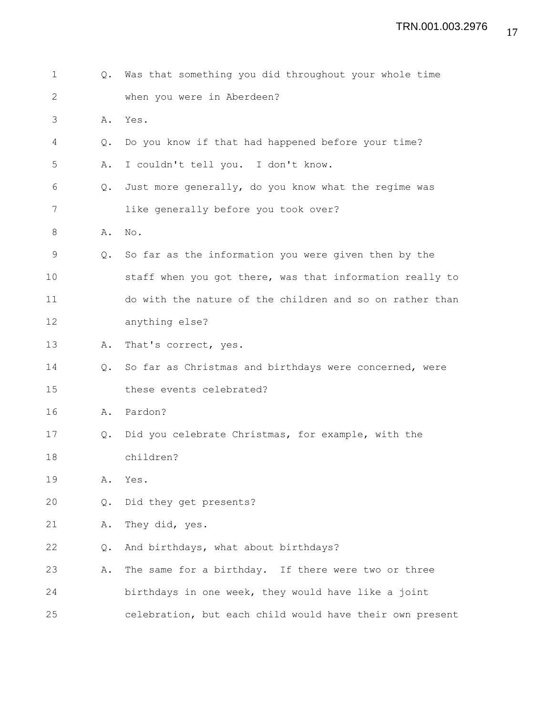| $\mathbf 1$ |               | Q. Was that something you did throughout your whole time |
|-------------|---------------|----------------------------------------------------------|
| 2           |               | when you were in Aberdeen?                               |
| 3           | Α.            | Yes.                                                     |
| 4           | $Q_{\bullet}$ | Do you know if that had happened before your time?       |
| 5           | Α.            | I couldn't tell you. I don't know.                       |
| 6           | Q.            | Just more generally, do you know what the regime was     |
| 7           |               | like generally before you took over?                     |
| 8           | Α.            | No.                                                      |
| 9           | $Q_{\bullet}$ | So far as the information you were given then by the     |
| 10          |               | staff when you got there, was that information really to |
| 11          |               | do with the nature of the children and so on rather than |
| 12          |               | anything else?                                           |
| 13          | Α.            | That's correct, yes.                                     |
| 14          | $Q_{\bullet}$ | So far as Christmas and birthdays were concerned, were   |
| 15          |               | these events celebrated?                                 |
| 16          |               | A. Pardon?                                               |
| 17          | Q.            | Did you celebrate Christmas, for example, with the       |
| 18          |               | children?                                                |
| 19          | Α.            | Yes.                                                     |
| 20          | Q.            | Did they get presents?                                   |
| 21          | Α.            | They did, yes.                                           |
| 22          | Q.            | And birthdays, what about birthdays?                     |
| 23          | Α.            | The same for a birthday. If there were two or three      |
| 24          |               | birthdays in one week, they would have like a joint      |
| 25          |               | celebration, but each child would have their own present |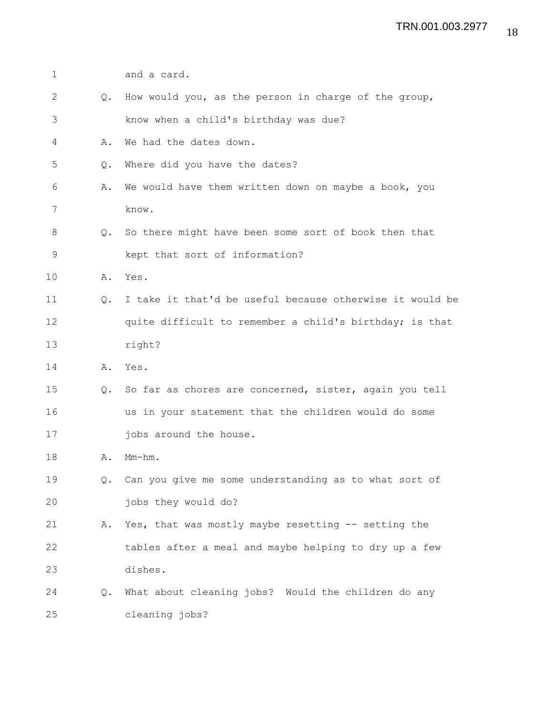| $\mathbf 1$ |               | and a card.                                              |
|-------------|---------------|----------------------------------------------------------|
| 2           | $Q_{\bullet}$ | How would you, as the person in charge of the group,     |
| 3           |               | know when a child's birthday was due?                    |
| 4           | Α.            | We had the dates down.                                   |
| 5           | Q.            | Where did you have the dates?                            |
| 6           | Α.            | We would have them written down on maybe a book, you     |
| 7           |               | know.                                                    |
| 8           | $\circ$ .     | So there might have been some sort of book then that     |
| 9           |               | kept that sort of information?                           |
| 10          |               | A. Yes.                                                  |
| 11          | $Q_{\bullet}$ | I take it that'd be useful because otherwise it would be |
| 12          |               | quite difficult to remember a child's birthday; is that  |
| 13          |               | right?                                                   |
| 14          | Α.            | Yes.                                                     |
| 15          | $Q_{\bullet}$ | So far as chores are concerned, sister, again you tell   |
| 16          |               | us in your statement that the children would do some     |
| 17          |               | jobs around the house.                                   |
| 18          | Α.            | $Mm-hm$ .                                                |
| 19          |               | Q. Can you give me some understanding as to what sort of |
| 20          |               | jobs they would do?                                      |
| 21          | Α.            | Yes, that was mostly maybe resetting -- setting the      |
| 22          |               | tables after a meal and maybe helping to dry up a few    |
| 23          |               | dishes.                                                  |
| 24          | Q.            | What about cleaning jobs? Would the children do any      |
| 25          |               | cleaning jobs?                                           |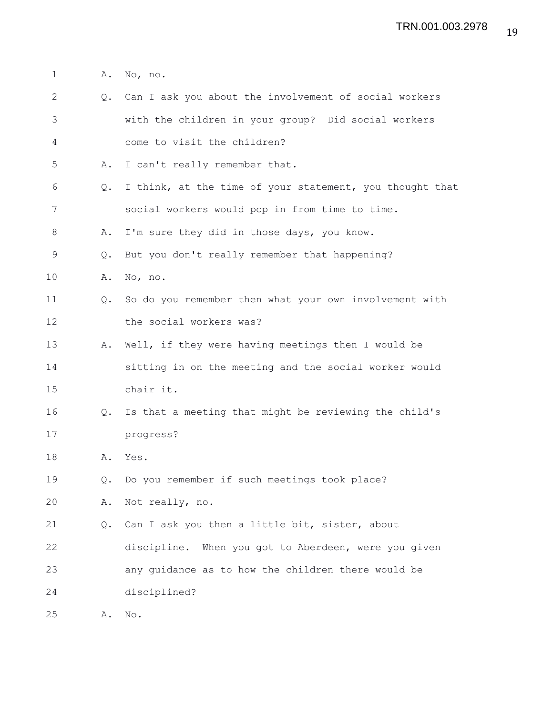1 A. No, no.

| $\mathbf{2}$ |               | Q. Can I ask you about the involvement of social workers |
|--------------|---------------|----------------------------------------------------------|
| 3            |               | with the children in your group? Did social workers      |
| 4            |               | come to visit the children?                              |
| 5            | Α.            | I can't really remember that.                            |
| 6            | Q.            | I think, at the time of your statement, you thought that |
| 7            |               | social workers would pop in from time to time.           |
| 8            | Α.            | I'm sure they did in those days, you know.               |
| 9            | Q.            | But you don't really remember that happening?            |
| 10           | Α.            | No, no.                                                  |
| 11           | $Q_{\bullet}$ | So do you remember then what your own involvement with   |
| 12           |               | the social workers was?                                  |
| 13           | Α.            | Well, if they were having meetings then I would be       |
| 14           |               | sitting in on the meeting and the social worker would    |
| 15           |               | chair it.                                                |
| 16           | $Q_{\bullet}$ | Is that a meeting that might be reviewing the child's    |
| 17           |               | progress?                                                |
| 18           | Α.            | Yes.                                                     |
| 19           | Q.            | Do you remember if such meetings took place?             |
| 20           | Α.            | Not really, no.                                          |
| 21           | Q.            | Can I ask you then a little bit, sister, about           |
| 22           |               | discipline. When you got to Aberdeen, were you given     |
| 23           |               | any guidance as to how the children there would be       |
| 24           |               | disciplined?                                             |
| 25           | Α.            | No.                                                      |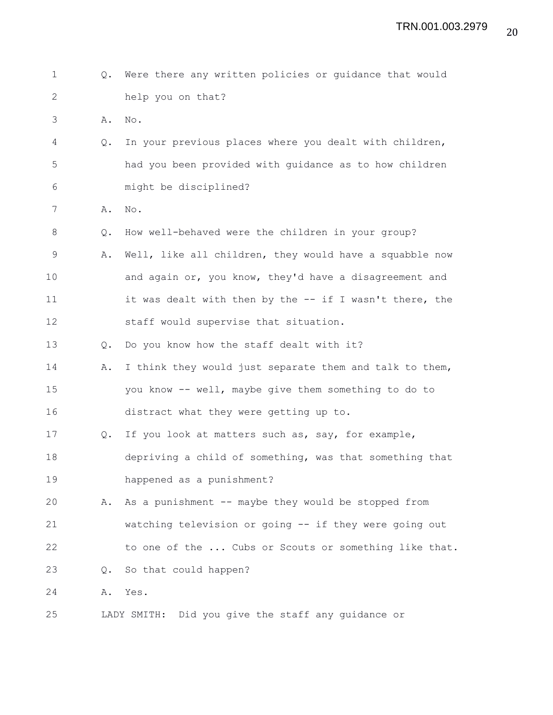| $\mathbf 1$  | Q. | Were there any written policies or guidance that would  |
|--------------|----|---------------------------------------------------------|
| $\mathbf{2}$ |    | help you on that?                                       |
| 3            | Α. | $\mathop{\rm No}\nolimits$ .                            |
| 4            | Q. | In your previous places where you dealt with children,  |
| 5            |    | had you been provided with quidance as to how children  |
| 6            |    | might be disciplined?                                   |
| 7            | Α. | No.                                                     |
| 8            | Q. | How well-behaved were the children in your group?       |
| 9            | Α. | Well, like all children, they would have a squabble now |
| 10           |    | and again or, you know, they'd have a disagreement and  |
| 11           |    | it was dealt with then by the -- if I wasn't there, the |
| 12           |    | staff would supervise that situation.                   |
| 13           | Q. | Do you know how the staff dealt with it?                |
| 14           | Α. | I think they would just separate them and talk to them, |
| 15           |    | you know -- well, maybe give them something to do to    |
| 16           |    | distract what they were getting up to.                  |
| 17           | Q. | If you look at matters such as, say, for example,       |
| 18           |    | depriving a child of something, was that something that |
| 19           |    | happened as a punishment?                               |
| 20           | Α. | As a punishment -- maybe they would be stopped from     |
| 21           |    | watching television or going -- if they were going out  |
| 22           |    | to one of the  Cubs or Scouts or something like that.   |
| 23           | Q. | So that could happen?                                   |
| 24           | Α. | Yes.                                                    |
| 25           |    | Did you give the staff any guidance or<br>LADY SMITH:   |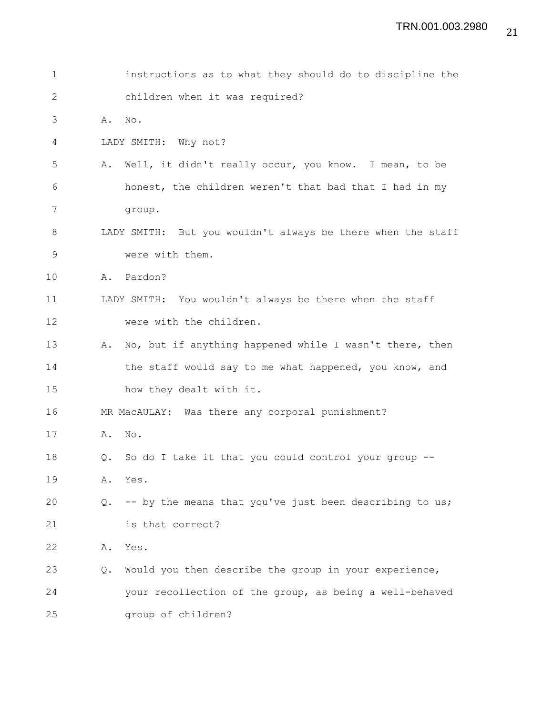| $\mathbf 1$  |               | instructions as to what they should do to discipline the    |
|--------------|---------------|-------------------------------------------------------------|
| $\mathbf{2}$ |               | children when it was required?                              |
| 3            | Α.            | No.                                                         |
| 4            |               | LADY SMITH: Why not?                                        |
| 5            | Α.            | Well, it didn't really occur, you know. I mean, to be       |
| 6            |               | honest, the children weren't that bad that I had in my      |
| 7            |               | group.                                                      |
| 8            |               | LADY SMITH: But you wouldn't always be there when the staff |
| $\mathsf 9$  |               | were with them.                                             |
| 10           | Α.            | Pardon?                                                     |
| 11           |               | LADY SMITH: You wouldn't always be there when the staff     |
| 12           |               | were with the children.                                     |
| 13           | Α.            | No, but if anything happened while I wasn't there, then     |
| 14           |               | the staff would say to me what happened, you know, and      |
| 15           |               | how they dealt with it.                                     |
| 16           |               | MR MacAULAY: Was there any corporal punishment?             |
| 17           | Α.            | $\mathrm{No}$ .                                             |
| 18           | $Q_{\bullet}$ | So do I take it that you could control your group --        |
| 19           | Α.            | Yes.                                                        |
| 20           | Q.            | -- by the means that you've just been describing to us;     |
| 21           |               | is that correct?                                            |
| 22           | Α.            | Yes.                                                        |
| 23           | Q.            | Would you then describe the group in your experience,       |
| 24           |               | your recollection of the group, as being a well-behaved     |
| 25           |               | group of children?                                          |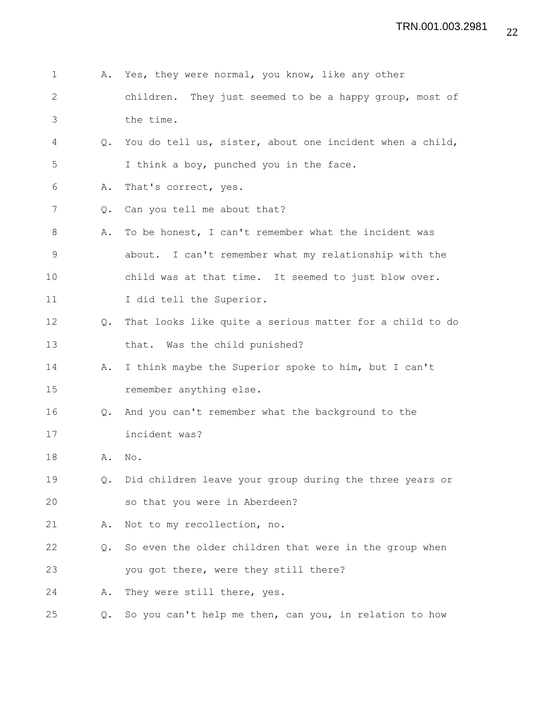| $\mathbf 1$  | Α.            | Yes, they were normal, you know, like any other          |
|--------------|---------------|----------------------------------------------------------|
| $\mathbf{2}$ |               | children. They just seemed to be a happy group, most of  |
| 3            |               | the time.                                                |
| 4            | Q.            | You do tell us, sister, about one incident when a child, |
| 5            |               | I think a boy, punched you in the face.                  |
| 6            | Α.            | That's correct, yes.                                     |
| 7            | Q.            | Can you tell me about that?                              |
| 8            | Α.            | To be honest, I can't remember what the incident was     |
| $\mathsf 9$  |               | about. I can't remember what my relationship with the    |
| 10           |               | child was at that time. It seemed to just blow over.     |
| 11           |               | I did tell the Superior.                                 |
| 12           | $Q_{\bullet}$ | That looks like quite a serious matter for a child to do |
| 13           |               | that. Was the child punished?                            |
| 14           | Α.            | I think maybe the Superior spoke to him, but I can't     |
| 15           |               | remember anything else.                                  |
| 16           | $Q_{\bullet}$ | And you can't remember what the background to the        |
| 17           |               | incident was?                                            |
| 18           | Α.            | No.                                                      |
| 19           | $Q_{\bullet}$ | Did children leave your group during the three years or  |
| 20           |               | so that you were in Aberdeen?                            |
| 21           | Α.            | Not to my recollection, no.                              |
| 22           | $Q_{\bullet}$ | So even the older children that were in the group when   |
| 23           |               | you got there, were they still there?                    |
| 24           | Α.            | They were still there, yes.                              |
| 25           | Q.            | So you can't help me then, can you, in relation to how   |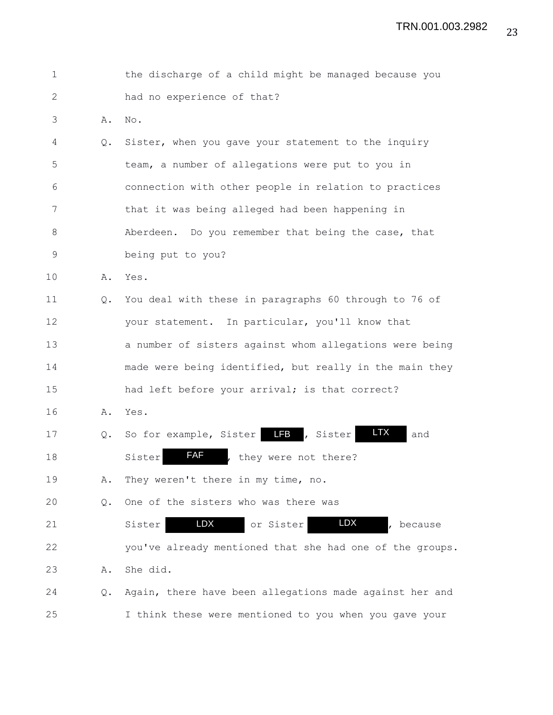| 1  |               | the discharge of a child might be managed because you          |
|----|---------------|----------------------------------------------------------------|
| 2  |               | had no experience of that?                                     |
| 3  | Α.            | No.                                                            |
| 4  | Q.            | Sister, when you gave your statement to the inquiry            |
| 5  |               | team, a number of allegations were put to you in               |
| 6  |               | connection with other people in relation to practices          |
| 7  |               | that it was being alleged had been happening in                |
| 8  |               | Aberdeen. Do you remember that being the case, that            |
| 9  |               | being put to you?                                              |
| 10 | Α.            | Yes.                                                           |
| 11 | Q.            | You deal with these in paragraphs 60 through to 76 of          |
| 12 |               | your statement. In particular, you'll know that                |
| 13 |               | a number of sisters against whom allegations were being        |
| 14 |               | made were being identified, but really in the main they        |
| 15 |               | had left before your arrival; is that correct?                 |
| 16 | Α.            | Yes.                                                           |
| 17 | $Q_{\bullet}$ | <b>LTX</b><br>So for example, Sister <b>FB</b> , Sister<br>and |
| 18 |               | <b>FAF</b><br>Sister<br>they were not there?                   |
| 19 | Α.            | They weren't there in my time, no.                             |
| 20 | Q.            | One of the sisters who was there was                           |
| 21 |               | LDX<br><b>LDX</b><br>or Sister<br>Sister<br>because            |
| 22 |               | you've already mentioned that she had one of the groups.       |
| 23 | Α.            | She did.                                                       |
| 24 | Q.            | Again, there have been allegations made against her and        |
| 25 |               | I think these were mentioned to you when you gave your         |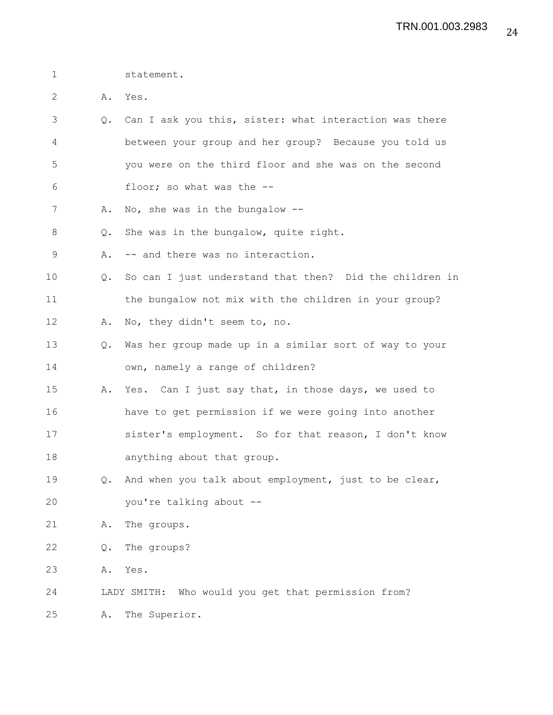1 statement.

2 A. Yes.

- 3 Q. Can I ask you this, sister: what interaction was there 4 between your group and her group? Because you told us 5 you were on the third floor and she was on the second 6 floor; so what was the --
- 7 A. No, she was in the bungalow --
- 8 Q. She was in the bungalow, quite right.
- 9 A. -- and there was no interaction.
- 10 Q. So can I just understand that then? Did the children in 11 the bungalow not mix with the children in your group?
- 12 A. No, they didn't seem to, no.
- 13 Q. Was her group made up in a similar sort of way to your 14 own, namely a range of children?
- 15 A. Yes. Can I just say that, in those days, we used to 16 have to get permission if we were going into another 17 sister's employment. So for that reason, I don't know 18 anything about that group.
- 19 Q. And when you talk about employment, just to be clear, 20 you're talking about --
- 21 A. The groups.
- 22 Q. The groups?

23 A. Yes.

24 LADY SMITH: Who would you get that permission from?

25 A. The Superior.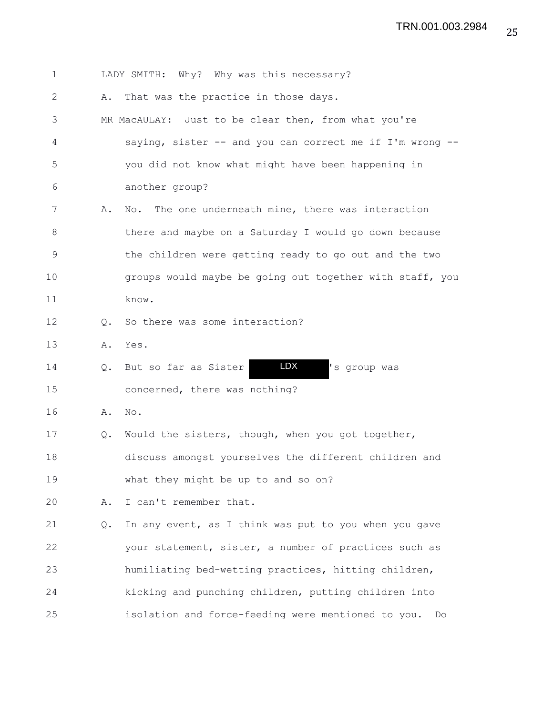1 LADY SMITH: Why? Why was this necessary? 2 A. That was the practice in those days. 3 MR MacAULAY: Just to be clear then, from what you're 4 saying, sister -- and you can correct me if I'm wrong -- 5 you did not know what might have been happening in 6 another group? 7 A. No. The one underneath mine, there was interaction 8 there and maybe on a Saturday I would go down because 9 the children were getting ready to go out and the two 10 **groups would maybe be going out together with staff, you** 11 know. 12 Q. So there was some interaction? 13 A. Yes. 14 Q. But so far as Sister **LDX** 's group was 15 concerned, there was nothing? 16 A. No. 17 Q. Would the sisters, though, when you got together, 18 discuss amongst yourselves the different children and 19 what they might be up to and so on? 20 A. I can't remember that. 21 Q. In any event, as I think was put to you when you gave 22 your statement, sister, a number of practices such as 23 humiliating bed-wetting practices, hitting children, 24 kicking and punching children, putting children into 25 isolation and force-feeding were mentioned to you. Do LDX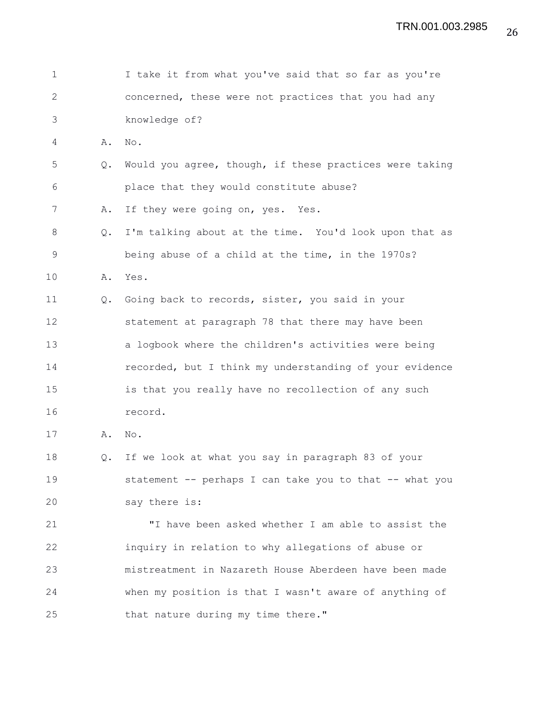| 1           |    | I take it from what you've said that so far as you're   |
|-------------|----|---------------------------------------------------------|
| 2           |    | concerned, these were not practices that you had any    |
| 3           |    | knowledge of?                                           |
| 4           | Α. | No.                                                     |
| 5           | Q. | Would you agree, though, if these practices were taking |
| 6           |    | place that they would constitute abuse?                 |
| 7           | Α. | If they were going on, yes. Yes.                        |
| 8           | Q. | I'm talking about at the time. You'd look upon that as  |
| $\mathsf 9$ |    | being abuse of a child at the time, in the 1970s?       |
| 10          | Α. | Yes.                                                    |
| 11          | Q. | Going back to records, sister, you said in your         |
| 12          |    | statement at paragraph 78 that there may have been      |
| 13          |    | a logbook where the children's activities were being    |
| 14          |    | recorded, but I think my understanding of your evidence |
| 15          |    | is that you really have no recollection of any such     |
| 16          |    | record.                                                 |
| 17          | Α. | No.                                                     |
| 18          | Q. | If we look at what you say in paragraph 83 of your      |
| 19          |    | statement -- perhaps I can take you to that -- what you |
| 20          |    | say there is:                                           |
| 21          |    | "I have been asked whether I am able to assist the      |
| 22          |    | inquiry in relation to why allegations of abuse or      |
| 23          |    | mistreatment in Nazareth House Aberdeen have been made  |
| 24          |    | when my position is that I wasn't aware of anything of  |
| 25          |    | that nature during my time there."                      |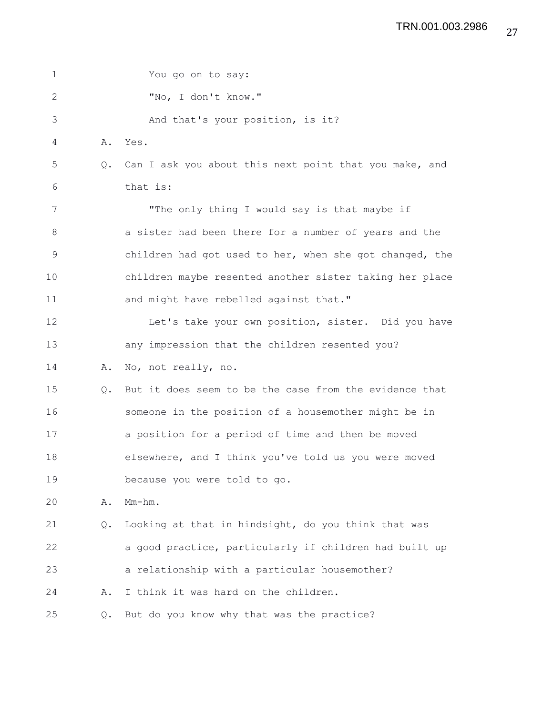| 1            |    | You go on to say:                                       |
|--------------|----|---------------------------------------------------------|
| $\mathbf{2}$ |    | "No, I don't know."                                     |
| 3            |    | And that's your position, is it?                        |
| 4            | Α. | Yes.                                                    |
| 5            | Q. | Can I ask you about this next point that you make, and  |
| 6            |    | that is:                                                |
| 7            |    | "The only thing I would say is that maybe if            |
| $8\,$        |    | a sister had been there for a number of years and the   |
| 9            |    | children had got used to her, when she got changed, the |
| 10           |    | children maybe resented another sister taking her place |
| 11           |    | and might have rebelled against that."                  |
| 12           |    | Let's take your own position, sister. Did you have      |
| 13           |    | any impression that the children resented you?          |
| 14           | Α. | No, not really, no.                                     |
| 15           | Q. | But it does seem to be the case from the evidence that  |
| 16           |    | someone in the position of a housemother might be in    |
| 17           |    | a position for a period of time and then be moved       |
| 18           |    | elsewhere, and I think you've told us you were moved    |
| 19           |    | because you were told to go.                            |
| 20           | Α. | $Mm-hm$ .                                               |
| 21           | Q. | Looking at that in hindsight, do you think that was     |
| 22           |    | a good practice, particularly if children had built up  |
| 23           |    | a relationship with a particular housemother?           |
| 24           | Α. | I think it was hard on the children.                    |
| 25           | Q. | But do you know why that was the practice?              |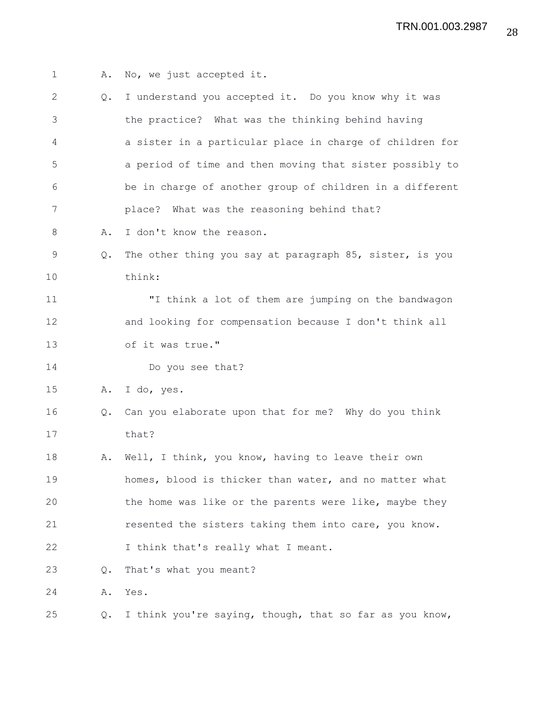| $\mathbf 1$   | Α.            | No, we just accepted it.                                 |
|---------------|---------------|----------------------------------------------------------|
| 2             | $Q_{\bullet}$ | I understand you accepted it. Do you know why it was     |
| 3             |               | the practice? What was the thinking behind having        |
| 4             |               | a sister in a particular place in charge of children for |
| 5             |               | a period of time and then moving that sister possibly to |
| 6             |               | be in charge of another group of children in a different |
| 7             |               | place? What was the reasoning behind that?               |
| 8             | Α.            | I don't know the reason.                                 |
| $\mathcal{G}$ | $\circ$ .     | The other thing you say at paragraph 85, sister, is you  |
| 10            |               | think:                                                   |
| 11            |               | "I think a lot of them are jumping on the bandwagon      |
| 12            |               | and looking for compensation because I don't think all   |
| 13            |               | of it was true."                                         |
| 14            |               | Do you see that?                                         |
| 15            |               | A. I do, yes.                                            |
| 16            | $Q_{\bullet}$ | Can you elaborate upon that for me? Why do you think     |
| 17            |               | that?                                                    |
| 18            |               | A. Well, I think, you know, having to leave their own    |
| 19            |               | homes, blood is thicker than water, and no matter what   |
| 20            |               | the home was like or the parents were like, maybe they   |
| 21            |               | resented the sisters taking them into care, you know.    |
| 22            |               | I think that's really what I meant.                      |
| 23            | Q.            | That's what you meant?                                   |
| 24            | Α.            | Yes.                                                     |
| 25            | Q.            | I think you're saying, though, that so far as you know,  |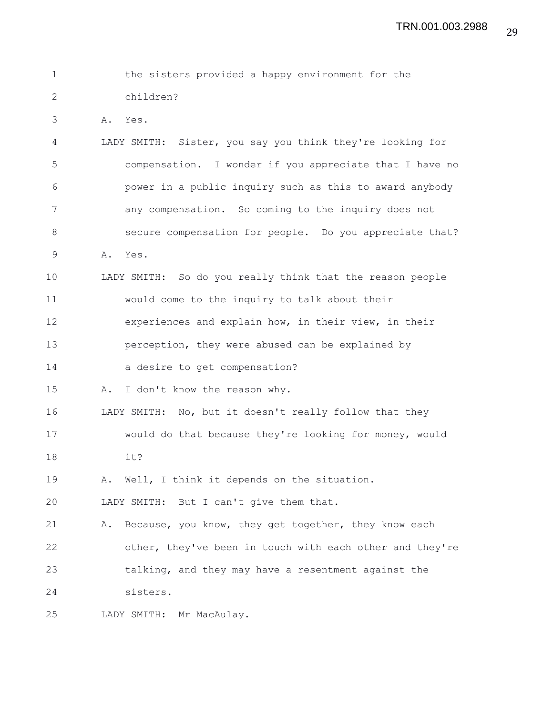| $\mathbf{1}$  | the sisters provided a happy environment for the          |
|---------------|-----------------------------------------------------------|
| $\mathcal{L}$ | children?                                                 |
| 3             | A. Yes.                                                   |
| 4             | LADY SMITH: Sister, you say you think they're looking for |
| 5             | compensation. I wonder if you appreciate that I have no   |
| 6             | power in a public inquiry such as this to award anybody   |
| 7             | any compensation. So coming to the inquiry does not       |
| 8             | secure compensation for people. Do you appreciate that?   |
| 9             | A. Yes.                                                   |
| 10            | LADY SMITH: So do you really think that the reason people |
| 11            | would come to the inquiry to talk about their             |
| 12            | experiences and explain how, in their view, in their      |

13 perception, they were abused can be explained by

14 a desire to get compensation?

15 A. I don't know the reason why.

16 LADY SMITH: No, but it doesn't really follow that they

17 would do that because they're looking for money, would 18 it?

19 A. Well, I think it depends on the situation.

20 LADY SMITH: But I can't give them that.

21 A. Because, you know, they get together, they know each 22 other, they've been in touch with each other and they're 23 talking, and they may have a resentment against the 24 sisters.

25 LADY SMITH: Mr MacAulay.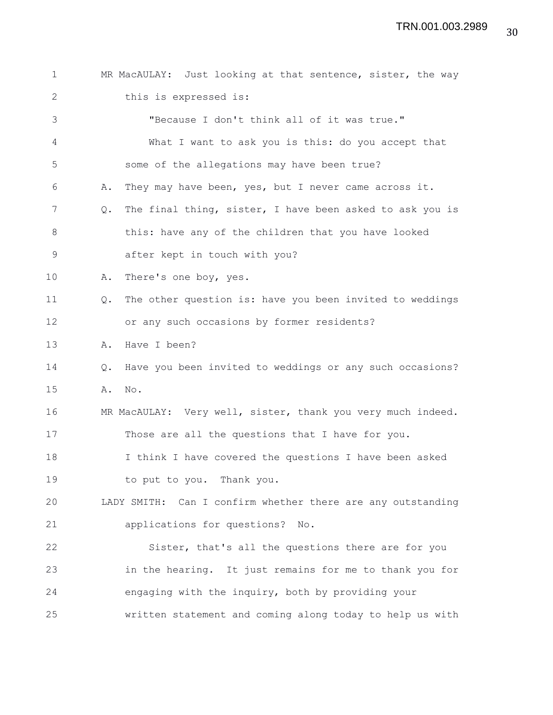| $\mathbf 1$  |               | MR MacAULAY: Just looking at that sentence, sister, the way |
|--------------|---------------|-------------------------------------------------------------|
| $\mathbf{2}$ |               | this is expressed is:                                       |
| 3            |               | "Because I don't think all of it was true."                 |
| 4            |               | What I want to ask you is this: do you accept that          |
| 5            |               | some of the allegations may have been true?                 |
| 6            | Α.            | They may have been, yes, but I never came across it.        |
| 7            | Q.            | The final thing, sister, I have been asked to ask you is    |
| 8            |               | this: have any of the children that you have looked         |
| $\mathsf 9$  |               | after kept in touch with you?                               |
| 10           | Α.            | There's one boy, yes.                                       |
| 11           | $Q_{\bullet}$ | The other question is: have you been invited to weddings    |
| 12           |               | or any such occasions by former residents?                  |
| 13           | Α.            | Have I been?                                                |
| 14           | Q.            | Have you been invited to weddings or any such occasions?    |
| 15           | Α.            | No.                                                         |
| 16           |               | MR MacAULAY: Very well, sister, thank you very much indeed. |
| 17           |               | Those are all the questions that I have for you.            |
| 18           |               | I think I have covered the questions I have been asked      |
| 19           |               | to put to you. Thank you.                                   |
| 20           |               | LADY SMITH: Can I confirm whether there are any outstanding |
| 21           |               | applications for questions? No.                             |
| 22           |               | Sister, that's all the questions there are for you          |
| 23           |               | in the hearing. It just remains for me to thank you for     |
| 24           |               | engaging with the inquiry, both by providing your           |
| 25           |               | written statement and coming along today to help us with    |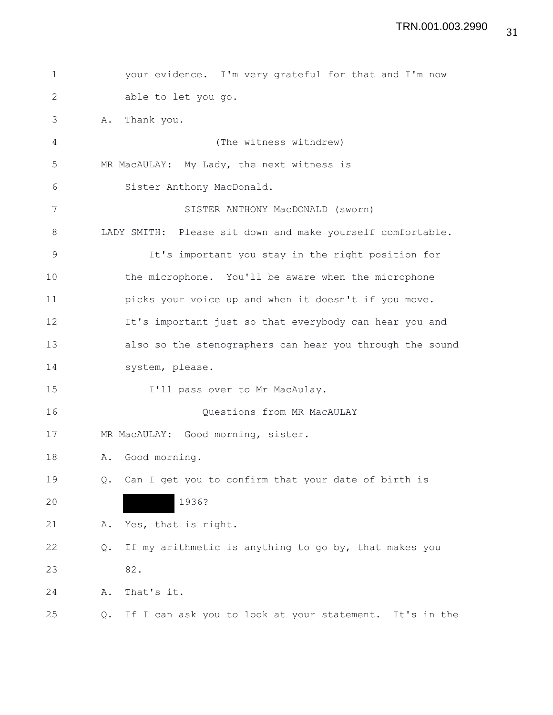| $\mathbf 1$ |    | your evidence. I'm very grateful for that and I'm now      |
|-------------|----|------------------------------------------------------------|
| 2           |    | able to let you go.                                        |
| 3           | Α. | Thank you.                                                 |
| 4           |    | (The witness withdrew)                                     |
| 5           |    | MR MacAULAY: My Lady, the next witness is                  |
| 6           |    | Sister Anthony MacDonald.                                  |
| 7           |    | SISTER ANTHONY MacDONALD (sworn)                           |
| 8           |    | LADY SMITH: Please sit down and make yourself comfortable. |
| $\mathsf 9$ |    | It's important you stay in the right position for          |
| 10          |    | the microphone. You'll be aware when the microphone        |
| 11          |    | picks your voice up and when it doesn't if you move.       |
| 12          |    | It's important just so that everybody can hear you and     |
| 13          |    | also so the stenographers can hear you through the sound   |
| 14          |    | system, please.                                            |
| 15          |    | I'll pass over to Mr MacAulay.                             |
| 16          |    | Questions from MR MacAULAY                                 |
| 17          |    | MR MacAULAY: Good morning, sister.                         |
| 18          | Α. | Good morning.                                              |
| 19          |    | Q. Can I get you to confirm that your date of birth is     |
| 20          |    | 1936?                                                      |
| 21          | Α. | Yes, that is right.                                        |
| 22          | Q. | If my arithmetic is anything to go by, that makes you      |
| 23          |    | 82.                                                        |
| 24          | Α. | That's it.                                                 |
| 25          | Q. | If I can ask you to look at your statement. It's in the    |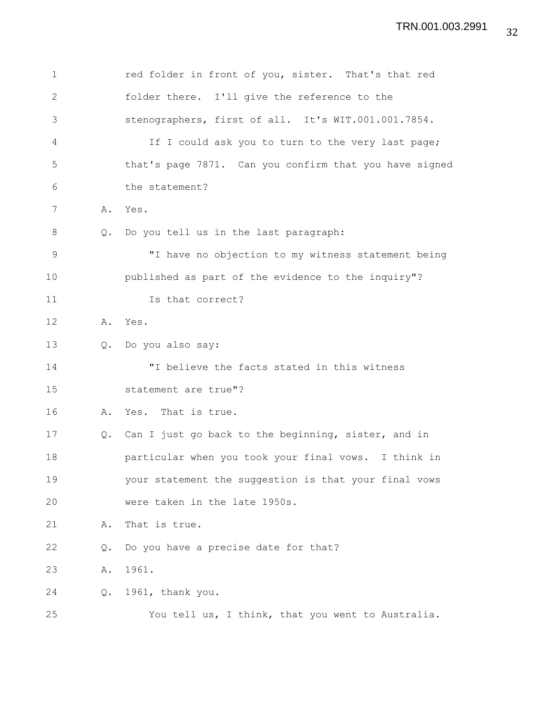| 1            |               | red folder in front of you, sister. That's that red    |
|--------------|---------------|--------------------------------------------------------|
| $\mathbf{2}$ |               | folder there. I'll give the reference to the           |
| 3            |               | stenographers, first of all. It's WIT.001.001.7854.    |
| 4            |               | If I could ask you to turn to the very last page;      |
| 5            |               | that's page 7871. Can you confirm that you have signed |
| 6            |               | the statement?                                         |
| 7            | Α.            | Yes.                                                   |
| 8            | Q.            | Do you tell us in the last paragraph:                  |
| 9            |               | "I have no objection to my witness statement being     |
| 10           |               | published as part of the evidence to the inquiry"?     |
| 11           |               | Is that correct?                                       |
| 12           | Α.            | Yes.                                                   |
| 13           | $Q_{\bullet}$ | Do you also say:                                       |
| 14           |               | "I believe the facts stated in this witness            |
| 15           |               | statement are true"?                                   |
| 16           | Α.            | Yes. That is true.                                     |
| 17           | Q.            | Can I just go back to the beginning, sister, and in    |
| 18           |               | particular when you took your final vows. I think in   |
| 19           |               | your statement the suggestion is that your final vows  |
| 20           |               | were taken in the late 1950s.                          |
| 21           | Α.            | That is true.                                          |
| 22           | Q.            | Do you have a precise date for that?                   |
| 23           | Α.            | 1961.                                                  |
| 24           | Q.            | 1961, thank you.                                       |
| 25           |               | You tell us, I think, that you went to Australia.      |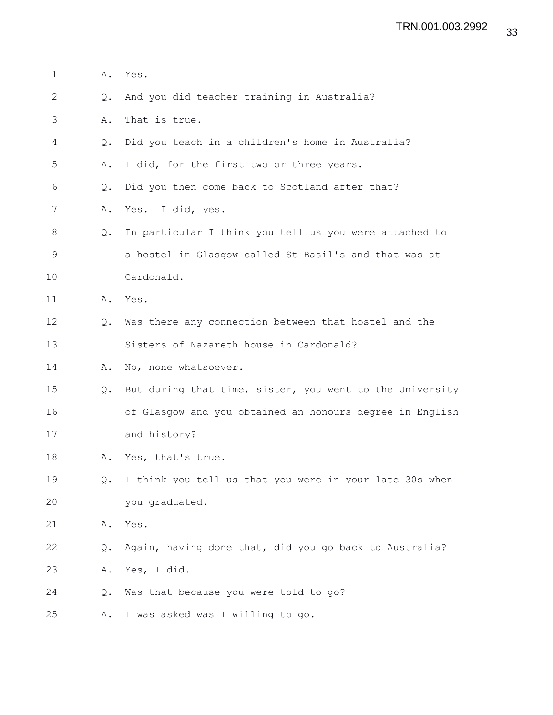- 1 A. Yes.
- 2 Q. And you did teacher training in Australia?
- 3 A. That is true.
- 4 Q. Did you teach in a children's home in Australia?
- 5 A. I did, for the first two or three years.
- 6 Q. Did you then come back to Scotland after that?
- 7 A. Yes. I did, yes.
- 8 Q. In particular I think you tell us you were attached to 9 a hostel in Glasgow called St Basil's and that was at 10 Cardonald.
- 11 A. Yes.
- 12 Q. Was there any connection between that hostel and the 13 Sisters of Nazareth house in Cardonald?
- 14 A. No, none whatsoever.
- 15 Q. But during that time, sister, you went to the University 16 of Glasgow and you obtained an honours degree in English 17 and history?
- 18 A. Yes, that's true.
- 19 Q. I think you tell us that you were in your late 30s when 20 you graduated.
- 21 A. Yes.
- 22 Q. Again, having done that, did you go back to Australia?
- 23 A. Yes, I did.
- 24 Q. Was that because you were told to go?
- 25 A. I was asked was I willing to go.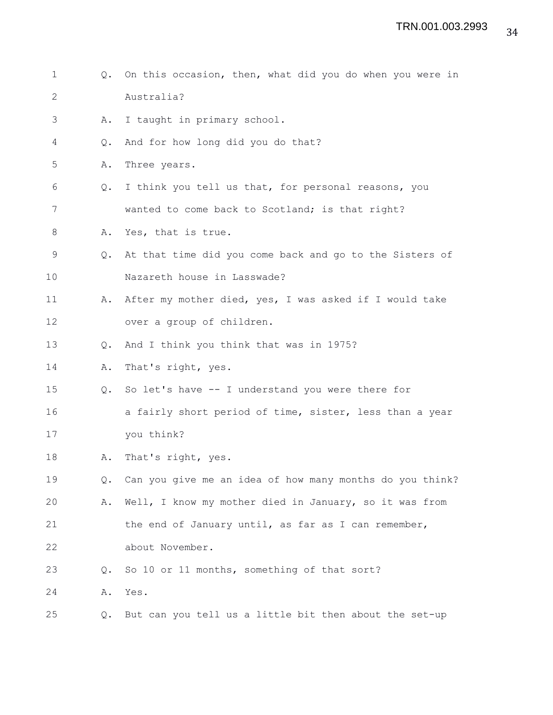1 Q. On this occasion, then, what did you do when you were in 2 Australia? 3 A. I taught in primary school. 4 Q. And for how long did you do that? 5 A. Three years. 6 Q. I think you tell us that, for personal reasons, you 7 wanted to come back to Scotland; is that right? 8 A. Yes, that is true. 9 Q. At that time did you come back and go to the Sisters of 10 Nazareth house in Lasswade? 11 A. After my mother died, yes, I was asked if I would take 12 over a group of children. 13 Q. And I think you think that was in 1975? 14 A. That's right, yes. 15 Q. So let's have -- I understand you were there for 16 **a** fairly short period of time, sister, less than a year 17 you think? 18 A. That's right, yes. 19 Q. Can you give me an idea of how many months do you think? 20 A. Well, I know my mother died in January, so it was from 21 the end of January until, as far as I can remember, 22 about November. 23 Q. So 10 or 11 months, something of that sort? 24 A. Yes. 25 Q. But can you tell us a little bit then about the set-up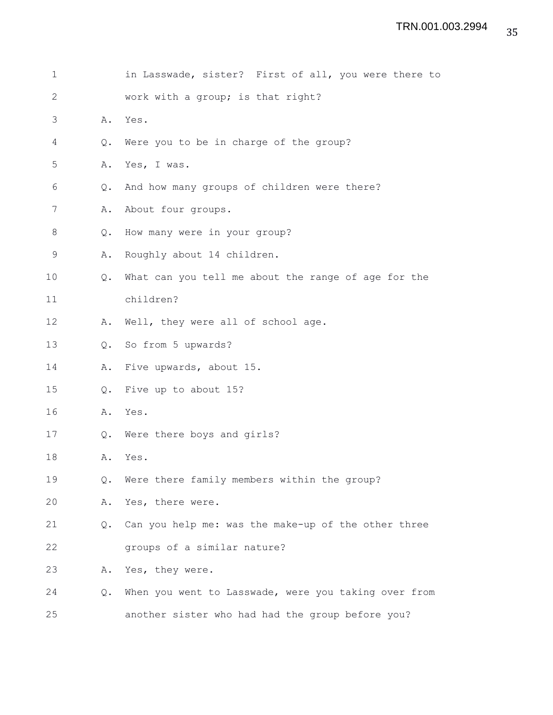| $\mathbf 1$  |    | in Lasswade, sister? First of all, you were there to |
|--------------|----|------------------------------------------------------|
| $\mathbf{2}$ |    | work with a group; is that right?                    |
| 3            | Α. | Yes.                                                 |
| 4            | Q. | Were you to be in charge of the group?               |
| 5            | Α. | Yes, I was.                                          |
| 6            | Q. | And how many groups of children were there?          |
| 7            | Α. | About four groups.                                   |
| 8            | Q. | How many were in your group?                         |
| 9            | Α. | Roughly about 14 children.                           |
| 10           | Q. | What can you tell me about the range of age for the  |
| 11           |    | children?                                            |
| 12           | Α. | Well, they were all of school age.                   |
| 13           | Q. | So from 5 upwards?                                   |
| 14           | Α. | Five upwards, about 15.                              |
| 15           | Q. | Five up to about 15?                                 |
| 16           | Α. | Yes.                                                 |
| 17           | Q. | Were there boys and girls?                           |
| 18           | Α. | Yes.                                                 |
| 19           | Q. | Were there family members within the group?          |
| 20           | Α. | Yes, there were.                                     |
| 21           | Q. | Can you help me: was the make-up of the other three  |
| 22           |    | groups of a similar nature?                          |
| 23           | Α. | Yes, they were.                                      |
| 24           | Q. | When you went to Lasswade, were you taking over from |
| 25           |    | another sister who had had the group before you?     |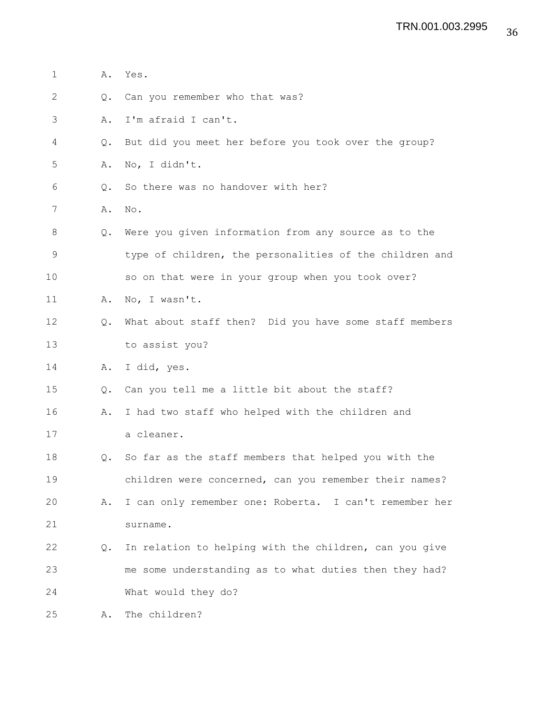| 1           | Α.            | Yes.                                                    |
|-------------|---------------|---------------------------------------------------------|
| 2           | $Q_{\bullet}$ | Can you remember who that was?                          |
| 3           | Α.            | I'm afraid I can't.                                     |
| 4           | Q.            | But did you meet her before you took over the group?    |
| 5           | Α.            | No, I didn't.                                           |
| 6           | $Q_{\bullet}$ | So there was no handover with her?                      |
| 7           | Α.            | No.                                                     |
| 8           |               | Q. Were you given information from any source as to the |
| $\mathsf 9$ |               | type of children, the personalities of the children and |
| 10          |               | so on that were in your group when you took over?       |
| 11          | Α.            | No, I wasn't.                                           |
| 12          | $Q_{\bullet}$ | What about staff then? Did you have some staff members  |
| 13          |               | to assist you?                                          |
| 14          | Α.            | I did, yes.                                             |
| 15          | $Q_{\bullet}$ | Can you tell me a little bit about the staff?           |
| 16          | Α.            | I had two staff who helped with the children and        |
| 17          |               | a cleaner.                                              |
| 18          | Q.            | So far as the staff members that helped you with the    |
| 19          |               | children were concerned, can you remember their names?  |
| 20          | Α.            | I can only remember one: Roberta. I can't remember her  |
| 21          |               | surname.                                                |
| 22          | Q.            | In relation to helping with the children, can you give  |
| 23          |               | me some understanding as to what duties then they had?  |
| 24          |               | What would they do?                                     |
| 25          | Α.            | The children?                                           |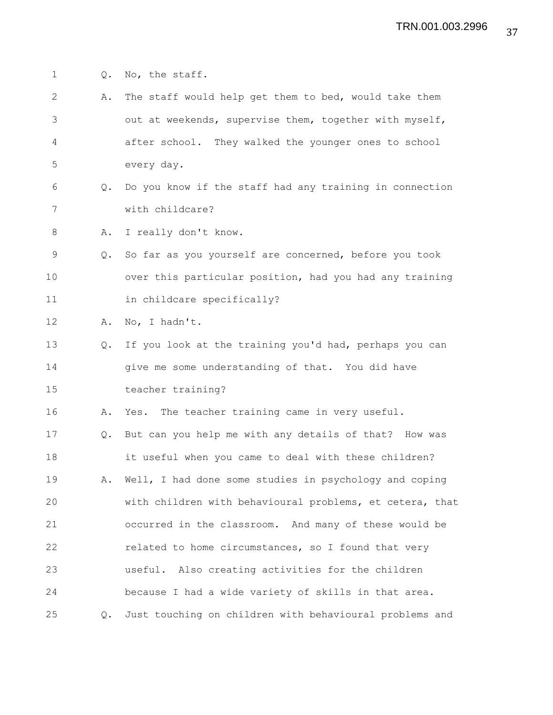1 Q. No, the staff. 2 A. The staff would help get them to bed, would take them 3 out at weekends, supervise them, together with myself, 4 after school. They walked the younger ones to school 5 every day. 6 Q. Do you know if the staff had any training in connection 7 with childcare? 8 A. I really don't know. 9 Q. So far as you yourself are concerned, before you took 10 over this particular position, had you had any training 11 in childcare specifically? 12 A. No, I hadn't. 13 Q. If you look at the training you'd had, perhaps you can 14 give me some understanding of that. You did have 15 teacher training? 16 A. Yes. The teacher training came in very useful. 17 Q. But can you help me with any details of that? How was 18 it useful when you came to deal with these children? 19 A. Well, I had done some studies in psychology and coping 20 with children with behavioural problems, et cetera, that 21 occurred in the classroom. And many of these would be 22 related to home circumstances, so I found that very 23 useful. Also creating activities for the children 24 because I had a wide variety of skills in that area. 25 Q. Just touching on children with behavioural problems and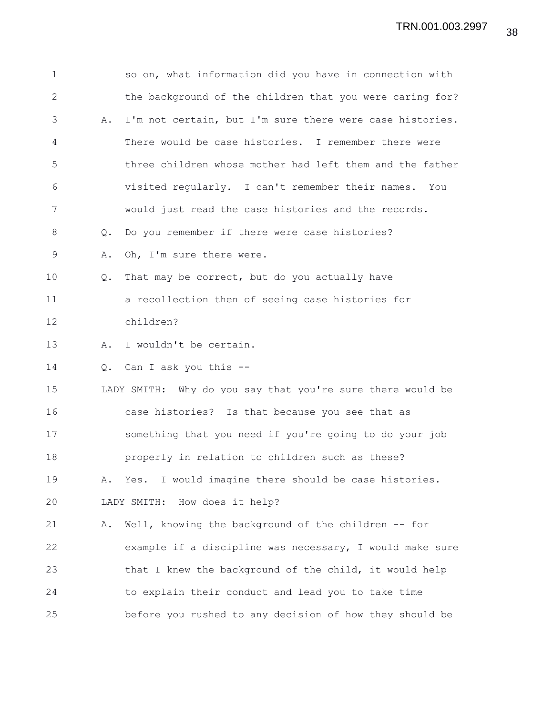| $\mathbf 1$   |    | so on, what information did you have in connection with    |
|---------------|----|------------------------------------------------------------|
| $\mathbf{2}$  |    | the background of the children that you were caring for?   |
| 3             | Α. | I'm not certain, but I'm sure there were case histories.   |
| 4             |    | There would be case histories. I remember there were       |
| 5             |    | three children whose mother had left them and the father   |
| 6             |    | visited regularly. I can't remember their names. You       |
| 7             |    | would just read the case histories and the records.        |
| 8             | Q. | Do you remember if there were case histories?              |
| $\mathcal{G}$ | Α. | Oh, I'm sure there were.                                   |
| 10            | Q. | That may be correct, but do you actually have              |
| 11            |    | a recollection then of seeing case histories for           |
| 12            |    | children?                                                  |
| 13            | Α. | I wouldn't be certain.                                     |
| 14            | Q. | Can I ask you this --                                      |
| 15            |    | LADY SMITH: Why do you say that you're sure there would be |
| 16            |    | case histories? Is that because you see that as            |
| 17            |    | something that you need if you're going to do your job     |
| 18            |    | properly in relation to children such as these?            |
| 19            | Α. | Yes. I would imagine there should be case histories.       |
| 20            |    | How does it help?<br>LADY SMITH:                           |
| 21            | Α. | Well, knowing the background of the children -- for        |
| 22            |    | example if a discipline was necessary, I would make sure   |
| 23            |    | that I knew the background of the child, it would help     |
| 24            |    | to explain their conduct and lead you to take time         |
| 25            |    | before you rushed to any decision of how they should be    |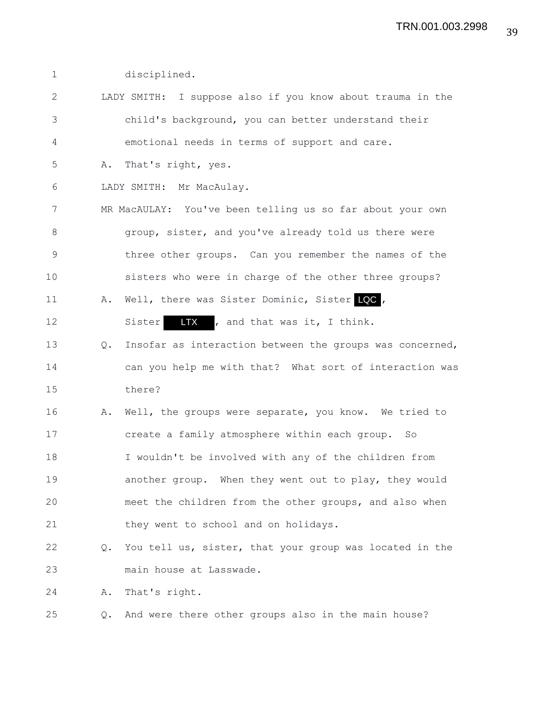| $\mathbf 1$   |               | disciplined.                                               |
|---------------|---------------|------------------------------------------------------------|
| $\mathbf{2}$  |               | LADY SMITH: I suppose also if you know about trauma in the |
| $\mathcal{S}$ |               | child's background, you can better understand their        |
| 4             |               | emotional needs in terms of support and care.              |
| 5             | Α.            | That's right, yes.                                         |
| 6             |               | LADY SMITH: Mr MacAulay.                                   |
| 7             |               | MR MacAULAY: You've been telling us so far about your own  |
| 8             |               | group, sister, and you've already told us there were       |
| 9             |               | three other groups. Can you remember the names of the      |
| 10            |               | sisters who were in charge of the other three groups?      |
| 11            | Α.            | Well, there was Sister Dominic, Sister LQC,                |
| 12            |               | IX , and that was it, I think.<br>Sister                   |
| 13            | Q.            | Insofar as interaction between the groups was concerned,   |
| 14            |               | can you help me with that? What sort of interaction was    |
| 15            |               | there?                                                     |
| 16            | Α.            | Well, the groups were separate, you know. We tried to      |
| 17            |               | create a family atmosphere within each group. So           |
| 18            |               | I wouldn't be involved with any of the children from       |
| 19            |               | another group. When they went out to play, they would      |
| 20            |               | meet the children from the other groups, and also when     |
| 21            |               | they went to school and on holidays.                       |
| 22            | $Q_{\bullet}$ | You tell us, sister, that your group was located in the    |
| 23            |               | main house at Lasswade.                                    |
| 24            | Α.            | That's right.                                              |
| 25            | Q.            | And were there other groups also in the main house?        |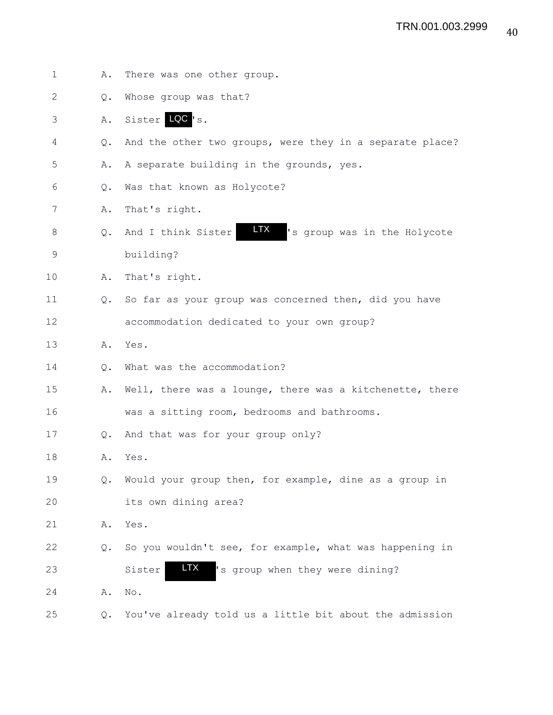1 A. There was one other group. 2 Q. Whose group was that? 3 A. Sister LQC 's. 4 Q. And the other two groups, were they in a separate place? 5 A. A separate building in the grounds, yes. 6 Q. Was that known as Holycote? 7 A. That's right. 8 Q. And I think Sister **HX** 's group was in the Holycote 9 building? 10 A. That's right. 11 Q. So far as your group was concerned then, did you have 12 accommodation dedicated to your own group? 13 A. Yes. 14 0. What was the accommodation? 15 A. Well, there was a lounge, there was a kitchenette, there 16 was a sitting room, bedrooms and bathrooms. 17 Q. And that was for your group only? 18 A. Yes. 19 Q. Would your group then, for example, dine as a group in 20 its own dining area? 21 A. Yes. 22 Q. So you wouldn't see, for example, what was happening in 23 Sister IX 's group when they were dining? 24 A. No. 25 Q. You've already told us a little bit about the admission LTX LTX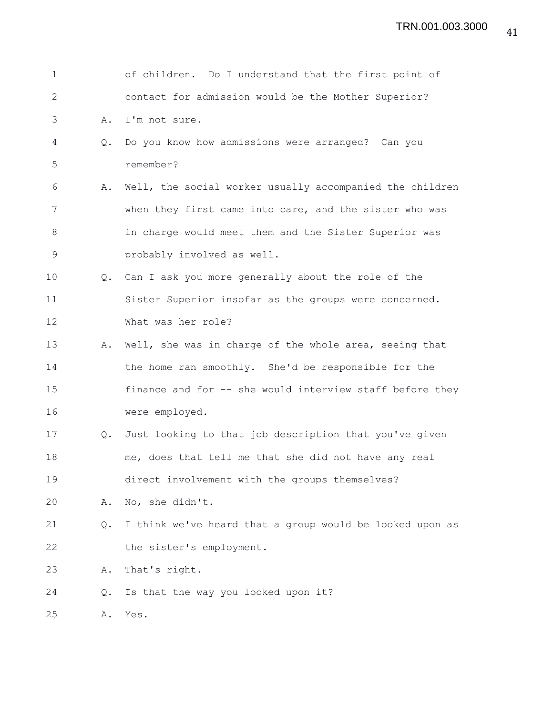| $\mathbf 1$  |               | of children. Do I understand that the first point of     |
|--------------|---------------|----------------------------------------------------------|
| $\mathbf{2}$ |               | contact for admission would be the Mother Superior?      |
| 3            | Α.            | I'm not sure.                                            |
| 4            | $Q_{\bullet}$ | Do you know how admissions were arranged? Can you        |
| 5            |               | remember?                                                |
| 6            | Α.            | Well, the social worker usually accompanied the children |
| 7            |               | when they first came into care, and the sister who was   |
| 8            |               | in charge would meet them and the Sister Superior was    |
| 9            |               | probably involved as well.                               |
| 10           |               | Q. Can I ask you more generally about the role of the    |
| 11           |               | Sister Superior insofar as the groups were concerned.    |
| 12           |               | What was her role?                                       |
| 13           | Α.            | Well, she was in charge of the whole area, seeing that   |
| 14           |               | the home ran smoothly. She'd be responsible for the      |
| 15           |               | finance and for -- she would interview staff before they |
| 16           |               | were employed.                                           |
| 17           | $Q_{\bullet}$ | Just looking to that job description that you've given   |
| 18           |               | me, does that tell me that she did not have any real     |
| 19           |               | direct involvement with the groups themselves?           |
| 20           | Α.            | No, she didn't.                                          |
| 21           | $Q_{\bullet}$ | I think we've heard that a group would be looked upon as |
| 22           |               | the sister's employment.                                 |
| 23           | Α.            | That's right.                                            |
| 24           | Q.            | Is that the way you looked upon it?                      |
| 25           | Α.            | Yes.                                                     |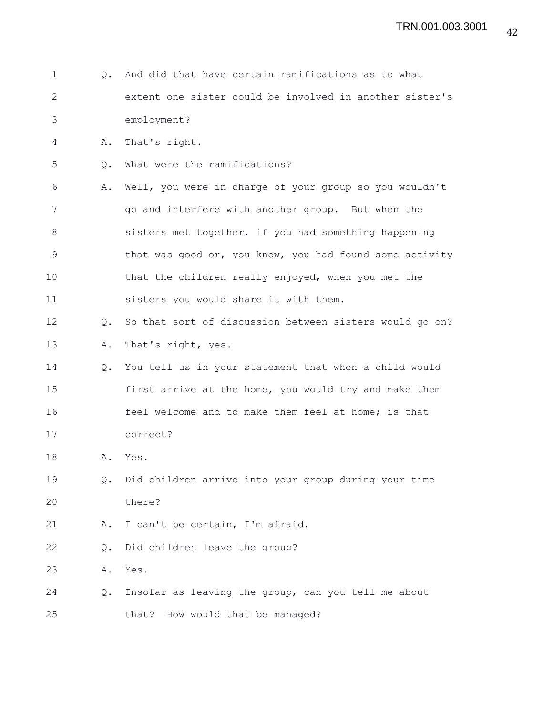| $\mathbf 1$  | $\circ$ .     | And did that have certain ramifications as to what      |
|--------------|---------------|---------------------------------------------------------|
| $\mathbf{2}$ |               | extent one sister could be involved in another sister's |
| 3            |               | employment?                                             |
| 4            | Α.            | That's right.                                           |
| 5            | Q.            | What were the ramifications?                            |
| 6            | Α.            | Well, you were in charge of your group so you wouldn't  |
| 7            |               | go and interfere with another group. But when the       |
| 8            |               | sisters met together, if you had something happening    |
| 9            |               | that was good or, you know, you had found some activity |
| 10           |               | that the children really enjoyed, when you met the      |
| 11           |               | sisters you would share it with them.                   |
| 12           | Q.            | So that sort of discussion between sisters would go on? |
| 13           | Α.            | That's right, yes.                                      |
| 14           | $Q_{\bullet}$ | You tell us in your statement that when a child would   |
| 15           |               | first arrive at the home, you would try and make them   |
| 16           |               | feel welcome and to make them feel at home; is that     |
| 17           |               | correct?                                                |
| 18           | Α.            | Yes.                                                    |
| 19           | Q.            | Did children arrive into your group during your time    |
| 20           |               | there?                                                  |
| 21           | Α.            | I can't be certain, I'm afraid.                         |
| 22           | Q.            | Did children leave the group?                           |
| 23           | Α.            | Yes.                                                    |
| 24           | Q.            | Insofar as leaving the group, can you tell me about     |
| 25           |               | that?<br>How would that be managed?                     |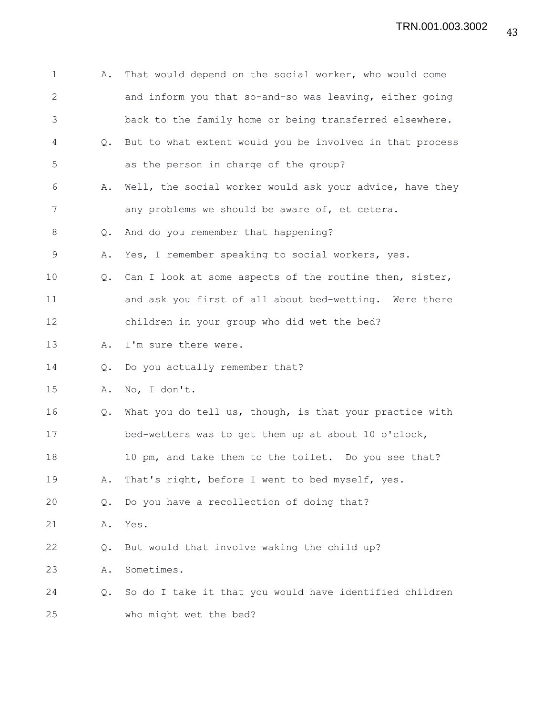| $\mathbf 1$  | Α.             | That would depend on the social worker, who would come   |
|--------------|----------------|----------------------------------------------------------|
| $\mathbf{2}$ |                | and inform you that so-and-so was leaving, either going  |
| 3            |                | back to the family home or being transferred elsewhere.  |
| 4            | $Q_{\bullet}$  | But to what extent would you be involved in that process |
| 5            |                | as the person in charge of the group?                    |
| 6            | Α.             | Well, the social worker would ask your advice, have they |
| 7            |                | any problems we should be aware of, et cetera.           |
| 8            | $\mathsf{Q}$ . | And do you remember that happening?                      |
| 9            | Α.             | Yes, I remember speaking to social workers, yes.         |
| 10           | Q.             | Can I look at some aspects of the routine then, sister,  |
| 11           |                | and ask you first of all about bed-wetting. Were there   |
| 12           |                | children in your group who did wet the bed?              |
| 13           | Α.             | I'm sure there were.                                     |
| 14           | Q.             | Do you actually remember that?                           |
| 15           | Α.             | No, I don't.                                             |
| 16           | Q.             | What you do tell us, though, is that your practice with  |
| 17           |                | bed-wetters was to get them up at about 10 o'clock,      |
| 18           |                | 10 pm, and take them to the toilet. Do you see that?     |
| 19           | Α.             | That's right, before I went to bed myself, yes.          |
| 20           | Q.             | Do you have a recollection of doing that?                |
| 21           | Α.             | Yes.                                                     |
| 22           | Q.             | But would that involve waking the child up?              |
| 23           | Α.             | Sometimes.                                               |
| 24           | Q.             | So do I take it that you would have identified children  |
| 25           |                | who might wet the bed?                                   |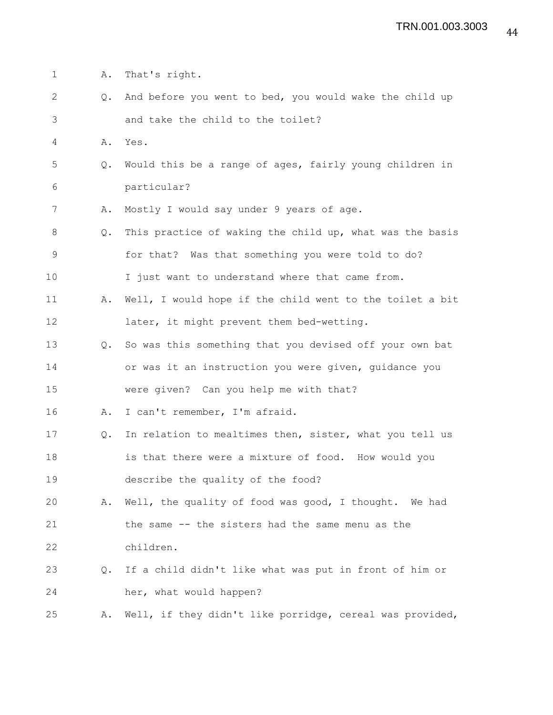- 1 A. That's right.
- 2 Q. And before you went to bed, you would wake the child up 3 and take the child to the toilet?
- 4 A. Yes.
- 5 Q. Would this be a range of ages, fairly young children in 6 particular?
- 7 A. Mostly I would say under 9 years of age.
- 8 Q. This practice of waking the child up, what was the basis 9 for that? Was that something you were told to do?
- 10 I just want to understand where that came from.
- 11 A. Well, I would hope if the child went to the toilet a bit 12 later, it might prevent them bed-wetting.
- 13 Q. So was this something that you devised off your own bat 14 or was it an instruction you were given, guidance you 15 were given? Can you help me with that?
- 16 A. I can't remember, I'm afraid.
- 17 Q. In relation to mealtimes then, sister, what you tell us 18 is that there were a mixture of food. How would you 19 describe the quality of the food?
- 20 A. Well, the quality of food was good, I thought. We had 21 the same -- the sisters had the same menu as the 22 children.
- 23 Q. If a child didn't like what was put in front of him or 24 her, what would happen?

25 A. Well, if they didn't like porridge, cereal was provided,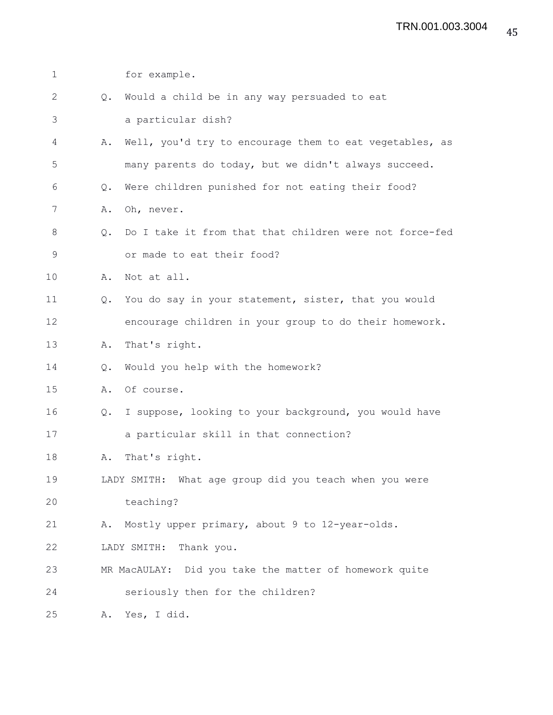| $\mathbf 1$  |               | for example.                                            |
|--------------|---------------|---------------------------------------------------------|
| $\mathbf{2}$ | Q.            | Would a child be in any way persuaded to eat            |
| 3            |               | a particular dish?                                      |
| 4            | Α.            | Well, you'd try to encourage them to eat vegetables, as |
| 5            |               | many parents do today, but we didn't always succeed.    |
| 6            | $Q_{\bullet}$ | Were children punished for not eating their food?       |
| 7            | Α.            | Oh, never.                                              |
| 8            | $Q_{\bullet}$ | Do I take it from that that children were not force-fed |
| 9            |               | or made to eat their food?                              |
| 10           | Α.            | Not at all.                                             |
| 11           | Q.            | You do say in your statement, sister, that you would    |
| 12           |               | encourage children in your group to do their homework.  |
| 13           | Α.            | That's right.                                           |
| 14           | Q.            | Would you help with the homework?                       |
| 15           | Α.            | Of course.                                              |
| 16           | Q.            | I suppose, looking to your background, you would have   |
| 17           |               | a particular skill in that connection?                  |
| 18           | Α.            | That's right.                                           |
| 19           |               | LADY SMITH: What age group did you teach when you were  |
| 20           |               | teaching?                                               |
| 21           | Α.            | Mostly upper primary, about 9 to 12-year-olds.          |
| 22           |               | LADY SMITH:<br>Thank you.                               |
| 23           |               | MR MacAULAY: Did you take the matter of homework quite  |
| 24           |               | seriously then for the children?                        |
| 25           | Α.            | Yes, I did.                                             |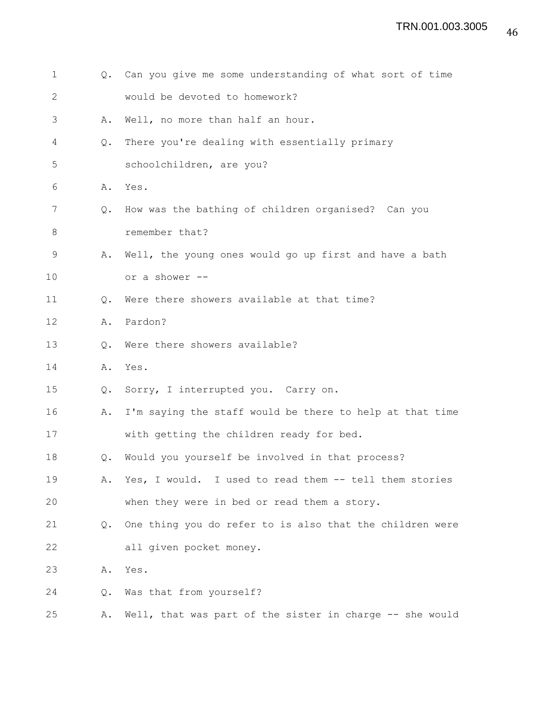1 Q. Can you give me some understanding of what sort of time 2 would be devoted to homework? 3 A. Well, no more than half an hour. 4 Q. There you're dealing with essentially primary 5 schoolchildren, are you? 6 A. Yes. 7 Q. How was the bathing of children organised? Can you 8 remember that? 9 A. Well, the young ones would go up first and have a bath 10 or a shower -- 11 Q. Were there showers available at that time? 12 A. Pardon? 13 O. Were there showers available? 14 A. Yes. 15 Q. Sorry, I interrupted you. Carry on. 16 A. I'm saying the staff would be there to help at that time 17 with getting the children ready for bed. 18 Q. Would you yourself be involved in that process? 19 A. Yes, I would. I used to read them -- tell them stories 20 when they were in bed or read them a story. 21 Q. One thing you do refer to is also that the children were 22 all given pocket money. 23 A. Yes. 24 Q. Was that from yourself? 25 A. Well, that was part of the sister in charge -- she would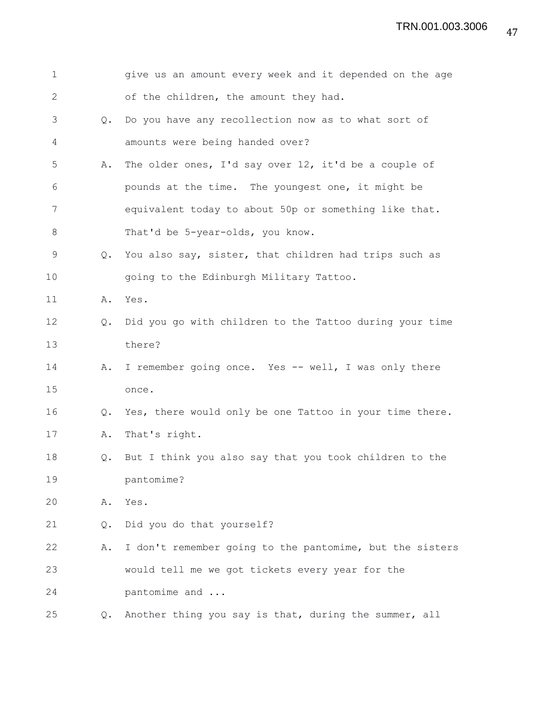| 1            |               | give us an amount every week and it depended on the age  |
|--------------|---------------|----------------------------------------------------------|
| $\mathbf{2}$ |               | of the children, the amount they had.                    |
| 3            | $Q_{\bullet}$ | Do you have any recollection now as to what sort of      |
| 4            |               | amounts were being handed over?                          |
| 5            | Α.            | The older ones, I'd say over 12, it'd be a couple of     |
| 6            |               | pounds at the time. The youngest one, it might be        |
| 7            |               | equivalent today to about 50p or something like that.    |
| 8            |               | That'd be 5-year-olds, you know.                         |
| 9            | $Q_{\bullet}$ | You also say, sister, that children had trips such as    |
| 10           |               | going to the Edinburgh Military Tattoo.                  |
| 11           | Α.            | Yes.                                                     |
| 12           | $Q_{\bullet}$ | Did you go with children to the Tattoo during your time  |
| 13           |               | there?                                                   |
| 14           | Α.            | I remember going once. Yes -- well, I was only there     |
| 15           |               | once.                                                    |
| 16           | Q.            | Yes, there would only be one Tattoo in your time there.  |
| 17           | Α.            | That's right.                                            |
| 18           | $Q_{\bullet}$ | But I think you also say that you took children to the   |
| 19           |               | pantomime?                                               |
| 20           | Α.            | Yes.                                                     |
| 21           | Q.            | Did you do that yourself?                                |
| 22           | Α.            | I don't remember going to the pantomime, but the sisters |
| 23           |               | would tell me we got tickets every year for the          |
| 24           |               | pantomime and                                            |
| 25           | $Q_{\bullet}$ | Another thing you say is that, during the summer, all    |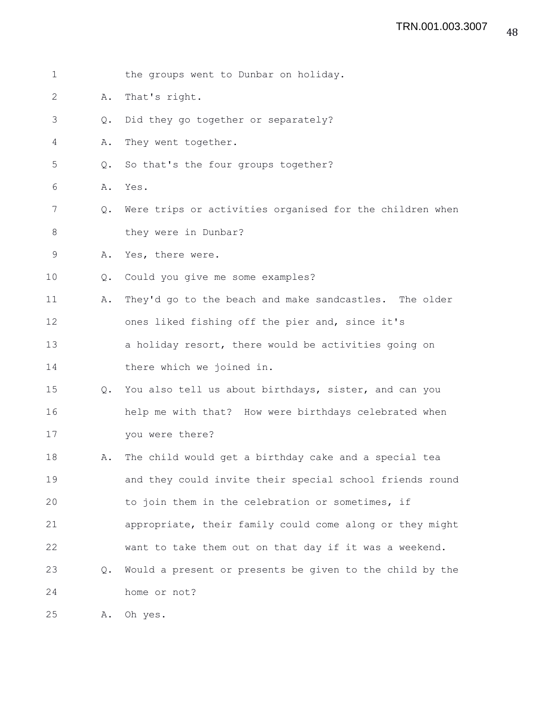| $\mathbf 1$  |                | the groups went to Dunbar on holiday.                    |
|--------------|----------------|----------------------------------------------------------|
| $\mathbf{2}$ | Α.             | That's right.                                            |
| 3            | $Q_{\bullet}$  | Did they go together or separately?                      |
| 4            | Α.             | They went together.                                      |
| 5            | Q.             | So that's the four groups together?                      |
| 6            | Α.             | Yes.                                                     |
| 7            | Q.             | Were trips or activities organised for the children when |
| 8            |                | they were in Dunbar?                                     |
| 9            | Α.             | Yes, there were.                                         |
| 10           | $\mathsf{Q}$ . | Could you give me some examples?                         |
| 11           | Α.             | They'd go to the beach and make sandcastles. The older   |
| 12           |                | ones liked fishing off the pier and, since it's          |
| 13           |                | a holiday resort, there would be activities going on     |
| 14           |                | there which we joined in.                                |
| 15           | Q.             | You also tell us about birthdays, sister, and can you    |
| 16           |                | help me with that? How were birthdays celebrated when    |
| 17           |                | you were there?                                          |
| 18           | Α.             | The child would get a birthday cake and a special tea    |
| 19           |                | and they could invite their special school friends round |
| 20           |                | to join them in the celebration or sometimes, if         |
| 21           |                | appropriate, their family could come along or they might |
| 22           |                | want to take them out on that day if it was a weekend.   |
| 23           | $Q_{\bullet}$  | Would a present or presents be given to the child by the |
| 24           |                | home or not?                                             |
| 25           | Α.             | Oh yes.                                                  |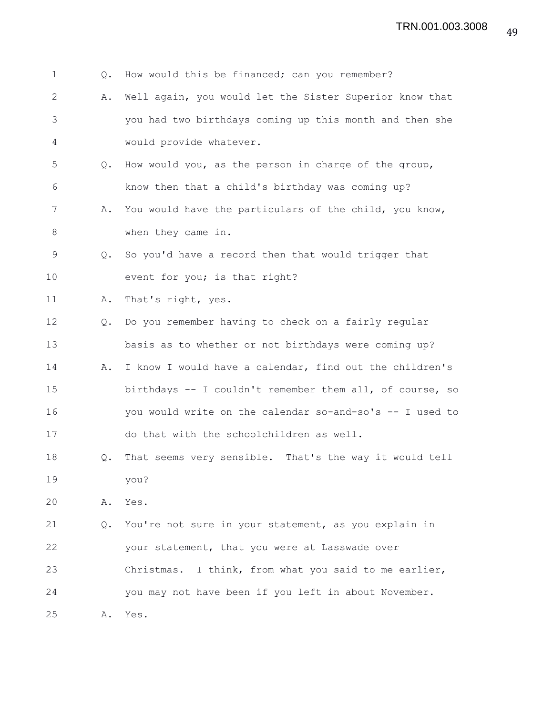| $\mathbf 1$  | Q.            | How would this be financed; can you remember?            |
|--------------|---------------|----------------------------------------------------------|
| $\mathbf{2}$ | Α.            | Well again, you would let the Sister Superior know that  |
| 3            |               | you had two birthdays coming up this month and then she  |
| 4            |               | would provide whatever.                                  |
| 5            | Q.            | How would you, as the person in charge of the group,     |
| 6            |               | know then that a child's birthday was coming up?         |
| 7            | Α.            | You would have the particulars of the child, you know,   |
| 8            |               | when they came in.                                       |
| 9            | Q.            | So you'd have a record then that would trigger that      |
| 10           |               | event for you; is that right?                            |
| 11           | Α.            | That's right, yes.                                       |
| 12           | Q.            | Do you remember having to check on a fairly regular      |
| 13           |               | basis as to whether or not birthdays were coming up?     |
| 14           | Α.            | I know I would have a calendar, find out the children's  |
| 15           |               | birthdays -- I couldn't remember them all, of course, so |
| 16           |               | you would write on the calendar so-and-so's -- I used to |
| 17           |               | do that with the schoolchildren as well.                 |
| 18           | $Q_{\bullet}$ | That seems very sensible. That's the way it would tell   |
| 19           |               | you?                                                     |
| 20           | Α.            | Yes.                                                     |
| 21           | Q.            | You're not sure in your statement, as you explain in     |
| 22           |               | your statement, that you were at Lasswade over           |
| 23           |               | Christmas. I think, from what you said to me earlier,    |
| 24           |               | you may not have been if you left in about November.     |
| 25           | Α.            | Yes.                                                     |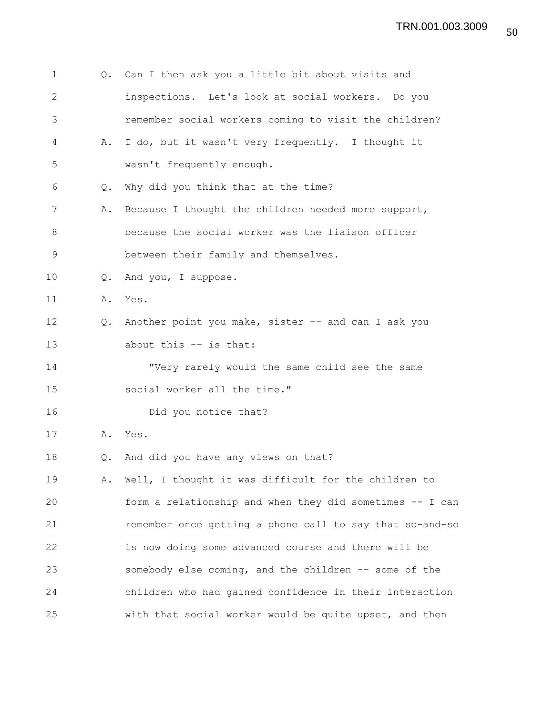| $\mathbf 1$ | Q. | Can I then ask you a little bit about visits and         |
|-------------|----|----------------------------------------------------------|
| 2           |    | inspections. Let's look at social workers. Do you        |
| 3           |    | remember social workers coming to visit the children?    |
| 4           | Α. | I do, but it wasn't very frequently. I thought it        |
| 5           |    | wasn't frequently enough.                                |
| 6           | Q. | Why did you think that at the time?                      |
| 7           | Α. | Because I thought the children needed more support,      |
| $8\,$       |    | because the social worker was the liaison officer        |
| 9           |    | between their family and themselves.                     |
| 10          | Q. | And you, I suppose.                                      |
| 11          |    | A. Yes.                                                  |
| 12          | Q. | Another point you make, sister -- and can I ask you      |
| 13          |    | about this -- is that:                                   |
| 14          |    | "Very rarely would the same child see the same           |
| 15          |    | social worker all the time."                             |
| 16          |    | Did you notice that?                                     |
| 17          |    | A. Yes.                                                  |
| 18          | Q. | And did you have any views on that?                      |
| 19          | Α. | Well, I thought it was difficult for the children to     |
| 20          |    | form a relationship and when they did sometimes -- I can |
| 21          |    | remember once getting a phone call to say that so-and-so |
| 22          |    | is now doing some advanced course and there will be      |
| 23          |    | somebody else coming, and the children -- some of the    |
| 24          |    | children who had gained confidence in their interaction  |
| 25          |    | with that social worker would be quite upset, and then   |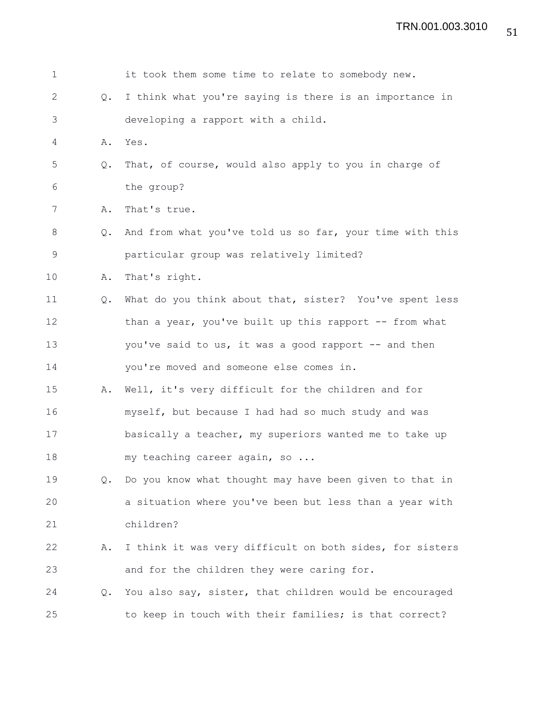| $\mathbf 1$   |               | it took them some time to relate to somebody new.        |
|---------------|---------------|----------------------------------------------------------|
| $\mathbf{2}$  | Q.            | I think what you're saying is there is an importance in  |
| 3             |               | developing a rapport with a child.                       |
| 4             | Α.            | Yes.                                                     |
| 5             | Q.            | That, of course, would also apply to you in charge of    |
| 6             |               | the group?                                               |
| 7             | Α.            | That's true.                                             |
| 8             | $Q_{\bullet}$ | And from what you've told us so far, your time with this |
| $\mathcal{G}$ |               | particular group was relatively limited?                 |
| 10            | Α.            | That's right.                                            |
| 11            | Q.            | What do you think about that, sister? You've spent less  |
| 12            |               | than a year, you've built up this rapport -- from what   |
| 13            |               | you've said to us, it was a good rapport -- and then     |
| 14            |               | you're moved and someone else comes in.                  |
| 15            | Α.            | Well, it's very difficult for the children and for       |
| 16            |               | myself, but because I had had so much study and was      |
| 17            |               | basically a teacher, my superiors wanted me to take up   |
| 18            |               | my teaching career again, so                             |
| 19            | Q.            | Do you know what thought may have been given to that in  |
| 20            |               | a situation where you've been but less than a year with  |
| 21            |               | children?                                                |
| 22            | Α.            | I think it was very difficult on both sides, for sisters |
| 23            |               | and for the children they were caring for.               |
| 24            | Q.            | You also say, sister, that children would be encouraged  |
| 25            |               | to keep in touch with their families; is that correct?   |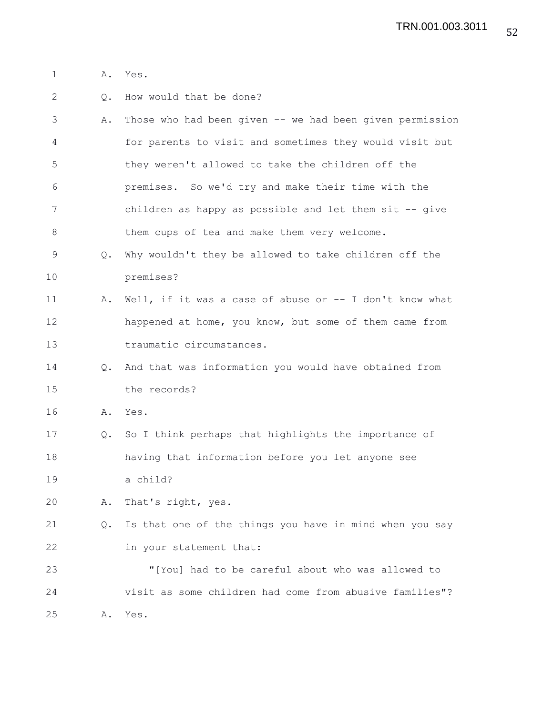- 1 A. Yes.
- 2 Q. How would that be done?
- 3 A. Those who had been given -- we had been given permission 4 for parents to visit and sometimes they would visit but 5 they weren't allowed to take the children off the 6 premises. So we'd try and make their time with the 7 children as happy as possible and let them sit -- give 8 them cups of tea and make them very welcome.
- 9 Q. Why wouldn't they be allowed to take children off the 10 premises?
- 11 A. Well, if it was a case of abuse or -- I don't know what 12 happened at home, you know, but some of them came from 13 traumatic circumstances.
- 14 Q. And that was information you would have obtained from 15 the records?
- 16 A. Yes.
- 17 Q. So I think perhaps that highlights the importance of 18 having that information before you let anyone see 19 a child?
- 20 A. That's right, yes.
- 21 Q. Is that one of the things you have in mind when you say 22 in your statement that:

23 "[You] had to be careful about who was allowed to 24 visit as some children had come from abusive families"? 25 A. Yes.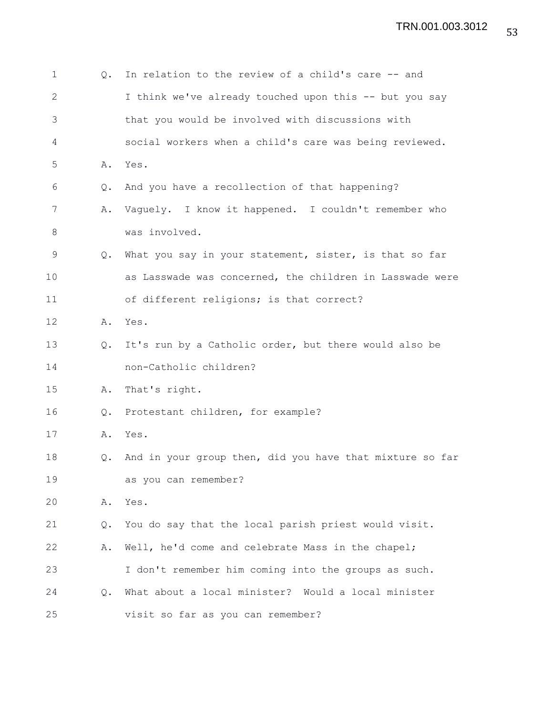| 1            | Q.            | In relation to the review of a child's care -- and       |
|--------------|---------------|----------------------------------------------------------|
| $\mathbf{2}$ |               | I think we've already touched upon this -- but you say   |
| 3            |               | that you would be involved with discussions with         |
| 4            |               | social workers when a child's care was being reviewed.   |
| 5            | Α.            | Yes.                                                     |
| 6            | Q.            | And you have a recollection of that happening?           |
| 7            | Α.            | Vaguely. I know it happened. I couldn't remember who     |
| $8\,$        |               | was involved.                                            |
| 9            | $Q_{\bullet}$ | What you say in your statement, sister, is that so far   |
| 10           |               | as Lasswade was concerned, the children in Lasswade were |
| 11           |               | of different religions; is that correct?                 |
| 12           | Α.            | Yes.                                                     |
| 13           | $\circ$ .     | It's run by a Catholic order, but there would also be    |
| 14           |               | non-Catholic children?                                   |
| 15           | Α.            | That's right.                                            |
| 16           | Q.            | Protestant children, for example?                        |
| 17           | Α.            | Yes.                                                     |
| 18           | Q.            | And in your group then, did you have that mixture so far |
| 19           |               | as you can remember?                                     |
| 20           | Α.            | Yes.                                                     |
| 21           | Q.            | You do say that the local parish priest would visit.     |
| 22           | Α.            | Well, he'd come and celebrate Mass in the chapel;        |
| 23           |               | I don't remember him coming into the groups as such.     |
| 24           | $Q_{\bullet}$ | What about a local minister? Would a local minister      |
| 25           |               | visit so far as you can remember?                        |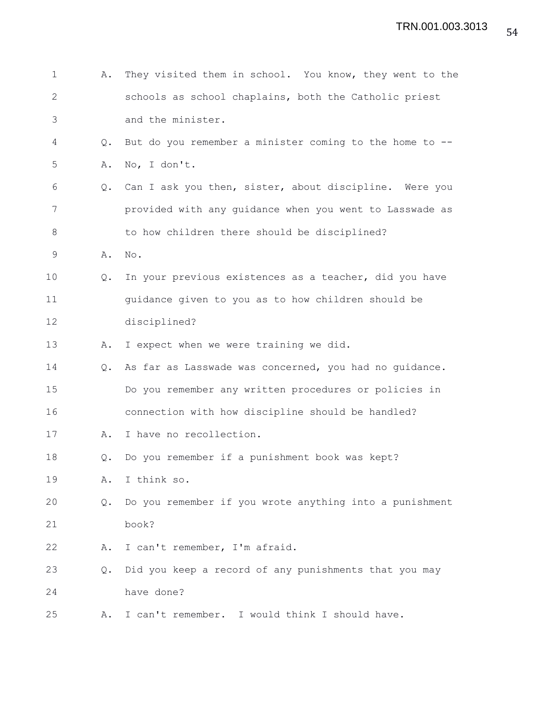| 1            | Α.            | They visited them in school. You know, they went to the |
|--------------|---------------|---------------------------------------------------------|
| $\mathbf{2}$ |               | schools as school chaplains, both the Catholic priest   |
| 3            |               | and the minister.                                       |
| 4            | $Q_{\bullet}$ | But do you remember a minister coming to the home to -- |
| 5            | Α.            | No, I don't.                                            |
| 6            | Q.            | Can I ask you then, sister, about discipline. Were you  |
| 7            |               | provided with any guidance when you went to Lasswade as |
| $\,8\,$      |               | to how children there should be disciplined?            |
| 9            | Α.            | No.                                                     |
| 10           | Q.            | In your previous existences as a teacher, did you have  |
| 11           |               | guidance given to you as to how children should be      |
| 12           |               | disciplined?                                            |
| 13           | Α.            | I expect when we were training we did.                  |
| 14           | $Q_{\bullet}$ | As far as Lasswade was concerned, you had no guidance.  |
| 15           |               | Do you remember any written procedures or policies in   |
| 16           |               | connection with how discipline should be handled?       |
| 17           | Α.            | I have no recollection.                                 |
| 18           | Q.            | Do you remember if a punishment book was kept?          |
| 19           | Α.            | I think so.                                             |
| 20           | Q.            | Do you remember if you wrote anything into a punishment |
| 21           |               | book?                                                   |
| 22           | Α.            | I can't remember, I'm afraid.                           |
| 23           | $Q_{\bullet}$ | Did you keep a record of any punishments that you may   |
| 24           |               | have done?                                              |
| 25           | Α.            | I can't remember. I would think I should have.          |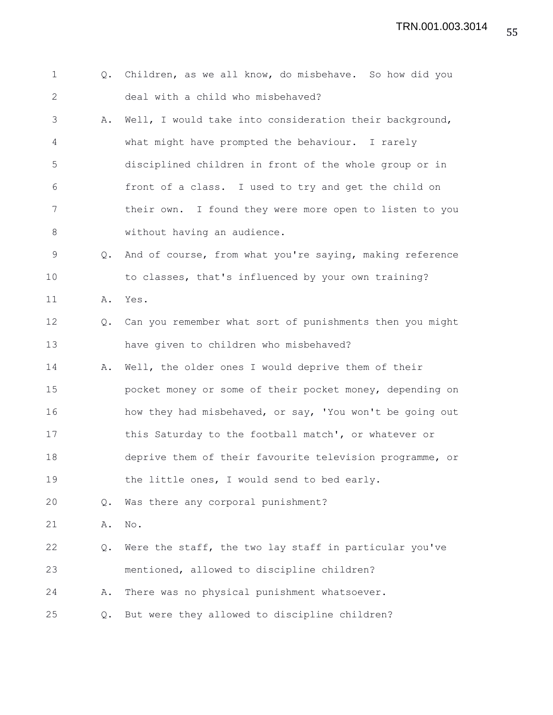TRN.001.003.3014

| $\mathbf 1$  | $Q_{\bullet}$ | Children, as we all know, do misbehave. So how did you   |
|--------------|---------------|----------------------------------------------------------|
| $\mathbf{2}$ |               | deal with a child who misbehaved?                        |
| 3            | Α.            | Well, I would take into consideration their background,  |
| 4            |               | what might have prompted the behaviour. I rarely         |
| 5            |               | disciplined children in front of the whole group or in   |
| 6            |               | front of a class. I used to try and get the child on     |
| 7            |               | their own. I found they were more open to listen to you  |
| 8            |               | without having an audience.                              |
| 9            | Q.            | And of course, from what you're saying, making reference |
| 10           |               | to classes, that's influenced by your own training?      |
| 11           | Α.            | Yes.                                                     |
| 12           | $Q_{\bullet}$ | Can you remember what sort of punishments then you might |
| 13           |               | have given to children who misbehaved?                   |
| 14           | Α.            | Well, the older ones I would deprive them of their       |
| 15           |               | pocket money or some of their pocket money, depending on |
| 16           |               | how they had misbehaved, or say, 'You won't be going out |
| 17           |               | this Saturday to the football match', or whatever or     |
| 18           |               | deprive them of their favourite television programme, or |
| 19           |               | the little ones, I would send to bed early.              |
| 20           | Q.            | Was there any corporal punishment?                       |
| 21           | Α.            | No.                                                      |
| 22           | Q.            | Were the staff, the two lay staff in particular you've   |
| 23           |               | mentioned, allowed to discipline children?               |
| 24           | Α.            | There was no physical punishment whatsoever.             |
| 25           | Q.            | But were they allowed to discipline children?            |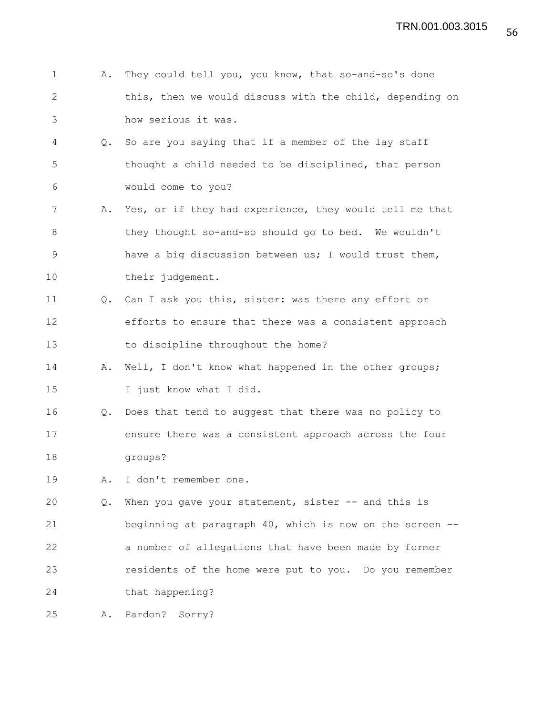|               | A. They could tell you, you know, that so-and-so's done  |
|---------------|----------------------------------------------------------|
|               | this, then we would discuss with the child, depending on |
| $\mathcal{S}$ | how serious it was.                                      |

- 4 Q. So are you saying that if a member of the lay staff 5 thought a child needed to be disciplined, that person 6 would come to you?
- 7 A. Yes, or if they had experience, they would tell me that 8 they thought so-and-so should go to bed. We wouldn't 9 have a big discussion between us; I would trust them, 10 their judgement.
- 11 Q. Can I ask you this, sister: was there any effort or 12 efforts to ensure that there was a consistent approach 13 to discipline throughout the home?
- 14 A. Well, I don't know what happened in the other groups; 15 I just know what I did.
- 16 Q. Does that tend to suggest that there was no policy to 17 ensure there was a consistent approach across the four 18 groups?
- 19 A. I don't remember one.

20 Q. When you gave your statement, sister -- and this is 21 beginning at paragraph 40, which is now on the screen -- 22 a number of allegations that have been made by former 23 residents of the home were put to you. Do you remember 24 that happening?

```
25 A. Pardon? Sorry?
```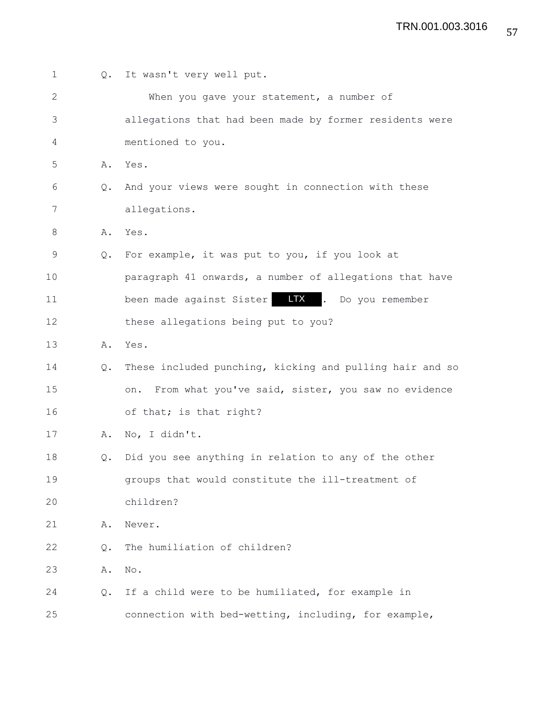| $\mathbf 1$  | Q.            | It wasn't very well put.                                  |
|--------------|---------------|-----------------------------------------------------------|
| $\mathbf{2}$ |               | When you gave your statement, a number of                 |
| 3            |               | allegations that had been made by former residents were   |
| 4            |               | mentioned to you.                                         |
| 5            | Α.            | Yes.                                                      |
| 6            | $Q_{\bullet}$ | And your views were sought in connection with these       |
| 7            |               | allegations.                                              |
| 8            | Α.            | Yes.                                                      |
| $\mathsf 9$  | $Q_{\bullet}$ | For example, it was put to you, if you look at            |
| 10           |               | paragraph 41 onwards, a number of allegations that have   |
| 11           |               | been made against Sister <b>LTX</b> . Do you remember     |
| 12           |               | these allegations being put to you?                       |
| 13           | Α.            | Yes.                                                      |
| 14           | Q.            | These included punching, kicking and pulling hair and so  |
| 15           |               | From what you've said, sister, you saw no evidence<br>on. |
| 16           |               | of that; is that right?                                   |
| 17           | Α.            | No, I didn't.                                             |
| 18           | Q.            | Did you see anything in relation to any of the other      |
| 19           |               | groups that would constitute the ill-treatment of         |
| 20           |               | children?                                                 |
| 21           | Α.            | Never.                                                    |
| 22           | Q.            | The humiliation of children?                              |
| 23           | Α.            | No.                                                       |
| 24           | Q.            | If a child were to be humiliated, for example in          |
| 25           |               | connection with bed-wetting, including, for example,      |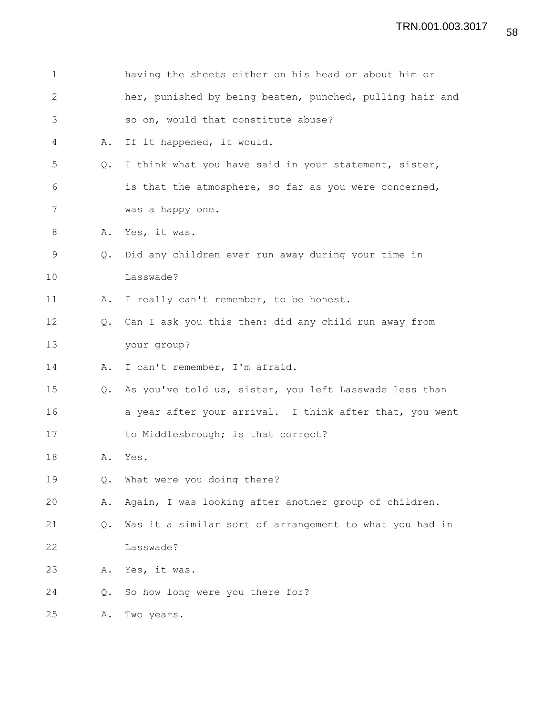| 1            |               | having the sheets either on his head or about him or     |
|--------------|---------------|----------------------------------------------------------|
| $\mathbf{2}$ |               | her, punished by being beaten, punched, pulling hair and |
| 3            |               | so on, would that constitute abuse?                      |
| 4            | Α.            | If it happened, it would.                                |
| 5            | Q.            | I think what you have said in your statement, sister,    |
| 6            |               | is that the atmosphere, so far as you were concerned,    |
| 7            |               | was a happy one.                                         |
| 8            | Α.            | Yes, it was.                                             |
| 9            | $Q_{\bullet}$ | Did any children ever run away during your time in       |
| 10           |               | Lasswade?                                                |
| 11           | Α.            | I really can't remember, to be honest.                   |
| 12           | $Q_{\bullet}$ | Can I ask you this then: did any child run away from     |
| 13           |               | your group?                                              |
| 14           | Α.            | I can't remember, I'm afraid.                            |
| 15           | Q.            | As you've told us, sister, you left Lasswade less than   |
| 16           |               | a year after your arrival. I think after that, you went  |
| 17           |               | to Middlesbrough; is that correct?                       |
| 18           | Α.            | Yes.                                                     |
| 19           | Q.            | What were you doing there?                               |
| 20           | Α.            | Again, I was looking after another group of children.    |
| 21           | Q.            | Was it a similar sort of arrangement to what you had in  |
| 22           |               | Lasswade?                                                |
| 23           | Α.            | Yes, it was.                                             |
| 24           | Q.            | So how long were you there for?                          |
| 25           | Α.            | Two years.                                               |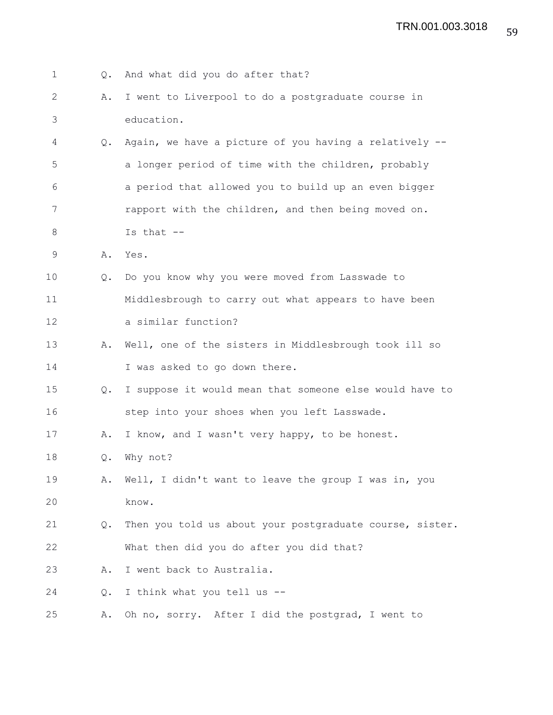| $\mathbf 1$ | Q.            | And what did you do after that?                          |
|-------------|---------------|----------------------------------------------------------|
| 2           | Α.            | I went to Liverpool to do a postgraduate course in       |
| 3           |               | education.                                               |
| 4           | $Q_{\bullet}$ | Again, we have a picture of you having a relatively --   |
| 5           |               | a longer period of time with the children, probably      |
| 6           |               | a period that allowed you to build up an even bigger     |
| 7           |               | rapport with the children, and then being moved on.      |
| 8           |               | Is that $--$                                             |
| $\mathsf 9$ | Α.            | Yes.                                                     |
| 10          | Q.            | Do you know why you were moved from Lasswade to          |
| 11          |               | Middlesbrough to carry out what appears to have been     |
| 12          |               | a similar function?                                      |
| 13          | Α.            | Well, one of the sisters in Middlesbrough took ill so    |
| 14          |               | I was asked to go down there.                            |
| 15          | Q.            | I suppose it would mean that someone else would have to  |
| 16          |               | step into your shoes when you left Lasswade.             |
| 17          | Α.            | I know, and I wasn't very happy, to be honest.           |
| 18          | Q.            | Why not?                                                 |
| 19          | Α.            | Well, I didn't want to leave the group I was in, you     |
| 20          |               | know.                                                    |
| 21          | Q.            | Then you told us about your postgraduate course, sister. |
| 22          |               | What then did you do after you did that?                 |
| 23          | Α.            | I went back to Australia.                                |
| 24          | Q.            | I think what you tell us --                              |
| 25          | Α.            | Oh no, sorry. After I did the postgrad, I went to        |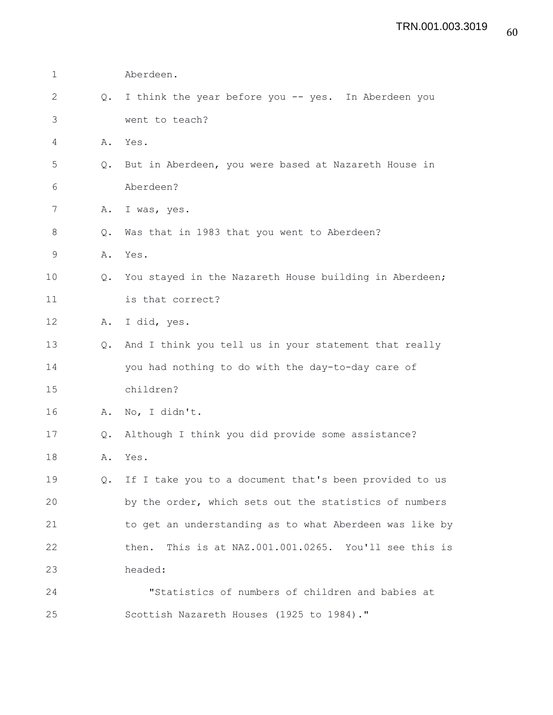| 1            |               | Aberdeen.                                                |
|--------------|---------------|----------------------------------------------------------|
| $\mathbf{2}$ | Q.            | I think the year before you -- yes. In Aberdeen you      |
| 3            |               | went to teach?                                           |
| 4            | Α.            | Yes.                                                     |
| 5            | Q.            | But in Aberdeen, you were based at Nazareth House in     |
| 6            |               | Aberdeen?                                                |
| 7            | Α.            | I was, yes.                                              |
| 8            | Q.            | Was that in 1983 that you went to Aberdeen?              |
| 9            | Α.            | Yes.                                                     |
| 10           | Q.            | You stayed in the Nazareth House building in Aberdeen;   |
| 11           |               | is that correct?                                         |
| 12           | Α.            | I did, yes.                                              |
| 13           | $Q_{\bullet}$ | And I think you tell us in your statement that really    |
| 14           |               | you had nothing to do with the day-to-day care of        |
| 15           |               | children?                                                |
| 16           | Α.            | No, I didn't.                                            |
| 17           | Q.            | Although I think you did provide some assistance?        |
| 18           | Α.            | Yes.                                                     |
| 19           | $Q_{\bullet}$ | If I take you to a document that's been provided to us   |
| 20           |               | by the order, which sets out the statistics of numbers   |
| 21           |               | to get an understanding as to what Aberdeen was like by  |
| 22           |               | This is at NAZ.001.001.0265. You'll see this is<br>then. |
| 23           |               | headed:                                                  |
| 24           |               | "Statistics of numbers of children and babies at         |
| 25           |               | Scottish Nazareth Houses (1925 to 1984)."                |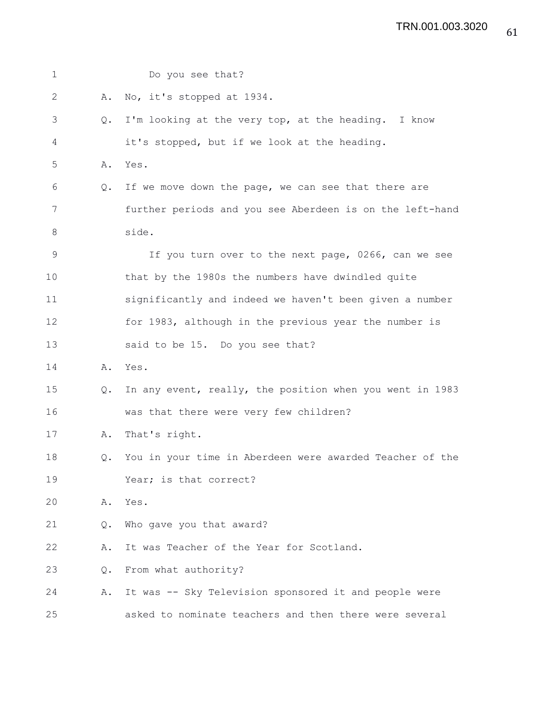| $\mathbf 1$   |    | Do you see that?                                         |
|---------------|----|----------------------------------------------------------|
| $\mathbf{2}$  | Α. | No, it's stopped at 1934.                                |
| 3             | Q. | I'm looking at the very top, at the heading. I know      |
| 4             |    | it's stopped, but if we look at the heading.             |
| 5             | Α. | Yes.                                                     |
| 6             | Q. | If we move down the page, we can see that there are      |
| 7             |    | further periods and you see Aberdeen is on the left-hand |
| 8             |    | side.                                                    |
| $\mathcal{G}$ |    | If you turn over to the next page, 0266, can we see      |
| 10            |    | that by the 1980s the numbers have dwindled quite        |
| 11            |    | significantly and indeed we haven't been given a number  |
| 12            |    | for 1983, although in the previous year the number is    |
| 13            |    | said to be 15. Do you see that?                          |
| 14            | Α. | Yes.                                                     |
| 15            | Q. | In any event, really, the position when you went in 1983 |
| 16            |    | was that there were very few children?                   |
| 17            | Α. | That's right.                                            |
| 18            | Q. | You in your time in Aberdeen were awarded Teacher of the |
| 19            |    | Year; is that correct?                                   |
| 20            | Α. | Yes.                                                     |
| 21            | Q. | Who gave you that award?                                 |
| 22            | Α. | It was Teacher of the Year for Scotland.                 |
| 23            | Q. | From what authority?                                     |
| 24            | Α. | It was -- Sky Television sponsored it and people were    |
| 25            |    | asked to nominate teachers and then there were several   |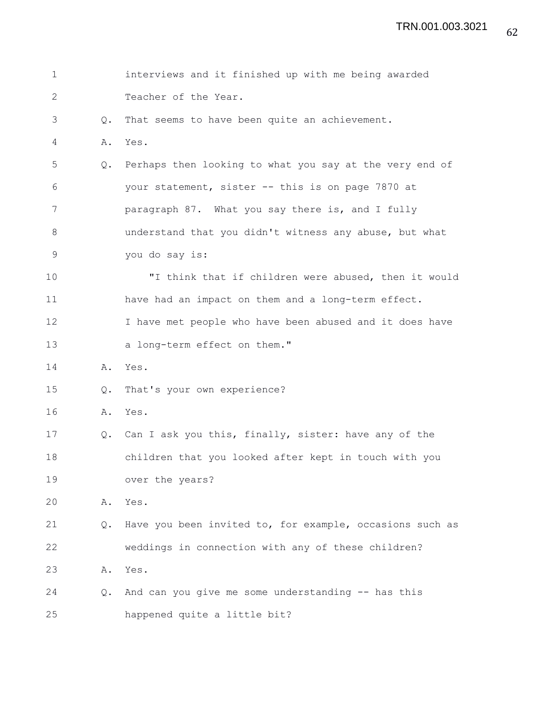| $\mathbf 1$  |                | interviews and it finished up with me being awarded      |
|--------------|----------------|----------------------------------------------------------|
| $\mathbf{2}$ |                | Teacher of the Year.                                     |
| 3            | $Q_{\bullet}$  | That seems to have been quite an achievement.            |
| 4            | Α.             | Yes.                                                     |
| 5            | Q.             | Perhaps then looking to what you say at the very end of  |
| 6            |                | your statement, sister -- this is on page 7870 at        |
| 7            |                | paragraph 87. What you say there is, and I fully         |
| 8            |                | understand that you didn't witness any abuse, but what   |
| $\mathsf 9$  |                | you do say is:                                           |
| 10           |                | "I think that if children were abused, then it would     |
| 11           |                | have had an impact on them and a long-term effect.       |
| 12           |                | I have met people who have been abused and it does have  |
| 13           |                | a long-term effect on them."                             |
| 14           | Α.             | Yes.                                                     |
| 15           | $\mathsf{Q}$ . | That's your own experience?                              |
| 16           | Α.             | Yes.                                                     |
| 17           | $Q_{\bullet}$  | Can I ask you this, finally, sister: have any of the     |
| 18           |                | children that you looked after kept in touch with you    |
| 19           |                | over the years?                                          |
| 20           | Α.             | Yes.                                                     |
| 21           | Q.             | Have you been invited to, for example, occasions such as |
| 22           |                | weddings in connection with any of these children?       |
| 23           | Α.             | Yes.                                                     |
| 24           | $Q_{\bullet}$  | And can you give me some understanding -- has this       |
| 25           |                | happened quite a little bit?                             |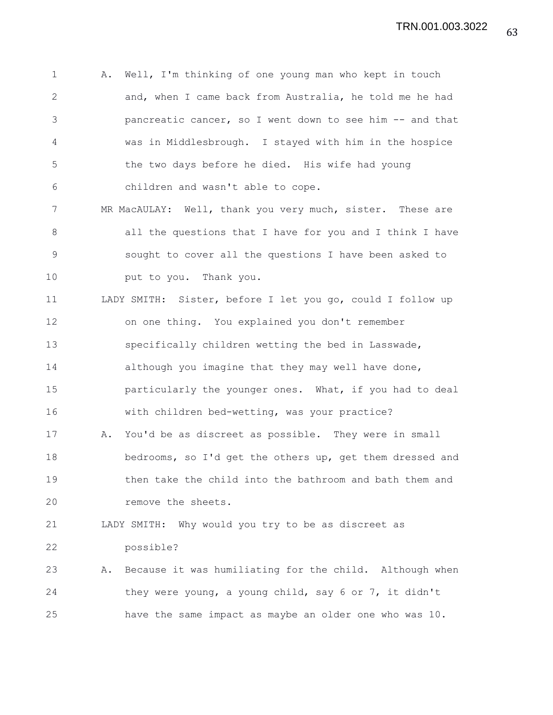1 A. Well, I'm thinking of one young man who kept in touch 2 and, when I came back from Australia, he told me he had 3 pancreatic cancer, so I went down to see him -- and that 4 was in Middlesbrough. I stayed with him in the hospice 5 the two days before he died. His wife had young 6 children and wasn't able to cope. 7 MR MacAULAY: Well, thank you very much, sister. These are 8 all the questions that I have for you and I think I have 9 sought to cover all the questions I have been asked to 10 put to you. Thank you. 11 LADY SMITH: Sister, before I let you go, could I follow up 12 on one thing. You explained you don't remember 13 specifically children wetting the bed in Lasswade, 14 although you imagine that they may well have done, 15 particularly the younger ones. What, if you had to deal 16 with children bed-wetting, was your practice? 17 A. You'd be as discreet as possible. They were in small 18 bedrooms, so I'd get the others up, get them dressed and 19 then take the child into the bathroom and bath them and 20 **remove** the sheets. 21 LADY SMITH: Why would you try to be as discreet as 22 possible? 23 A. Because it was humiliating for the child. Although when 24 they were young, a young child, say 6 or 7, it didn't 25 have the same impact as maybe an older one who was 10.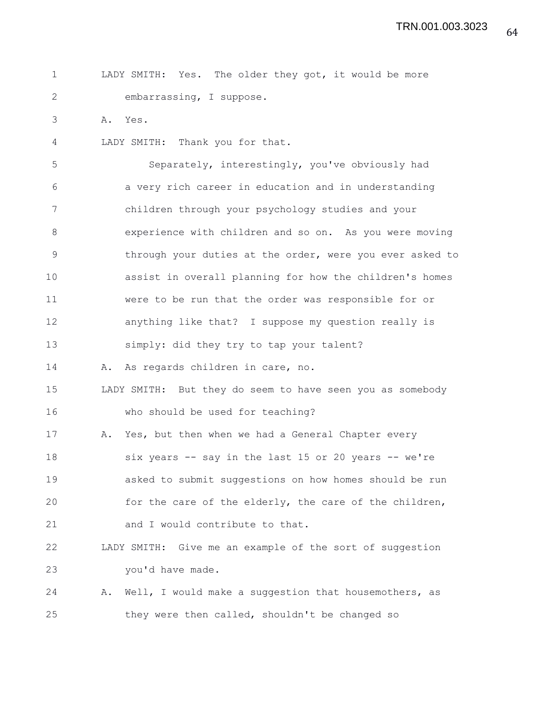| LADY SMITH: Yes. The older they got, it would be more |                          |  |  |  |  |  |
|-------------------------------------------------------|--------------------------|--|--|--|--|--|
|                                                       | embarrassing, I suppose. |  |  |  |  |  |

3 A. Yes.

4 LADY SMITH: Thank you for that.

5 Separately, interestingly, you've obviously had 6 a very rich career in education and in understanding 7 children through your psychology studies and your 8 experience with children and so on. As you were moving 9 through your duties at the order, were you ever asked to 10 assist in overall planning for how the children's homes 11 were to be run that the order was responsible for or 12 anything like that? I suppose my question really is 13 simply: did they try to tap your talent? 14 A. As regards children in care, no. 15 LADY SMITH: But they do seem to have seen you as somebody 16 who should be used for teaching? 17 A. Yes, but then when we had a General Chapter every 18 six years -- say in the last 15 or 20 years -- we're 19 asked to submit suggestions on how homes should be run 20 for the care of the elderly, the care of the children, 21 and I would contribute to that.

22 LADY SMITH: Give me an example of the sort of suggestion 23 you'd have made.

24 A. Well, I would make a suggestion that housemothers, as 25 they were then called, shouldn't be changed so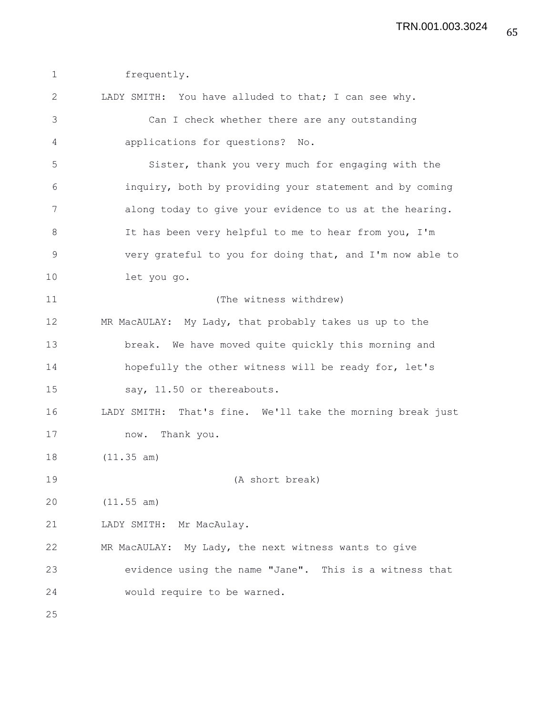1 frequently. 2 LADY SMITH: You have alluded to that; I can see why. 3 Can I check whether there are any outstanding 4 applications for questions? No. 5 Sister, thank you very much for engaging with the 6 inquiry, both by providing your statement and by coming 7 along today to give your evidence to us at the hearing. 8 It has been very helpful to me to hear from you, I'm 9 very grateful to you for doing that, and I'm now able to 10 let you go. 11 (The witness withdrew) 12 MR MacAULAY: My Lady, that probably takes us up to the 13 break. We have moved quite quickly this morning and 14 hopefully the other witness will be ready for, let's 15 say, 11.50 or thereabouts. 16 LADY SMITH: That's fine. We'll take the morning break just 17 now. Thank you. 18 (11.35 am) 19 (A short break) 20 (11.55 am) 21 LADY SMITH: Mr MacAulay. 22 MR MacAULAY: My Lady, the next witness wants to give 23 evidence using the name "Jane". This is a witness that 24 would require to be warned. 25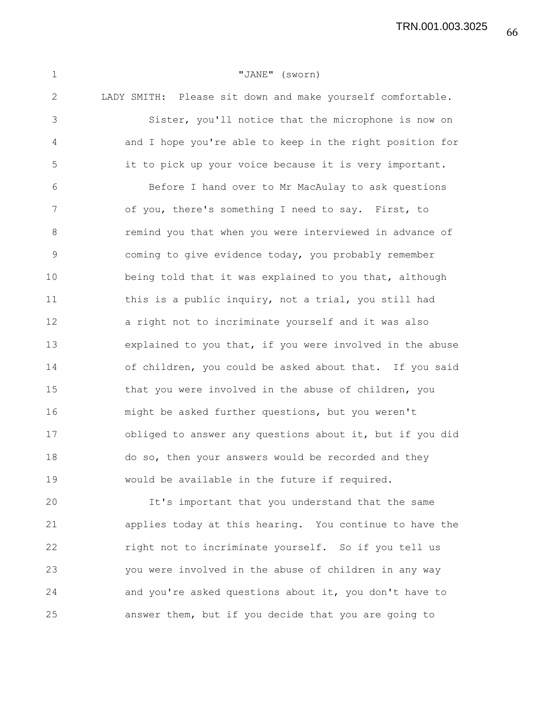66 TRN.001.003.3025

1 "JANE" (sworn) 2 LADY SMITH: Please sit down and make yourself comfortable. 3 Sister, you'll notice that the microphone is now on 4 and I hope you're able to keep in the right position for 5 it to pick up your voice because it is very important. 6 Before I hand over to Mr MacAulay to ask questions 7 of you, there's something I need to say. First, to 8 remind you that when you were interviewed in advance of 9 coming to give evidence today, you probably remember 10 being told that it was explained to you that, although 11 this is a public inquiry, not a trial, you still had 12 a right not to incriminate yourself and it was also 13 explained to you that, if you were involved in the abuse 14 of children, you could be asked about that. If you said 15 that you were involved in the abuse of children, you 16 might be asked further questions, but you weren't 17 obliged to answer any questions about it, but if you did 18 do so, then your answers would be recorded and they 19 would be available in the future if required. 20 It's important that you understand that the same

21 applies today at this hearing. You continue to have the 22 right not to incriminate yourself. So if you tell us 23 you were involved in the abuse of children in any way 24 and you're asked questions about it, you don't have to 25 answer them, but if you decide that you are going to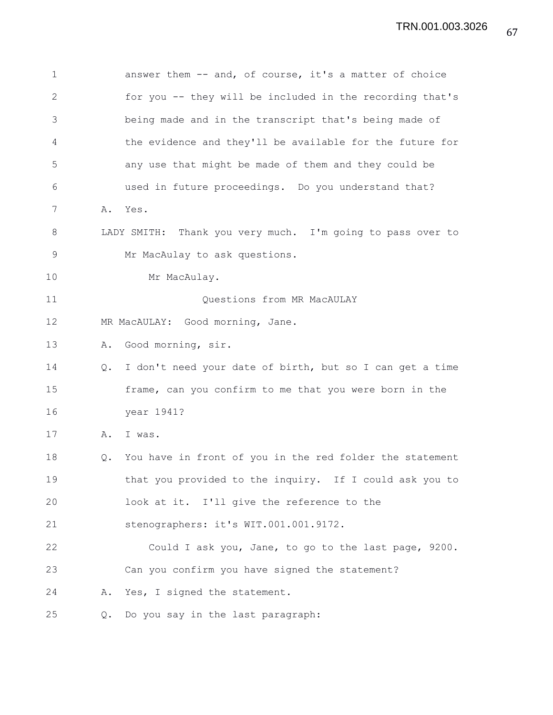1 answer them -- and, of course, it's a matter of choice 2 for you -- they will be included in the recording that's 3 being made and in the transcript that's being made of 4 the evidence and they'll be available for the future for 5 any use that might be made of them and they could be 6 used in future proceedings. Do you understand that? 7 A. Yes. 8 LADY SMITH: Thank you very much. I'm going to pass over to 9 Mr MacAulay to ask questions. 10 Mr MacAulay. 11 Questions from MR MacAULAY 12 MR MacAULAY: Good morning, Jane. 13 A. Good morning, sir. 14 Q. I don't need your date of birth, but so I can get a time 15 frame, can you confirm to me that you were born in the 16 year 1941? 17 A. I was. 18 Q. You have in front of you in the red folder the statement 19 that you provided to the inquiry. If I could ask you to 20 look at it. I'll give the reference to the 21 stenographers: it's WIT.001.001.9172. 22 Could I ask you, Jane, to go to the last page, 9200. 23 Can you confirm you have signed the statement? 24 A. Yes, I signed the statement. 25 Q. Do you say in the last paragraph: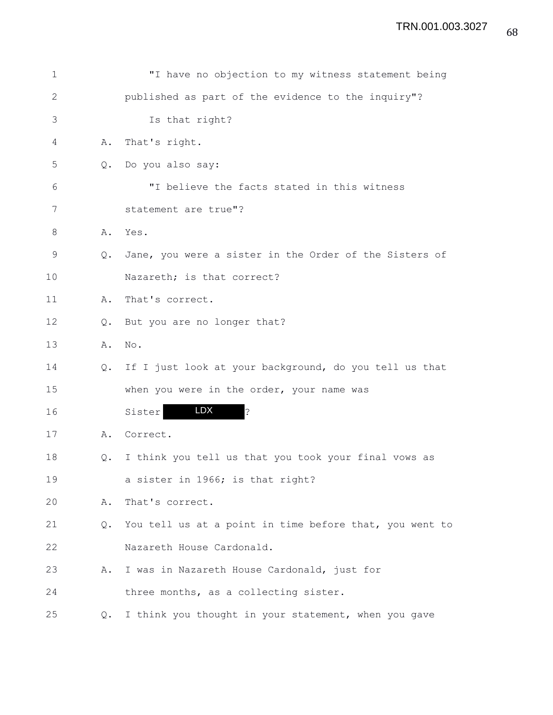| 1            |               | "I have no objection to my witness statement being      |
|--------------|---------------|---------------------------------------------------------|
| $\mathbf{2}$ |               | published as part of the evidence to the inquiry"?      |
| 3            |               | Is that right?                                          |
| 4            | Α.            | That's right.                                           |
| 5            | $Q_{\bullet}$ | Do you also say:                                        |
| 6            |               | "I believe the facts stated in this witness             |
| 7            |               | statement are true"?                                    |
| 8            | Α.            | Yes.                                                    |
| 9            | $Q_{\bullet}$ | Jane, you were a sister in the Order of the Sisters of  |
| 10           |               | Nazareth; is that correct?                              |
| 11           | Α.            | That's correct.                                         |
| 12           | $Q_{\bullet}$ | But you are no longer that?                             |
| 13           | Α.            | No.                                                     |
| 14           | $Q_{\bullet}$ | If I just look at your background, do you tell us that  |
| 15           |               | when you were in the order, your name was               |
| 16           |               | LDX<br>İ.<br>Sister                                     |
| 17           | Α.            | Correct.                                                |
| 18           | Q.            | I think you tell us that you took your final vows as    |
| 19           |               | a sister in 1966; is that right?                        |
| 20           | Α.            | That's correct.                                         |
| 21           | Q.            | You tell us at a point in time before that, you went to |
| 22           |               | Nazareth House Cardonald.                               |
| 23           | Α.            | I was in Nazareth House Cardonald, just for             |
| 24           |               | three months, as a collecting sister.                   |
| 25           | $Q_{\bullet}$ | I think you thought in your statement, when you gave    |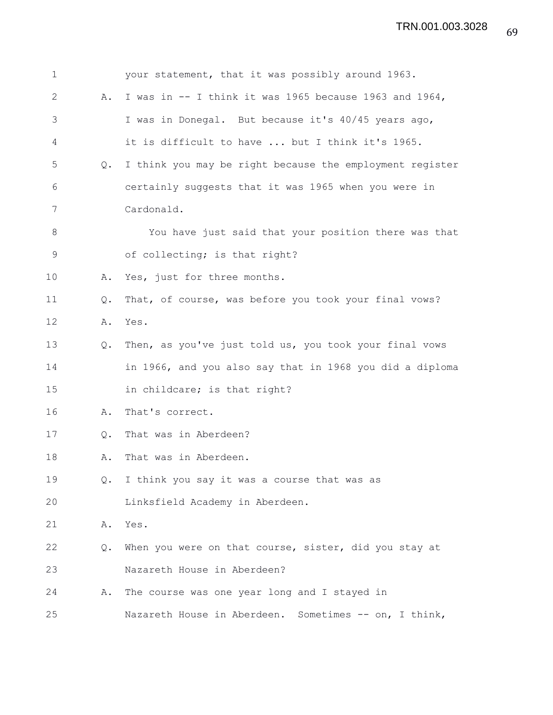| $\mathbf 1$  |               | your statement, that it was possibly around 1963.          |
|--------------|---------------|------------------------------------------------------------|
| $\mathbf{2}$ | Α.            | I was in -- I think it was 1965 because 1963 and 1964,     |
| 3            |               | I was in Donegal. But because it's 40/45 years ago,        |
| 4            |               | it is difficult to have  but I think it's 1965.            |
| 5            | Q.            | I think you may be right because the employment register   |
| 6            |               | certainly suggests that it was 1965 when you were in       |
| 7            |               | Cardonald.                                                 |
| 8            |               | You have just said that your position there was that       |
| 9            |               | of collecting; is that right?                              |
| 10           | Α.            | Yes, just for three months.                                |
| 11           | $Q_{\bullet}$ | That, of course, was before you took your final vows?      |
| 12           | Α.            | Yes.                                                       |
| 13           | Q.            | Then, as you've just told us, you took your final vows     |
| 14           |               | in 1966, and you also say that in 1968 you did a diploma   |
| 15           |               | in childcare; is that right?                               |
| 16           | Α.            | That's correct.                                            |
| 17           | Q.            | That was in Aberdeen?                                      |
| 18           | Α.            | That was in Aberdeen.                                      |
| 19           | $Q_{\bullet}$ | I think you say it was a course that was as                |
| 20           |               | Linksfield Academy in Aberdeen.                            |
| 21           | Α.            | Yes.                                                       |
| 22           | Q.            | When you were on that course, sister, did you stay at      |
| 23           |               | Nazareth House in Aberdeen?                                |
| 24           | Α.            | The course was one year long and I stayed in               |
| 25           |               | Nazareth House in Aberdeen.<br>Sometimes $--$ on, I think, |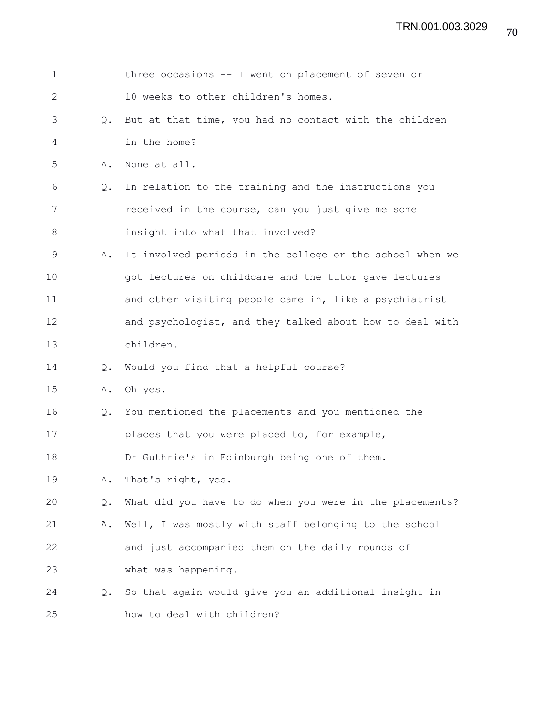| $\mathbf 1$  |               | three occasions -- I went on placement of seven or       |
|--------------|---------------|----------------------------------------------------------|
| $\mathbf{2}$ |               | 10 weeks to other children's homes.                      |
| 3            | Q.            | But at that time, you had no contact with the children   |
| 4            |               | in the home?                                             |
| 5            | Α.            | None at all.                                             |
| 6            | Q.            | In relation to the training and the instructions you     |
| 7            |               | received in the course, can you just give me some        |
| 8            |               | insight into what that involved?                         |
| 9            | Α.            | It involved periods in the college or the school when we |
| 10           |               | got lectures on childcare and the tutor gave lectures    |
| 11           |               | and other visiting people came in, like a psychiatrist   |
| 12           |               | and psychologist, and they talked about how to deal with |
| 13           |               | children.                                                |
| 14           | Q.            | Would you find that a helpful course?                    |
| 15           | Α.            | Oh yes.                                                  |
| 16           | Q.            | You mentioned the placements and you mentioned the       |
| 17           |               | places that you were placed to, for example,             |
| 18           |               | Dr Guthrie's in Edinburgh being one of them.             |
| 19           | Α.            | That's right, yes.                                       |
| 20           | Q.            | What did you have to do when you were in the placements? |
| 21           | Α.            | Well, I was mostly with staff belonging to the school    |
| 22           |               | and just accompanied them on the daily rounds of         |
| 23           |               | what was happening.                                      |
| 24           | $Q_{\bullet}$ | So that again would give you an additional insight in    |
| 25           |               | how to deal with children?                               |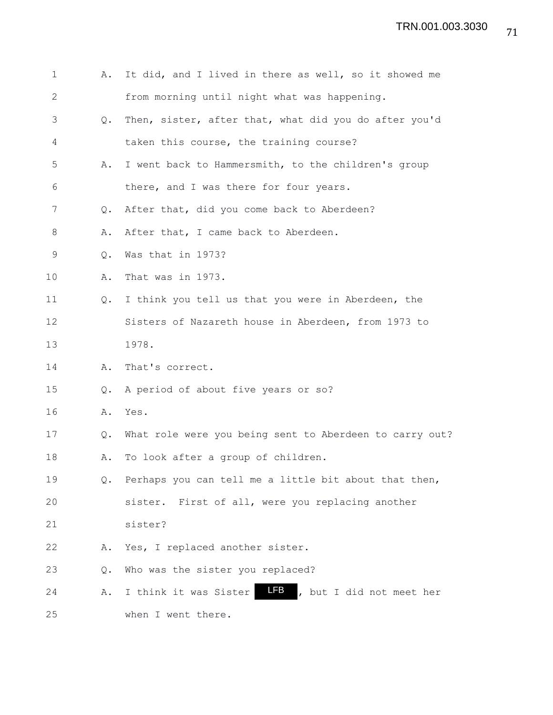| $\mathbf 1$    | Α.            | It did, and I lived in there as well, so it showed me    |
|----------------|---------------|----------------------------------------------------------|
| $\overline{2}$ |               | from morning until night what was happening.             |
| 3              | $Q_{\bullet}$ | Then, sister, after that, what did you do after you'd    |
| 4              |               | taken this course, the training course?                  |
| 5              | Α.            | I went back to Hammersmith, to the children's group      |
| 6              |               | there, and I was there for four years.                   |
| 7              | Q.            | After that, did you come back to Aberdeen?               |
| 8              | Α.            | After that, I came back to Aberdeen.                     |
| 9              | Q.            | Was that in 1973?                                        |
| 10             | Α.            | That was in 1973.                                        |
| 11             | $Q_{\bullet}$ | I think you tell us that you were in Aberdeen, the       |
| 12             |               | Sisters of Nazareth house in Aberdeen, from 1973 to      |
| 13             |               | 1978.                                                    |
| 14             | Α.            | That's correct.                                          |
| 15             | Q.            | A period of about five years or so?                      |
| 16             | Α.            | Yes.                                                     |
| 17             | Q.            | What role were you being sent to Aberdeen to carry out?  |
| 18             | Α.            | To look after a group of children.                       |
| 19             | Q.            | Perhaps you can tell me a little bit about that then,    |
| 20             |               | sister. First of all, were you replacing another         |
| 21             |               | sister?                                                  |
| 22             | Α.            | Yes, I replaced another sister.                          |
| 23             | Q.            | Who was the sister you replaced?                         |
| 24             | Α.            | LFB<br>, but I did not meet her<br>I think it was Sister |
| 25             |               | when I went there.                                       |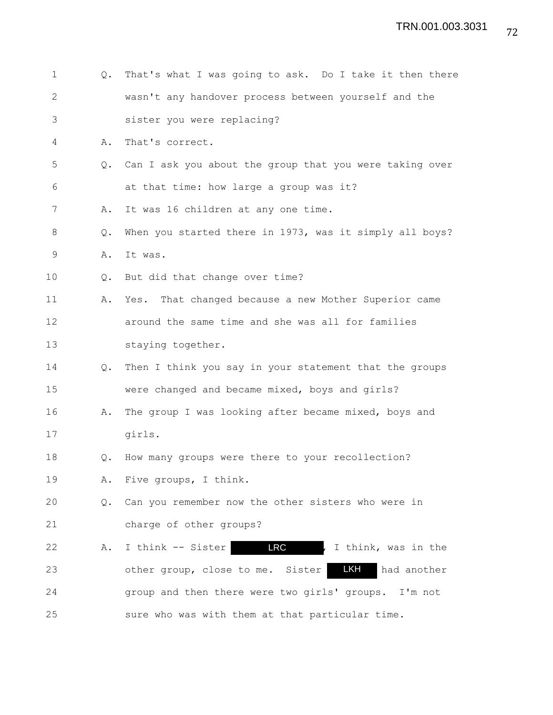| $\mathbf 1$  | Q.            | That's what I was going to ask. Do I take it then there  |
|--------------|---------------|----------------------------------------------------------|
| $\mathbf{2}$ |               | wasn't any handover process between yourself and the     |
| 3            |               | sister you were replacing?                               |
| 4            | Α.            | That's correct.                                          |
| 5            | $Q_{\bullet}$ | Can I ask you about the group that you were taking over  |
| 6            |               | at that time: how large a group was it?                  |
| 7            | Α.            | It was 16 children at any one time.                      |
| 8            | Q.            | When you started there in 1973, was it simply all boys?  |
| 9            | Α.            | It was.                                                  |
| 10           | $\circ$ .     | But did that change over time?                           |
| 11           | Α.            | Yes. That changed because a new Mother Superior came     |
| 12           |               | around the same time and she was all for families        |
| 13           |               | staying together.                                        |
| 14           | Q.            | Then I think you say in your statement that the groups   |
| 15           |               | were changed and became mixed, boys and girls?           |
| 16           | Α.            | The group I was looking after became mixed, boys and     |
| 17           |               | girls.                                                   |
| 18           | Q.            | How many groups were there to your recollection?         |
| 19           |               | A. Five groups, I think.                                 |
| 20           | Q.            | Can you remember now the other sisters who were in       |
| 21           |               | charge of other groups?                                  |
| 22           | Α.            | <b>LRC</b><br>I think -- Sister<br>, I think, was in the |
| 23           |               | LKH<br>other group, close to me. Sister<br>had another   |
| 24           |               | group and then there were two girls' groups. I'm not     |
| 25           |               | sure who was with them at that particular time.          |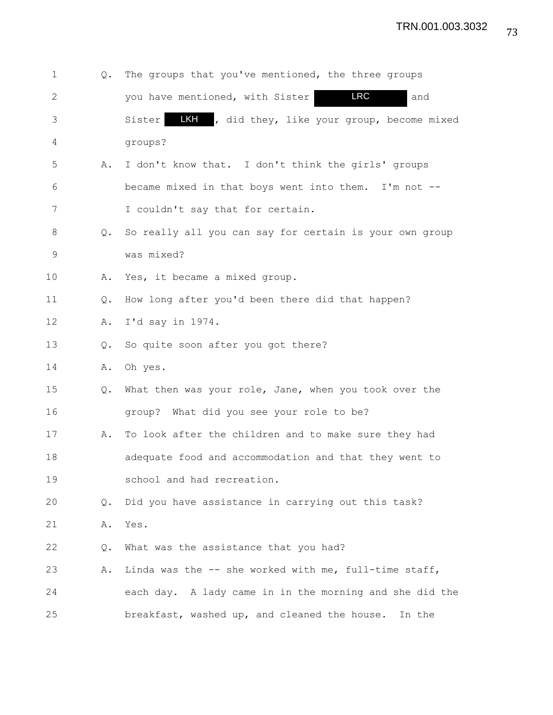| $\mathbf 1$  | Q.            | The groups that you've mentioned, the three groups       |
|--------------|---------------|----------------------------------------------------------|
| $\mathbf{2}$ |               | LRC<br>you have mentioned, with Sister<br>and            |
| 3            |               | LKH , did they, like your group, become mixed<br>Sister  |
| 4            |               | groups?                                                  |
| 5            | Α.            | I don't know that. I don't think the girls' groups       |
| 6            |               | became mixed in that boys went into them. I'm not --     |
| 7            |               | I couldn't say that for certain.                         |
| 8            | Q.            | So really all you can say for certain is your own group  |
| 9            |               | was mixed?                                               |
| 10           | Α.            | Yes, it became a mixed group.                            |
| 11           | Q.            | How long after you'd been there did that happen?         |
| 12           | Α.            | I'd say in $1974.$                                       |
| 13           | Q.            | So quite soon after you got there?                       |
| 14           | Α.            | Oh yes.                                                  |
| 15           | Q.            | What then was your role, Jane, when you took over the    |
| 16           |               | group? What did you see your role to be?                 |
| 17           | Α.            | To look after the children and to make sure they had     |
| 18           |               | adequate food and accommodation and that they went to    |
| 19           |               | school and had recreation.                               |
| 20           | $Q_{\bullet}$ | Did you have assistance in carrying out this task?       |
| 21           | Α.            | Yes.                                                     |
| 22           | Q.            | What was the assistance that you had?                    |
| 23           | Α.            | Linda was the $-$ - she worked with me, full-time staff, |
| 24           |               | each day. A lady came in in the morning and she did the  |
| 25           |               | breakfast, washed up, and cleaned the house. In the      |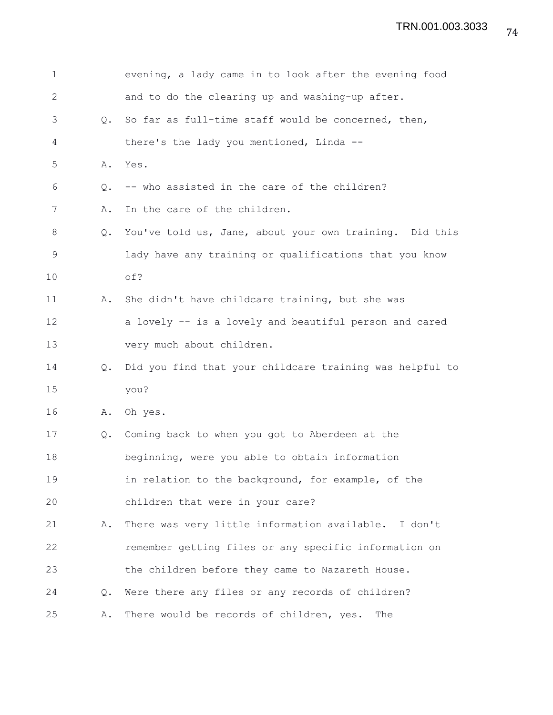| 1            |               | evening, a lady came in to look after the evening food   |
|--------------|---------------|----------------------------------------------------------|
| $\mathbf{2}$ |               | and to do the clearing up and washing-up after.          |
| 3            | Q.            | So far as full-time staff would be concerned, then,      |
| 4            |               | there's the lady you mentioned, Linda --                 |
| 5            | Α.            | Yes.                                                     |
| 6            | Q.            | -- who assisted in the care of the children?             |
| 7            | Α.            | In the care of the children.                             |
| $8\,$        | Q.            | You've told us, Jane, about your own training. Did this  |
| 9            |               | lady have any training or qualifications that you know   |
| 10           |               | of?                                                      |
| 11           | Α.            | She didn't have childcare training, but she was          |
| 12           |               | a lovely -- is a lovely and beautiful person and cared   |
| 13           |               | very much about children.                                |
| 14           | $Q_{\bullet}$ | Did you find that your childcare training was helpful to |
| 15           |               | you?                                                     |
| 16           | Α.            | Oh yes.                                                  |
| 17           | Q.            | Coming back to when you got to Aberdeen at the           |
| 18           |               | beginning, were you able to obtain information           |
| 19           |               | in relation to the background, for example, of the       |
| 20           |               | children that were in your care?                         |
| 21           | Α.            | There was very little information available. I don't     |
| 22           |               | remember getting files or any specific information on    |
| 23           |               | the children before they came to Nazareth House.         |
| 24           | $Q_{\bullet}$ | Were there any files or any records of children?         |
| 25           | Α.            | There would be records of children, yes.<br>The          |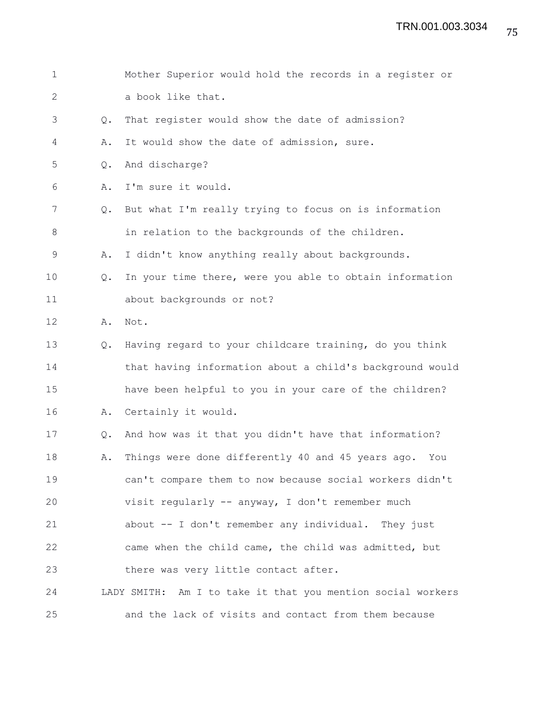| $\mathbf 1$  |    | Mother Superior would hold the records in a register or     |
|--------------|----|-------------------------------------------------------------|
| $\mathbf{2}$ |    | a book like that.                                           |
| 3            | Q. | That register would show the date of admission?             |
| 4            | Α. | It would show the date of admission, sure.                  |
| 5            | Q. | And discharge?                                              |
| 6            | Α. | I'm sure it would.                                          |
| 7            | Q. | But what I'm really trying to focus on is information       |
| $8\,$        |    | in relation to the backgrounds of the children.             |
| $\mathsf 9$  | Α. | I didn't know anything really about backgrounds.            |
| 10           | Q. | In your time there, were you able to obtain information     |
| 11           |    | about backgrounds or not?                                   |
| 12           | Α. | Not.                                                        |
| 13           | Q. | Having regard to your childcare training, do you think      |
| 14           |    | that having information about a child's background would    |
| 15           |    | have been helpful to you in your care of the children?      |
| 16           | Α. | Certainly it would.                                         |
| 17           | Q. | And how was it that you didn't have that information?       |
| 18           | Α. | Things were done differently 40 and 45 years ago.<br>You    |
| 19           |    | can't compare them to now because social workers didn't     |
| 20           |    | visit regularly -- anyway, I don't remember much            |
| 21           |    | about -- I don't remember any individual. They just         |
| 22           |    | came when the child came, the child was admitted, but       |
| 23           |    | there was very little contact after.                        |
| 24           |    | LADY SMITH: Am I to take it that you mention social workers |
| 25           |    | and the lack of visits and contact from them because        |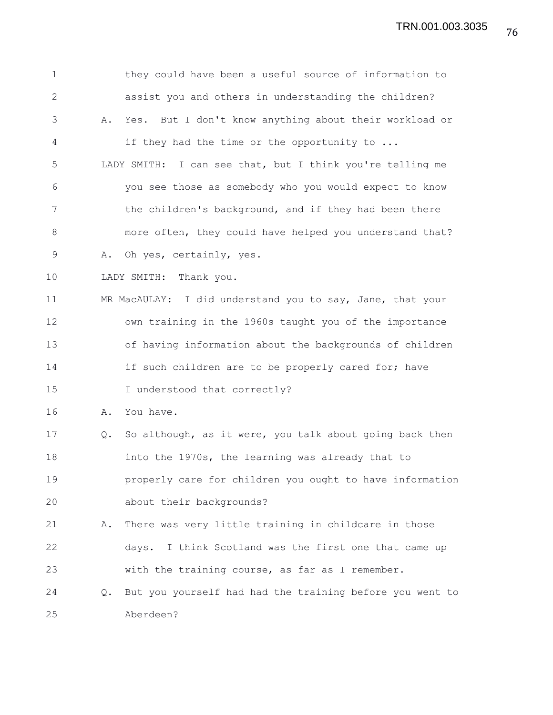1 they could have been a useful source of information to 2 assist you and others in understanding the children? 3 A. Yes. But I don't know anything about their workload or 4 if they had the time or the opportunity to ... 5 LADY SMITH: I can see that, but I think you're telling me 6 you see those as somebody who you would expect to know 7 the children's background, and if they had been there 8 more often, they could have helped you understand that? 9 A. Oh yes, certainly, yes. 10 LADY SMITH: Thank you. 11 MR MacAULAY: I did understand you to say, Jane, that your 12 own training in the 1960s taught you of the importance 13 of having information about the backgrounds of children 14 if such children are to be properly cared for; have 15 I understood that correctly? 16 A. You have. 17 Q. So although, as it were, you talk about going back then 18 into the 1970s, the learning was already that to 19 properly care for children you ought to have information 20 about their backgrounds? 21 A. There was very little training in childcare in those 22 days. I think Scotland was the first one that came up 23 with the training course, as far as I remember. 24 Q. But you yourself had had the training before you went to 25 Aberdeen?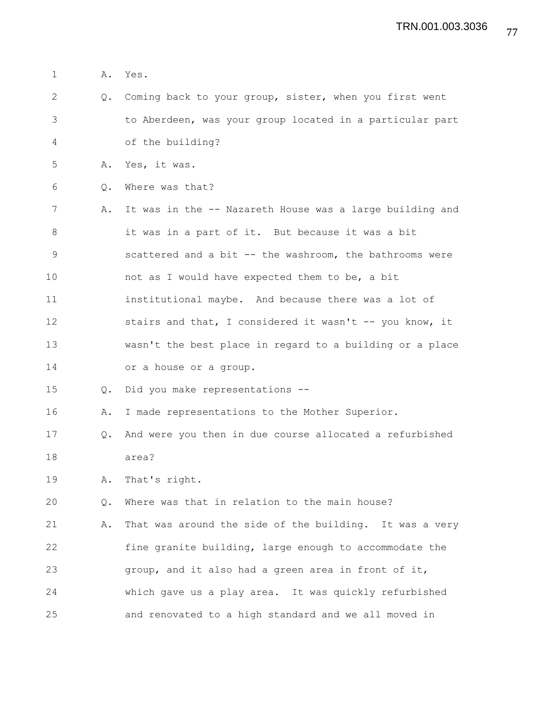1 A. Yes. 2 Q. Coming back to your group, sister, when you first went 3 to Aberdeen, was your group located in a particular part 4 of the building? 5 A. Yes, it was. 6 Q. Where was that? 7 A. It was in the -- Nazareth House was a large building and 8 it was in a part of it. But because it was a bit 9 scattered and a bit -- the washroom, the bathrooms were 10 not as I would have expected them to be, a bit 11 institutional maybe. And because there was a lot of 12 stairs and that, I considered it wasn't -- you know, it 13 wasn't the best place in regard to a building or a place 14 or a house or a group. 15 Q. Did you make representations -- 16 A. I made representations to the Mother Superior. 17 Q. And were you then in due course allocated a refurbished 18 area? 19 A. That's right. 20 Q. Where was that in relation to the main house? 21 A. That was around the side of the building. It was a very 22 fine granite building, large enough to accommodate the 23 group, and it also had a green area in front of it, 24 which gave us a play area. It was quickly refurbished 25 and renovated to a high standard and we all moved in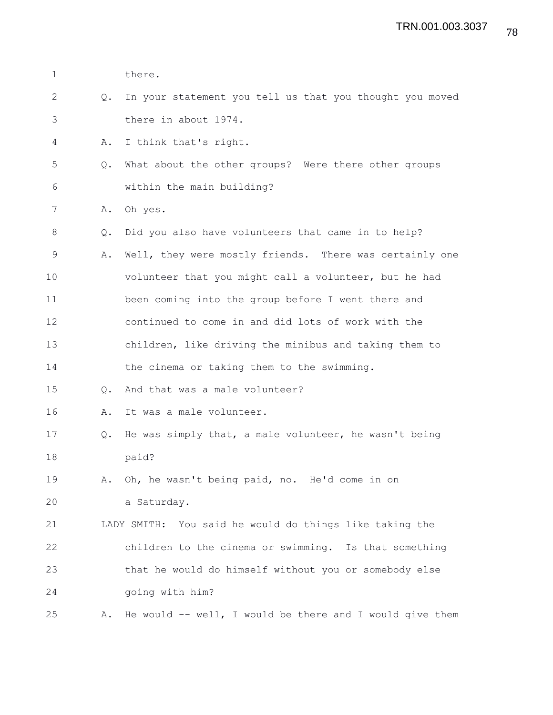| $\mathbf 1$   |               | there.                                                   |
|---------------|---------------|----------------------------------------------------------|
| $\mathbf{2}$  | $Q_{\bullet}$ | In your statement you tell us that you thought you moved |
| 3             |               | there in about 1974.                                     |
| 4             | Α.            | I think that's right.                                    |
| 5             | $Q_{\bullet}$ | What about the other groups? Were there other groups     |
| 6             |               | within the main building?                                |
| 7             | Α.            | Oh yes.                                                  |
| 8             | Q.            | Did you also have volunteers that came in to help?       |
| $\mathcal{G}$ | Α.            | Well, they were mostly friends. There was certainly one  |
| 10            |               | volunteer that you might call a volunteer, but he had    |
| 11            |               | been coming into the group before I went there and       |
| 12            |               | continued to come in and did lots of work with the       |
| 13            |               | children, like driving the minibus and taking them to    |
| 14            |               | the cinema or taking them to the swimming.               |
| 15            | $Q_{\bullet}$ | And that was a male volunteer?                           |
| 16            | Α.            | It was a male volunteer.                                 |
| 17            | Q.            | He was simply that, a male volunteer, he wasn't being    |
| 18            |               | paid?                                                    |
| 19            |               | A. Oh, he wasn't being paid, no. He'd come in on         |
| 20            |               | a Saturday.                                              |
| 21            |               | LADY SMITH: You said he would do things like taking the  |
| 22            |               | children to the cinema or swimming. Is that something    |
| 23            |               | that he would do himself without you or somebody else    |
| 24            |               | going with him?                                          |
| 25            | Α.            | He would -- well, I would be there and I would give them |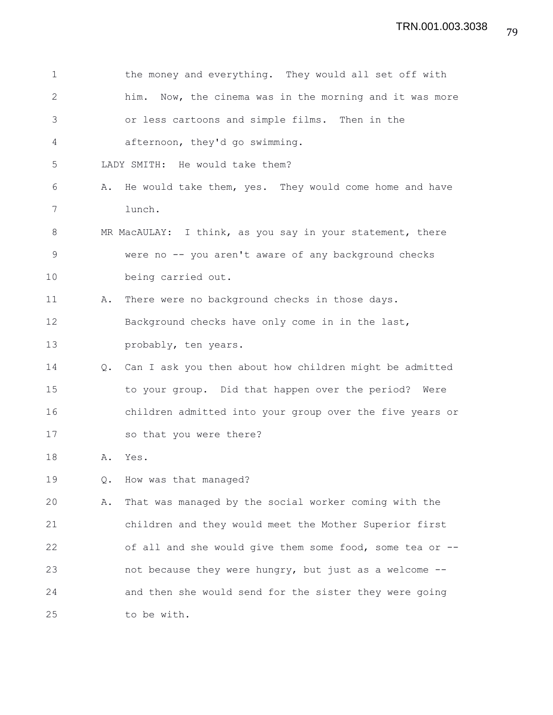| 1            |    | the money and everything. They would all set off with     |
|--------------|----|-----------------------------------------------------------|
| $\mathbf{2}$ |    | him. Now, the cinema was in the morning and it was more   |
| 3            |    | or less cartoons and simple films. Then in the            |
| 4            |    | afternoon, they'd go swimming.                            |
| 5            |    | LADY SMITH: He would take them?                           |
| 6            | Α. | He would take them, yes. They would come home and have    |
| 7            |    | lunch.                                                    |
| 8            |    | MR MacAULAY: I think, as you say in your statement, there |
| $\mathsf 9$  |    | were no -- you aren't aware of any background checks      |
| 10           |    | being carried out.                                        |
| 11           | Α. | There were no background checks in those days.            |
| 12           |    | Background checks have only come in in the last,          |
| 13           |    | probably, ten years.                                      |
| 14           | Q. | Can I ask you then about how children might be admitted   |
| 15           |    | to your group. Did that happen over the period? Were      |
| 16           |    | children admitted into your group over the five years or  |
| 17           |    | so that you were there?                                   |
| 18           | Α. | Yes.                                                      |
| 19           | Q. | How was that managed?                                     |
| 20           | Α. | That was managed by the social worker coming with the     |
| 21           |    | children and they would meet the Mother Superior first    |
| 22           |    | of all and she would give them some food, some tea or --  |
| 23           |    | not because they were hungry, but just as a welcome --    |
| 24           |    | and then she would send for the sister they were going    |
| 25           |    | to be with.                                               |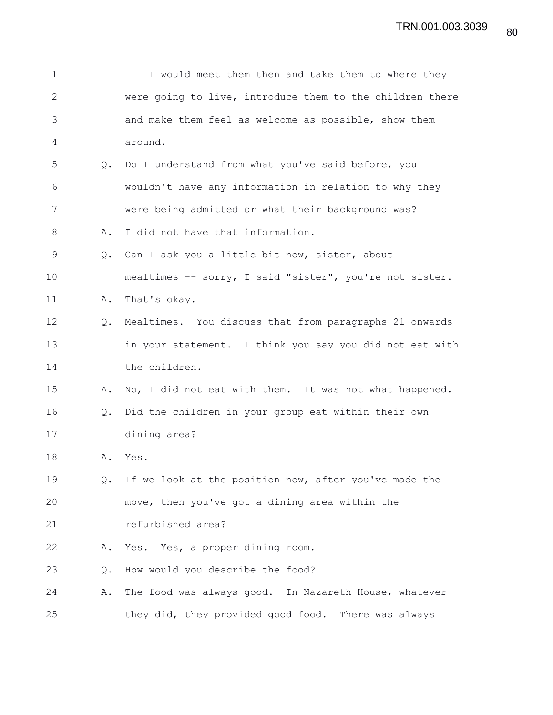| 1            |               | I would meet them then and take them to where they       |
|--------------|---------------|----------------------------------------------------------|
| $\mathbf{2}$ |               | were going to live, introduce them to the children there |
| 3            |               | and make them feel as welcome as possible, show them     |
| 4            |               | around.                                                  |
| 5            | Q.            | Do I understand from what you've said before, you        |
| 6            |               | wouldn't have any information in relation to why they    |
| 7            |               | were being admitted or what their background was?        |
| 8            | Α.            | I did not have that information.                         |
| 9            | $Q_{\bullet}$ | Can I ask you a little bit now, sister, about            |
| 10           |               | mealtimes -- sorry, I said "sister", you're not sister.  |
| 11           | Α.            | That's okay.                                             |
| 12           | Q.            | Mealtimes. You discuss that from paragraphs 21 onwards   |
| 13           |               | in your statement. I think you say you did not eat with  |
| 14           |               | the children.                                            |
| 15           | Α.            | No, I did not eat with them. It was not what happened.   |
| 16           | Q.            | Did the children in your group eat within their own      |
| 17           |               | dining area?                                             |
| 18           | Α.            | Yes.                                                     |
| 19           | Q.            | If we look at the position now, after you've made the    |
| 20           |               | move, then you've got a dining area within the           |
| 21           |               | refurbished area?                                        |
| 22           | Α.            | Yes. Yes, a proper dining room.                          |
| 23           | Q.            | How would you describe the food?                         |
| 24           | Α.            | The food was always good. In Nazareth House, whatever    |
| 25           |               | they did, they provided good food. There was always      |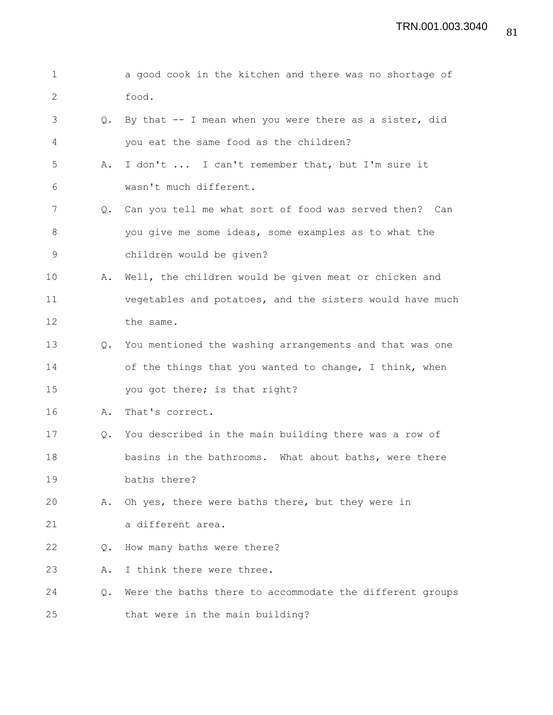| $\mathbf 1$  |               | a good cook in the kitchen and there was no shortage of    |
|--------------|---------------|------------------------------------------------------------|
| $\mathbf{2}$ |               | food.                                                      |
| 3            | Q.            | By that $-$ - I mean when you were there as a sister, did  |
| 4            |               | you eat the same food as the children?                     |
| 5            | Α.            | I don't  I can't remember that, but I'm sure it            |
| 6            |               | wasn't much different.                                     |
| 7            | $Q_{\bullet}$ | Can you tell me what sort of food was served then? Can     |
| 8            |               | you give me some ideas, some examples as to what the       |
| 9            |               | children would be given?                                   |
| 10           | Α.            | Well, the children would be given meat or chicken and      |
| 11           |               | vegetables and potatoes, and the sisters would have much   |
| 12           |               | the same.                                                  |
| 13           |               | Q. You mentioned the washing arrangements and that was one |
| 14           |               | of the things that you wanted to change, I think, when     |
| 15           |               | you got there; is that right?                              |
| 16           | Α.            | That's correct.                                            |
| 17           | Q.            | You described in the main building there was a row of      |
| 18           |               | basins in the bathrooms. What about baths, were there      |
| 19           |               | baths there?                                               |
| 20           | Α.            | Oh yes, there were baths there, but they were in           |
| 21           |               | a different area.                                          |
| 22           | $Q_{\bullet}$ | How many baths were there?                                 |
| 23           | Α.            | I think there were three.                                  |
| 24           | $Q_{\bullet}$ | Were the baths there to accommodate the different groups   |
| 25           |               | that were in the main building?                            |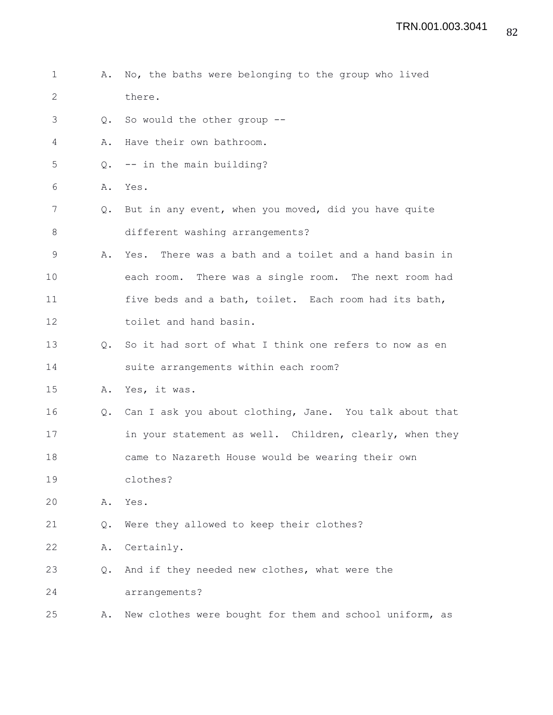1 A. No, the baths were belonging to the group who lived 2 there. 3 Q. So would the other group -- 4 A. Have their own bathroom. 5 Q. -- in the main building? 6 A. Yes. 7 Q. But in any event, when you moved, did you have quite 8 different washing arrangements? 9 A. Yes. There was a bath and a toilet and a hand basin in 10 each room. There was a single room. The next room had 11 five beds and a bath, toilet. Each room had its bath, 12 toilet and hand basin. 13 0. So it had sort of what I think one refers to now as en 14 suite arrangements within each room? 15 A. Yes, it was. 16 Q. Can I ask you about clothing, Jane. You talk about that 17 in your statement as well. Children, clearly, when they 18 came to Nazareth House would be wearing their own 19 clothes? 20 A. Yes. 21 Q. Were they allowed to keep their clothes? 22 A. Certainly. 23 Q. And if they needed new clothes, what were the 24 arrangements? 25 A. New clothes were bought for them and school uniform, as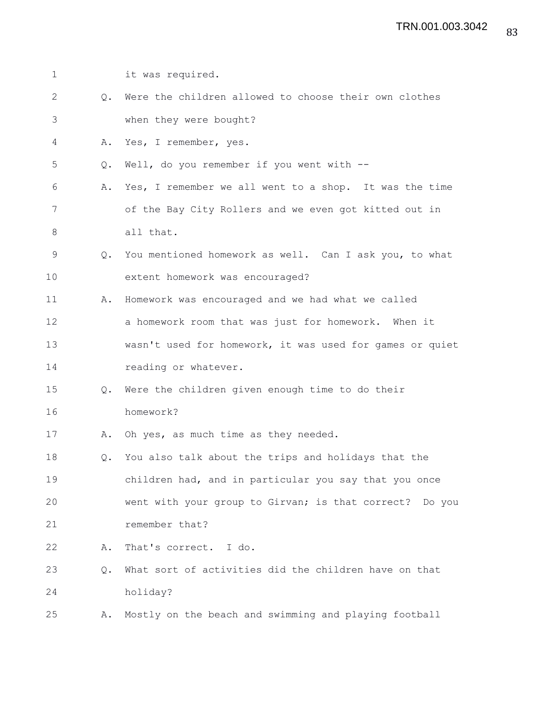| 1            |               | it was required.                                         |
|--------------|---------------|----------------------------------------------------------|
| $\mathbf{2}$ | $\circ$ .     | Were the children allowed to choose their own clothes    |
| 3            |               | when they were bought?                                   |
| 4            | Α.            | Yes, I remember, yes.                                    |
| 5            | $\circ$ .     | Well, do you remember if you went with --                |
| 6            | Α.            | Yes, I remember we all went to a shop. It was the time   |
| 7            |               | of the Bay City Rollers and we even got kitted out in    |
| 8            |               | all that.                                                |
| 9            | $\circ$ .     | You mentioned homework as well. Can I ask you, to what   |
| 10           |               | extent homework was encouraged?                          |
| 11           | Α.            | Homework was encouraged and we had what we called        |
| 12           |               | a homework room that was just for homework. When it      |
| 13           |               | wasn't used for homework, it was used for games or quiet |
| 14           |               | reading or whatever.                                     |
| 15           | $Q_{\bullet}$ | Were the children given enough time to do their          |
| 16           |               | homework?                                                |
| 17           | Α.            | Oh yes, as much time as they needed.                     |
| 18           |               | Q. You also talk about the trips and holidays that the   |
| 19           |               | children had, and in particular you say that you once    |
| 20           |               | went with your group to Girvan; is that correct? Do you  |
| 21           |               | remember that?                                           |
| 22           | Α.            | That's correct. I do.                                    |
| 23           | Q.            | What sort of activities did the children have on that    |
| 24           |               | holiday?                                                 |
| 25           | Α.            | Mostly on the beach and swimming and playing football    |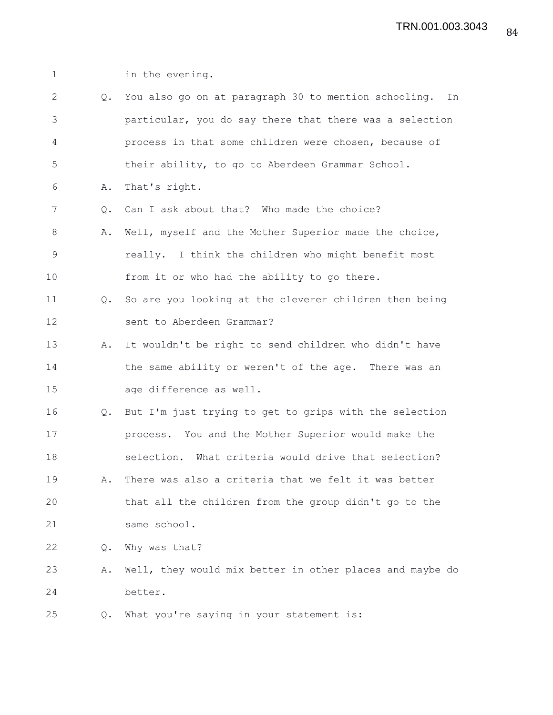1 in the evening.

| $\overline{2}$ |               | Q. You also go on at paragraph 30 to mention schooling. In |
|----------------|---------------|------------------------------------------------------------|
| 3              |               | particular, you do say there that there was a selection    |
| 4              |               | process in that some children were chosen, because of      |
| 5              |               | their ability, to go to Aberdeen Grammar School.           |
| 6              | Α.            | That's right.                                              |
| 7              | Q.            | Can I ask about that? Who made the choice?                 |
| 8              | Α.            | Well, myself and the Mother Superior made the choice,      |
| $\mathsf 9$    |               | really. I think the children who might benefit most        |
| 10             |               | from it or who had the ability to go there.                |
| 11             | $Q_{\bullet}$ | So are you looking at the cleverer children then being     |
| 12             |               | sent to Aberdeen Grammar?                                  |
| 13             | Α.            | It wouldn't be right to send children who didn't have      |
| 14             |               | the same ability or weren't of the age. There was an       |
| 15             |               | age difference as well.                                    |
| 16             |               | Q. But I'm just trying to get to grips with the selection  |
| 17             |               | process. You and the Mother Superior would make the        |
| 18             |               | selection. What criteria would drive that selection?       |
| 19             | Α.            | There was also a criteria that we felt it was better       |
| 20             |               | that all the children from the group didn't go to the      |
| 21             |               | same school.                                               |
| 22             | $Q_{\bullet}$ | Why was that?                                              |
| 23             | Α.            | Well, they would mix better in other places and maybe do   |
| 24             |               | better.                                                    |
| 25             | Q.            | What you're saying in your statement is:                   |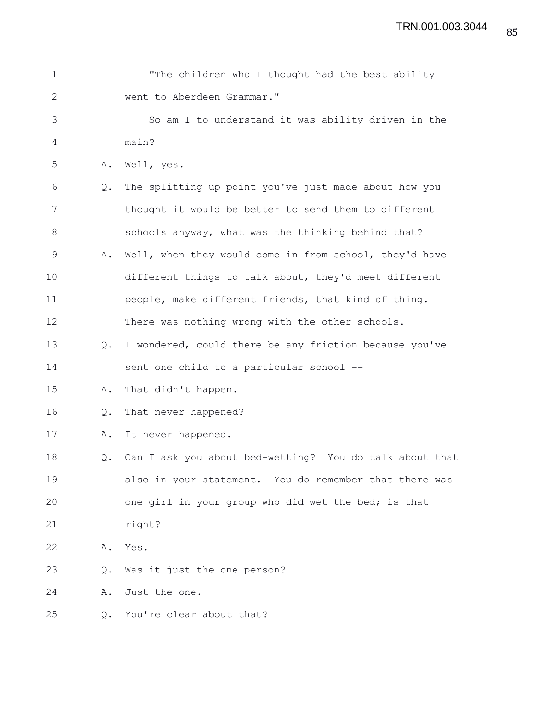| $\mathbf 1$  |               | "The children who I thought had the best ability        |
|--------------|---------------|---------------------------------------------------------|
| $\mathbf{2}$ |               | went to Aberdeen Grammar."                              |
| 3            |               | So am I to understand it was ability driven in the      |
| 4            |               | main?                                                   |
| 5            | Α.            | Well, yes.                                              |
| 6            | $Q_{\bullet}$ | The splitting up point you've just made about how you   |
| 7            |               | thought it would be better to send them to different    |
| 8            |               | schools anyway, what was the thinking behind that?      |
| 9            | Α.            | Well, when they would come in from school, they'd have  |
| 10           |               | different things to talk about, they'd meet different   |
| 11           |               | people, make different friends, that kind of thing.     |
| 12           |               | There was nothing wrong with the other schools.         |
| 13           | Q.            | I wondered, could there be any friction because you've  |
| 14           |               | sent one child to a particular school --                |
| 15           | Α.            | That didn't happen.                                     |
| 16           | Q.            | That never happened?                                    |
| 17           | Α.            | It never happened.                                      |
| 18           | $Q_{\bullet}$ | Can I ask you about bed-wetting? You do talk about that |
| 19           |               | also in your statement. You do remember that there was  |
| 20           |               | one girl in your group who did wet the bed; is that     |
| 21           |               | right?                                                  |
| 22           | Α.            | Yes.                                                    |
| 23           | Q.            | Was it just the one person?                             |
| 24           | Α.            | Just the one.                                           |
| 25           | О.            | You're clear about that?                                |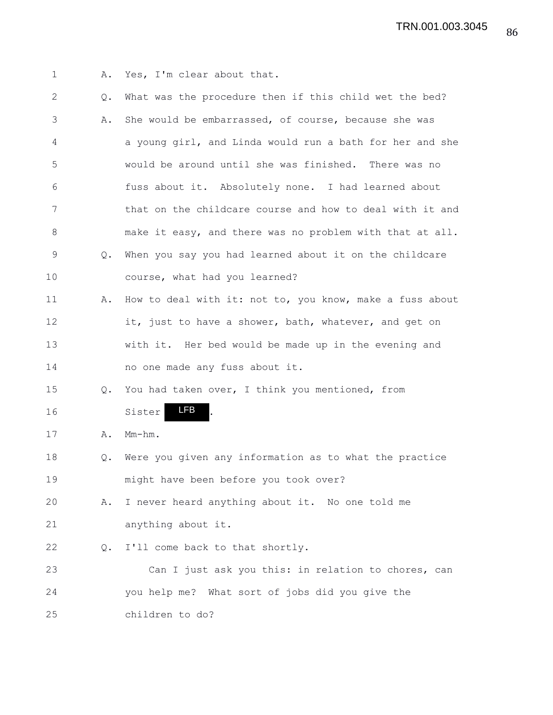1 A. Yes, I'm clear about that.

| $\mathbf{2}$ | Q.            | What was the procedure then if this child wet the bed?   |
|--------------|---------------|----------------------------------------------------------|
| 3            | Α.            | She would be embarrassed, of course, because she was     |
| 4            |               | a young girl, and Linda would run a bath for her and she |
| 5            |               | would be around until she was finished. There was no     |
| 6            |               | fuss about it. Absolutely none. I had learned about      |
| 7            |               | that on the childcare course and how to deal with it and |
| 8            |               | make it easy, and there was no problem with that at all. |
| $\mathsf 9$  | $Q_{\bullet}$ | When you say you had learned about it on the childcare   |
| 10           |               | course, what had you learned?                            |
| 11           | Α.            | How to deal with it: not to, you know, make a fuss about |
| 12           |               | it, just to have a shower, bath, whatever, and get on    |
| 13           |               | with it. Her bed would be made up in the evening and     |
| 14           |               | no one made any fuss about it.                           |
| 15           | Q.            | You had taken over, I think you mentioned, from          |
| 16           |               | LFB<br>Sister                                            |
| 17           | Α.            | $Mm-hm$ .                                                |
| 18           | Q.            | Were you given any information as to what the practice   |
| 19           |               | might have been before you took over?                    |
| 20           | Α.            | I never heard anything about it. No one told me          |
| 21           |               | anything about it.                                       |
| 22           | Q.            | I'll come back to that shortly.                          |
| 23           |               | Can I just ask you this: in relation to chores, can      |
| 24           |               | you help me? What sort of jobs did you give the          |
| 25           |               | children to do?                                          |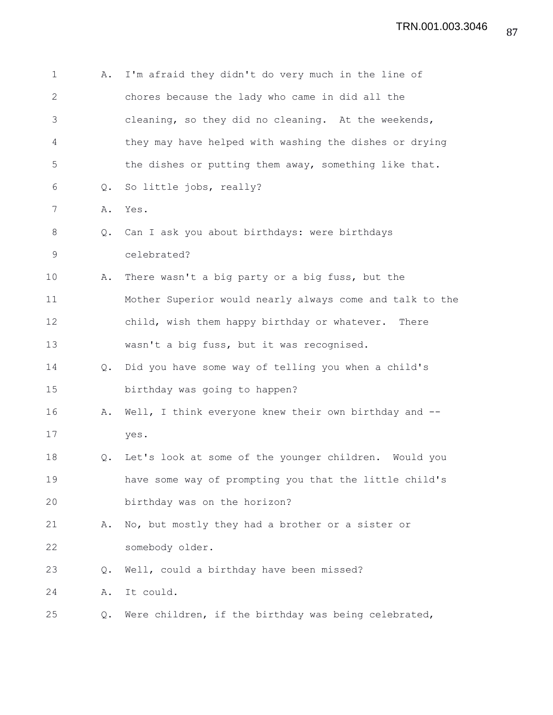| $\mathbf 1$  | Α.            | I'm afraid they didn't do very much in the line of       |
|--------------|---------------|----------------------------------------------------------|
| $\mathbf{2}$ |               | chores because the lady who came in did all the          |
| 3            |               | cleaning, so they did no cleaning. At the weekends,      |
| 4            |               | they may have helped with washing the dishes or drying   |
| 5            |               | the dishes or putting them away, something like that.    |
| 6            | Q.            | So little jobs, really?                                  |
| 7            | Α.            | Yes.                                                     |
| 8            | Q.            | Can I ask you about birthdays: were birthdays            |
| 9            |               | celebrated?                                              |
| 10           | Α.            | There wasn't a big party or a big fuss, but the          |
| 11           |               | Mother Superior would nearly always come and talk to the |
| 12           |               | child, wish them happy birthday or whatever. There       |
| 13           |               | wasn't a big fuss, but it was recognised.                |
| 14           | Q.            | Did you have some way of telling you when a child's      |
| 15           |               | birthday was going to happen?                            |
| 16           | Α.            | Well, I think everyone knew their own birthday and --    |
| 17           |               | yes.                                                     |
| 18           | $Q_{\bullet}$ | Let's look at some of the younger children. Would you    |
| 19           |               | have some way of prompting you that the little child's   |
| 20           |               | birthday was on the horizon?                             |
| 21           | Α.            | No, but mostly they had a brother or a sister or         |
| 22           |               | somebody older.                                          |
| 23           | $Q_{\bullet}$ | Well, could a birthday have been missed?                 |
| 24           | Α.            | It could.                                                |
| 25           | $\circ$ .     | Were children, if the birthday was being celebrated,     |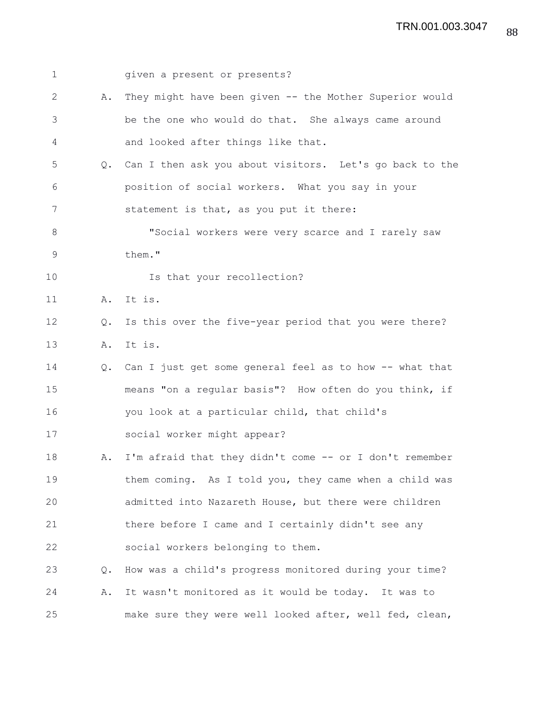| $\mathbf 1$ |           | given a present or presents?                               |
|-------------|-----------|------------------------------------------------------------|
| 2           | Α.        | They might have been given -- the Mother Superior would    |
| 3           |           | be the one who would do that. She always came around       |
| 4           |           | and looked after things like that.                         |
| 5           |           | Q. Can I then ask you about visitors. Let's go back to the |
| 6           |           | position of social workers. What you say in your           |
| 7           |           | statement is that, as you put it there:                    |
| 8           |           | "Social workers were very scarce and I rarely saw          |
| 9           |           | them."                                                     |
| 10          |           | Is that your recollection?                                 |
| 11          |           | A. It is.                                                  |
| 12          | $\circ$ . | Is this over the five-year period that you were there?     |
| 13          | Α.        | It is.                                                     |
| 14          |           | Q. Can I just get some general feel as to how -- what that |
| 15          |           | means "on a regular basis"? How often do you think, if     |
| 16          |           | you look at a particular child, that child's               |
| 17          |           | social worker might appear?                                |
| 18          | Α.        | I'm afraid that they didn't come -- or I don't remember    |
| 19          |           | them coming. As I told you, they came when a child was     |
| 20          |           | admitted into Nazareth House, but there were children      |
| 21          |           | there before I came and I certainly didn't see any         |
| 22          |           | social workers belonging to them.                          |
| 23          | Q.        | How was a child's progress monitored during your time?     |
| 24          | Α.        | It wasn't monitored as it would be today. It was to        |
| 25          |           | make sure they were well looked after, well fed, clean,    |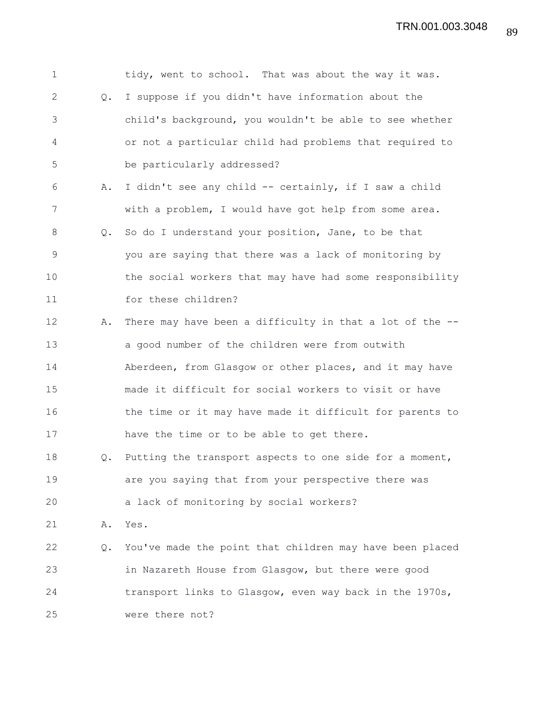| $\mathbf 1$    |               | tidy, went to school. That was about the way it was.     |
|----------------|---------------|----------------------------------------------------------|
| $\overline{2}$ | $Q_{\bullet}$ | I suppose if you didn't have information about the       |
| 3              |               | child's background, you wouldn't be able to see whether  |
| 4              |               | or not a particular child had problems that required to  |
| 5              |               | be particularly addressed?                               |
| 6              | Α.            | I didn't see any child -- certainly, if I saw a child    |
| 7              |               | with a problem, I would have got help from some area.    |
| 8              | Q.            | So do I understand your position, Jane, to be that       |
| $\overline{9}$ |               | you are saying that there was a lack of monitoring by    |
| 10             |               | the social workers that may have had some responsibility |
| 11             |               | for these children?                                      |
| 12             | Α.            | There may have been a difficulty in that a lot of the -- |
| 13             |               | a good number of the children were from outwith          |
| 14             |               | Aberdeen, from Glasgow or other places, and it may have  |
| 15             |               | made it difficult for social workers to visit or have    |
| 16             |               | the time or it may have made it difficult for parents to |
| 17             |               | have the time or to be able to get there.                |
| 18             | Q.            | Putting the transport aspects to one side for a moment,  |
| 19             |               | are you saying that from your perspective there was      |
| 20             |               | a lack of monitoring by social workers?                  |
| 21             | Α.            | Yes.                                                     |
| 22             | Q.            | You've made the point that children may have been placed |
| 23             |               | in Nazareth House from Glasgow, but there were good      |
| 24             |               | transport links to Glasgow, even way back in the 1970s,  |
| 25             |               | were there not?                                          |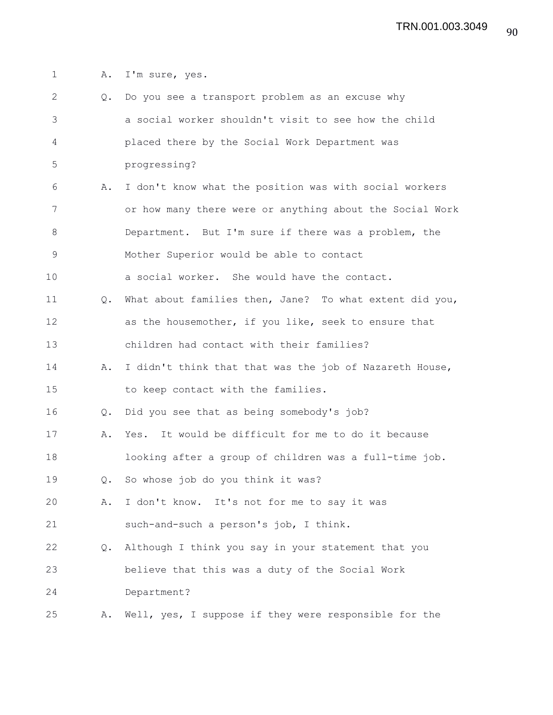1 A. I'm sure, yes.

| 2  | Q.            | Do you see a transport problem as an excuse why          |
|----|---------------|----------------------------------------------------------|
| 3  |               | a social worker shouldn't visit to see how the child     |
| 4  |               | placed there by the Social Work Department was           |
| 5  |               | progressing?                                             |
| 6  | Α.            | I don't know what the position was with social workers   |
| 7  |               | or how many there were or anything about the Social Work |
| 8  |               | Department. But I'm sure if there was a problem, the     |
| 9  |               | Mother Superior would be able to contact                 |
| 10 |               | a social worker. She would have the contact.             |
| 11 | Q.            | What about families then, Jane? To what extent did you,  |
| 12 |               | as the housemother, if you like, seek to ensure that     |
| 13 |               | children had contact with their families?                |
| 14 | Α.            | I didn't think that that was the job of Nazareth House,  |
| 15 |               | to keep contact with the families.                       |
| 16 | $Q_{\bullet}$ | Did you see that as being somebody's job?                |
| 17 | Α.            | Yes. It would be difficult for me to do it because       |
| 18 |               | looking after a group of children was a full-time job.   |
| 19 | $Q_{\bullet}$ | So whose job do you think it was?                        |
| 20 | Α.            | I don't know. It's not for me to say it was              |
| 21 |               | such-and-such a person's job, I think.                   |
| 22 | $Q_{\bullet}$ | Although I think you say in your statement that you      |
| 23 |               | believe that this was a duty of the Social Work          |
| 24 |               | Department?                                              |
| 25 | Α.            | Well, yes, I suppose if they were responsible for the    |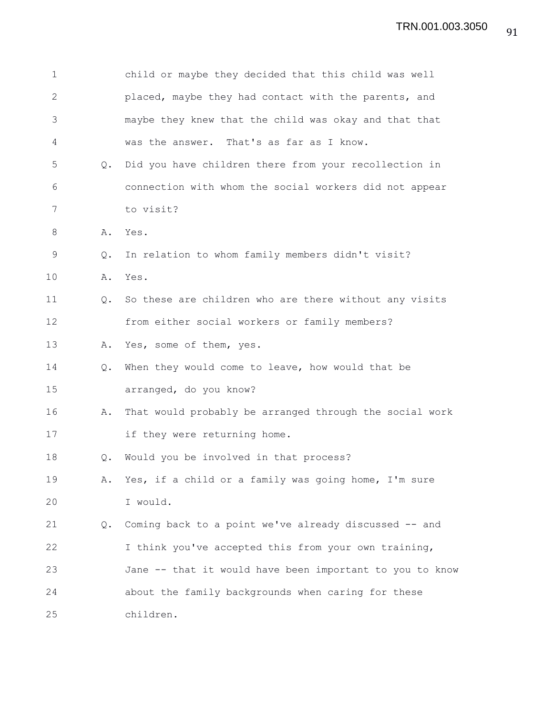| 1            |               | child or maybe they decided that this child was well     |
|--------------|---------------|----------------------------------------------------------|
| $\mathbf{2}$ |               | placed, maybe they had contact with the parents, and     |
| 3            |               | maybe they knew that the child was okay and that that    |
| 4            |               | was the answer. That's as far as I know.                 |
| 5            | $Q_{\bullet}$ | Did you have children there from your recollection in    |
| 6            |               | connection with whom the social workers did not appear   |
| 7            |               | to visit?                                                |
| 8            | Α.            | Yes.                                                     |
| 9            | Q.            | In relation to whom family members didn't visit?         |
| 10           | Α.            | Yes.                                                     |
| 11           | Q.            | So these are children who are there without any visits   |
| 12           |               | from either social workers or family members?            |
| 13           | Α.            | Yes, some of them, yes.                                  |
| 14           | $Q_{\bullet}$ | When they would come to leave, how would that be         |
| 15           |               | arranged, do you know?                                   |
| 16           | Α.            | That would probably be arranged through the social work  |
| 17           |               | if they were returning home.                             |
| 18           | $Q_{\bullet}$ | Would you be involved in that process?                   |
| 19           | Α.            | Yes, if a child or a family was going home, I'm sure     |
| 20           |               | I would.                                                 |
| 21           | Q.            | Coming back to a point we've already discussed -- and    |
| 22           |               | I think you've accepted this from your own training,     |
| 23           |               | Jane -- that it would have been important to you to know |
| 24           |               | about the family backgrounds when caring for these       |
| 25           |               | children.                                                |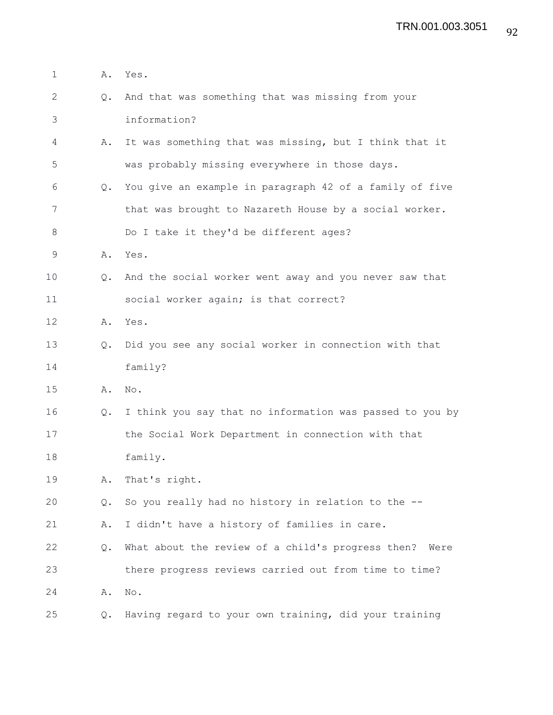| 1            | Α.            | Yes.                                                      |
|--------------|---------------|-----------------------------------------------------------|
| $\mathbf{2}$ | $Q_{\bullet}$ | And that was something that was missing from your         |
| 3            |               | information?                                              |
| 4            | Α.            | It was something that was missing, but I think that it    |
| 5            |               | was probably missing everywhere in those days.            |
| 6            | Q.            | You give an example in paragraph 42 of a family of five   |
| 7            |               | that was brought to Nazareth House by a social worker.    |
| $8\,$        |               | Do I take it they'd be different ages?                    |
| 9            | Α.            | Yes.                                                      |
| 10           | Q.            | And the social worker went away and you never saw that    |
| 11           |               | social worker again; is that correct?                     |
| 12           | Α.            | Yes.                                                      |
| 13           | $Q_{\bullet}$ | Did you see any social worker in connection with that     |
| 14           |               | family?                                                   |
| 15           | Α.            | No.                                                       |
| 16           | $Q_{\bullet}$ | I think you say that no information was passed to you by  |
| 17           |               | the Social Work Department in connection with that        |
| 18           |               | family.                                                   |
| 19           | Α.            | That's right.                                             |
| 20           | Q.            | So you really had no history in relation to the --        |
| 21           | Α.            | I didn't have a history of families in care.              |
| 22           | Q.            | What about the review of a child's progress then?<br>Were |
| 23           |               | there progress reviews carried out from time to time?     |
| 24           | Α.            | $\mathrm{No}$ .                                           |
| 25           | Q.            | Having regard to your own training, did your training     |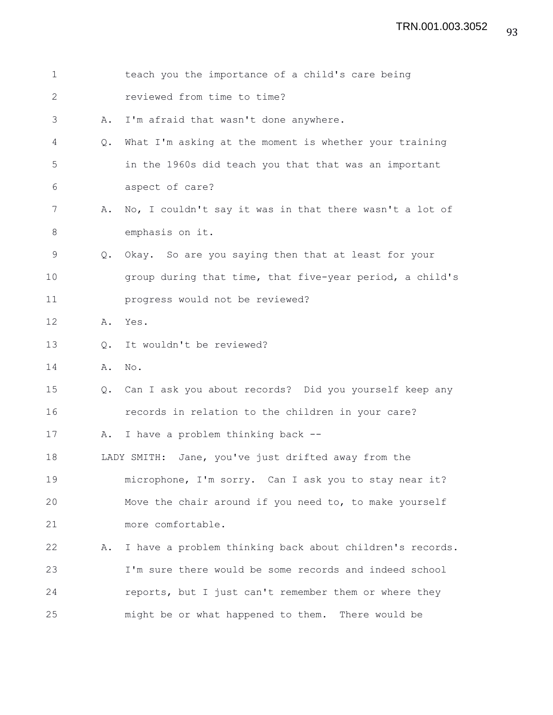| $\mathbf 1$   |               | teach you the importance of a child's care being          |
|---------------|---------------|-----------------------------------------------------------|
| 2             |               | reviewed from time to time?                               |
| 3             | Α.            | I'm afraid that wasn't done anywhere.                     |
| 4             | $Q_{\bullet}$ | What I'm asking at the moment is whether your training    |
| 5             |               | in the 1960s did teach you that that was an important     |
| 6             |               | aspect of care?                                           |
| 7             | Α.            | No, I couldn't say it was in that there wasn't a lot of   |
| 8             |               | emphasis on it.                                           |
| $\mathcal{G}$ | $Q_{\bullet}$ | Okay. So are you saying then that at least for your       |
| 10            |               | group during that time, that five-year period, a child's  |
| 11            |               | progress would not be reviewed?                           |
| 12            | Α.            | Yes.                                                      |
| 13            | Q.            | It wouldn't be reviewed?                                  |
| 14            | Α.            | $\mathbb{N} \circ$ .                                      |
| 15            |               | Q. Can I ask you about records? Did you yourself keep any |
| 16            |               | records in relation to the children in your care?         |
| 17            | Α.            | I have a problem thinking back --                         |
| 18            |               | LADY SMITH: Jane, you've just drifted away from the       |
| 19            |               | microphone, I'm sorry. Can I ask you to stay near it?     |
| 20            |               | Move the chair around if you need to, to make yourself    |
| 21            |               | more comfortable.                                         |
| 22            | Α.            | I have a problem thinking back about children's records.  |
| 23            |               | I'm sure there would be some records and indeed school    |
| 24            |               | reports, but I just can't remember them or where they     |
| 25            |               | might be or what happened to them. There would be         |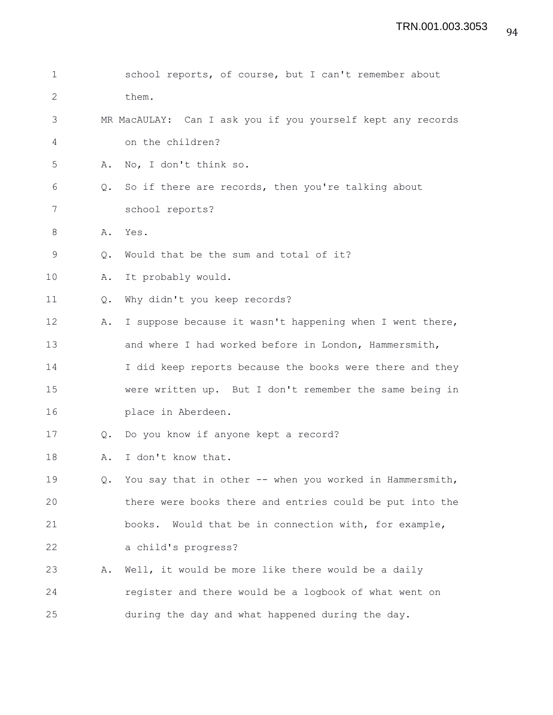| $\mathbf 1$ |               | school reports, of course, but I can't remember about       |
|-------------|---------------|-------------------------------------------------------------|
| 2           |               | them.                                                       |
| 3           |               | MR MacAULAY: Can I ask you if you yourself kept any records |
| 4           |               | on the children?                                            |
| 5           | Α.            | No, I don't think so.                                       |
| 6           | $Q_{\bullet}$ | So if there are records, then you're talking about          |
| 7           |               | school reports?                                             |
| 8           | Α.            | Yes.                                                        |
| 9           | Q.            | Would that be the sum and total of it?                      |
| 10          | Α.            | It probably would.                                          |
| 11          | Q.            | Why didn't you keep records?                                |
| 12          | Α.            | I suppose because it wasn't happening when I went there,    |
| 13          |               | and where I had worked before in London, Hammersmith,       |
| 14          |               | I did keep reports because the books were there and they    |
| 15          |               | were written up. But I don't remember the same being in     |
| 16          |               | place in Aberdeen.                                          |
| 17          | Q.            | Do you know if anyone kept a record?                        |
| 18          | Α.            | I don't know that.                                          |
| 19          | Q.            | You say that in other -- when you worked in Hammersmith,    |
| 20          |               | there were books there and entries could be put into the    |
| 21          |               | Would that be in connection with, for example,<br>books.    |
| 22          |               | a child's progress?                                         |
| 23          | Α.            | Well, it would be more like there would be a daily          |
| 24          |               | register and there would be a logbook of what went on       |
| 25          |               | during the day and what happened during the day.            |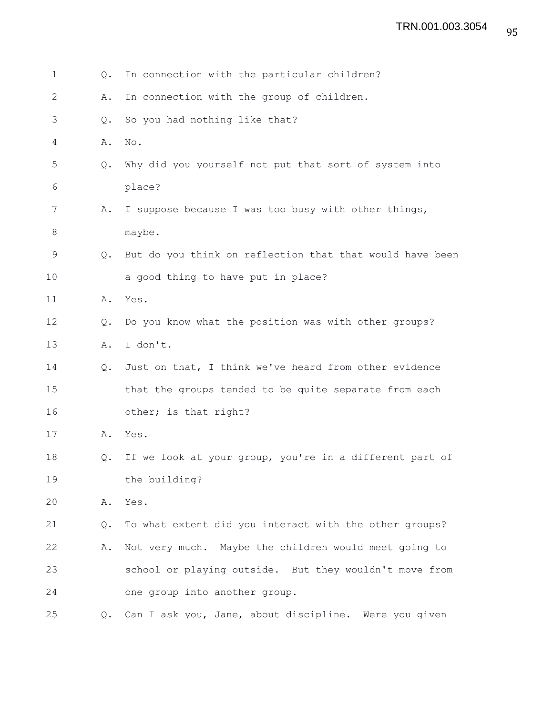| 1              | Q.            | In connection with the particular children?              |
|----------------|---------------|----------------------------------------------------------|
| $\overline{2}$ | Α.            | In connection with the group of children.                |
| 3              | $Q_{\bullet}$ | So you had nothing like that?                            |
| 4              | Α.            | No.                                                      |
| 5              | Q.            | Why did you yourself not put that sort of system into    |
| 6              |               | place?                                                   |
| 7              | Α.            | I suppose because I was too busy with other things,      |
| 8              |               | maybe.                                                   |
| 9              | Q.            | But do you think on reflection that that would have been |
| 10             |               | a good thing to have put in place?                       |
| 11             | Α.            | Yes.                                                     |
| 12             | $Q_{\bullet}$ | Do you know what the position was with other groups?     |
| 13             | Α.            | I don't.                                                 |
| 14             | $Q_{\bullet}$ | Just on that, I think we've heard from other evidence    |
| 15             |               | that the groups tended to be quite separate from each    |
| 16             |               | other; is that right?                                    |
| 17             | Α.            | Yes.                                                     |
| 18             | Q.            | If we look at your group, you're in a different part of  |
| 19             |               | the building?                                            |
| 20             | Α.            | Yes.                                                     |
| 21             | Q.            | To what extent did you interact with the other groups?   |
| 22             | Α.            | Not very much. Maybe the children would meet going to    |
| 23             |               | school or playing outside. But they wouldn't move from   |
| 24             |               | one group into another group.                            |
| 25             | Q.            | Can I ask you, Jane, about discipline. Were you given    |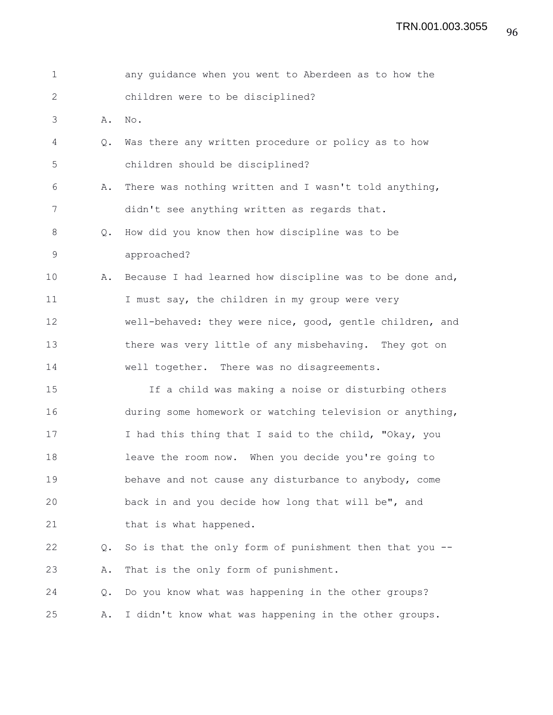| $\mathbf 1$  |               | any guidance when you went to Aberdeen as to how the     |
|--------------|---------------|----------------------------------------------------------|
| $\mathbf{2}$ |               | children were to be disciplined?                         |
| 3            | Α.            | No.                                                      |
| 4            | $Q_{\bullet}$ | Was there any written procedure or policy as to how      |
| 5            |               | children should be disciplined?                          |
| 6            | Α.            | There was nothing written and I wasn't told anything,    |
| 7            |               | didn't see anything written as regards that.             |
| 8            | Q.            | How did you know then how discipline was to be           |
| 9            |               | approached?                                              |
| 10           | Α.            | Because I had learned how discipline was to be done and, |
| 11           |               | I must say, the children in my group were very           |
| 12           |               | well-behaved: they were nice, good, gentle children, and |
| 13           |               | there was very little of any misbehaving. They got on    |
| 14           |               | well together. There was no disagreements.               |
| 15           |               | If a child was making a noise or disturbing others       |
| 16           |               | during some homework or watching television or anything, |
| 17           |               | I had this thing that I said to the child, "Okay, you    |
| 18           |               | leave the room now. When you decide you're going to      |
| 19           |               | behave and not cause any disturbance to anybody, come    |
| 20           |               | back in and you decide how long that will be", and       |
| 21           |               | that is what happened.                                   |
| 22           | $Q_{\bullet}$ | So is that the only form of punishment then that you --  |
| 23           | Α.            | That is the only form of punishment.                     |
| 24           | Q.            | Do you know what was happening in the other groups?      |
| 25           | Α.            | I didn't know what was happening in the other groups.    |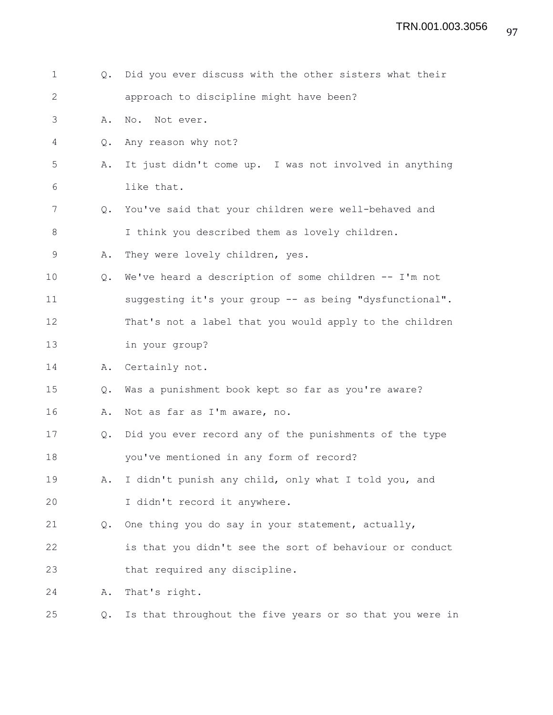| $\mathbf 1$  | $Q_{\bullet}$ | Did you ever discuss with the other sisters what their   |
|--------------|---------------|----------------------------------------------------------|
| $\mathbf{2}$ |               | approach to discipline might have been?                  |
| 3            | Α.            | No. Not ever.                                            |
| 4            | $Q_{\bullet}$ | Any reason why not?                                      |
| 5            | Α.            | It just didn't come up. I was not involved in anything   |
| 6            |               | like that.                                               |
| 7            | Q.            | You've said that your children were well-behaved and     |
| 8            |               | I think you described them as lovely children.           |
| 9            | Α.            | They were lovely children, yes.                          |
| 10           | $Q_{\bullet}$ | We've heard a description of some children -- I'm not    |
| 11           |               | suggesting it's your group -- as being "dysfunctional".  |
| 12           |               | That's not a label that you would apply to the children  |
| 13           |               | in your group?                                           |
| 14           | Α.            | Certainly not.                                           |
| 15           | Q.            | Was a punishment book kept so far as you're aware?       |
| 16           | Α.            | Not as far as I'm aware, no.                             |
| 17           | Q.            | Did you ever record any of the punishments of the type   |
| 18           |               | you've mentioned in any form of record?                  |
| 19           | Α.            | I didn't punish any child, only what I told you, and     |
| 20           |               | I didn't record it anywhere.                             |
| 21           | Q.            | One thing you do say in your statement, actually,        |
| 22           |               | is that you didn't see the sort of behaviour or conduct  |
| 23           |               | that required any discipline.                            |
| 24           | Α.            | That's right.                                            |
| 25           | Q.            | Is that throughout the five years or so that you were in |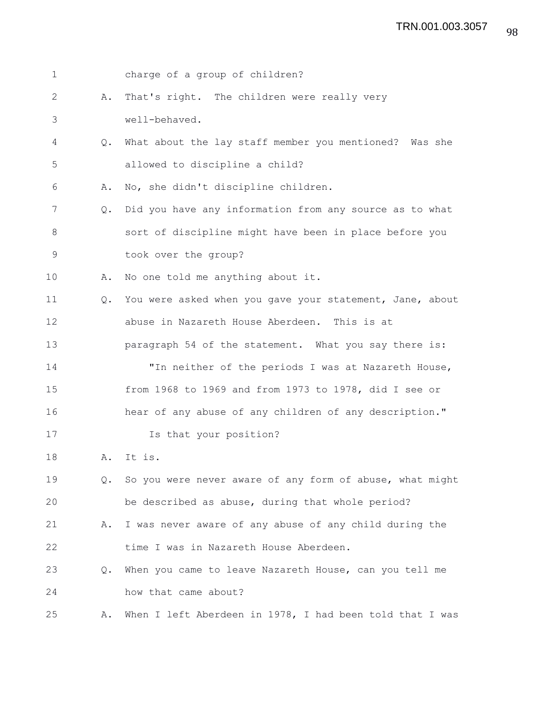| $\mathbf 1$ |               | charge of a group of children?                           |
|-------------|---------------|----------------------------------------------------------|
| 2           | Α.            | That's right. The children were really very              |
| 3           |               | well-behaved.                                            |
| 4           | Q.            | What about the lay staff member you mentioned? Was she   |
| 5           |               | allowed to discipline a child?                           |
| 6           | Α.            | No, she didn't discipline children.                      |
| 7           | Q.            | Did you have any information from any source as to what  |
| 8           |               | sort of discipline might have been in place before you   |
| 9           |               | took over the group?                                     |
| 10          | Α.            | No one told me anything about it.                        |
| 11          | $Q_{\bullet}$ | You were asked when you gave your statement, Jane, about |
| 12          |               | abuse in Nazareth House Aberdeen. This is at             |
| 13          |               | paragraph 54 of the statement. What you say there is:    |
| 14          |               | "In neither of the periods I was at Nazareth House,      |
| 15          |               | from 1968 to 1969 and from 1973 to 1978, did I see or    |
| 16          |               | hear of any abuse of any children of any description."   |
| 17          |               | Is that your position?                                   |
| 18          | Α.            | It is.                                                   |
| 19          | Q.            | So you were never aware of any form of abuse, what might |
| 20          |               | be described as abuse, during that whole period?         |
| 21          | Α.            | I was never aware of any abuse of any child during the   |
| 22          |               | time I was in Nazareth House Aberdeen.                   |
| 23          | Q.            | When you came to leave Nazareth House, can you tell me   |
| 24          |               | how that came about?                                     |
| 25          | Α.            | When I left Aberdeen in 1978, I had been told that I was |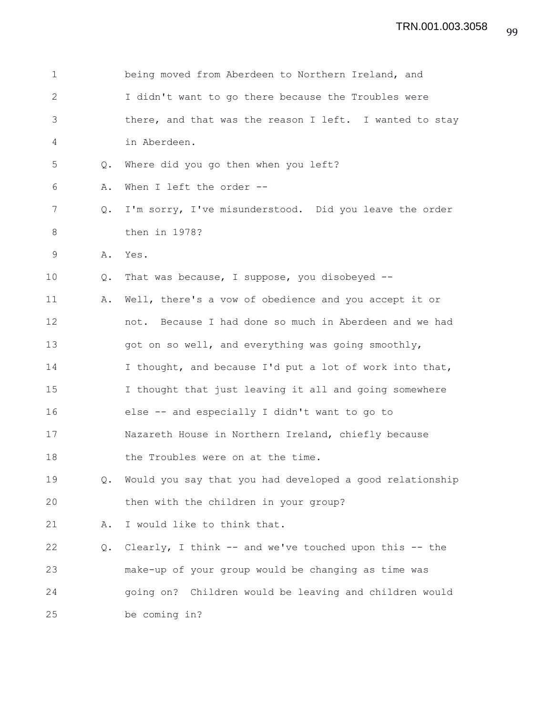| $\mathbf 1$  |               | being moved from Aberdeen to Northern Ireland, and       |
|--------------|---------------|----------------------------------------------------------|
| $\mathbf{2}$ |               | I didn't want to go there because the Troubles were      |
| 3            |               | there, and that was the reason I left. I wanted to stay  |
| 4            |               | in Aberdeen.                                             |
| 5            | $Q_{\bullet}$ | Where did you go then when you left?                     |
| 6            | Α.            | When I left the order --                                 |
| 7            | Q.            | I'm sorry, I've misunderstood. Did you leave the order   |
| 8            |               | then in 1978?                                            |
| 9            | Α.            | Yes.                                                     |
| 10           | Q.            | That was because, I suppose, you disobeyed --            |
| 11           | Α.            | Well, there's a vow of obedience and you accept it or    |
| 12           |               | not. Because I had done so much in Aberdeen and we had   |
| 13           |               | got on so well, and everything was going smoothly,       |
| 14           |               | I thought, and because I'd put a lot of work into that,  |
| 15           |               | I thought that just leaving it all and going somewhere   |
| 16           |               | else -- and especially I didn't want to go to            |
| 17           |               | Nazareth House in Northern Ireland, chiefly because      |
| 18           |               | the Troubles were on at the time.                        |
| 19           | Q.            | Would you say that you had developed a good relationship |
| 20           |               | then with the children in your group?                    |
| 21           | Α.            | I would like to think that.                              |
| 22           | Q.            | Clearly, I think -- and we've touched upon this -- the   |
| 23           |               | make-up of your group would be changing as time was      |
| 24           |               | going on? Children would be leaving and children would   |
| 25           |               | be coming in?                                            |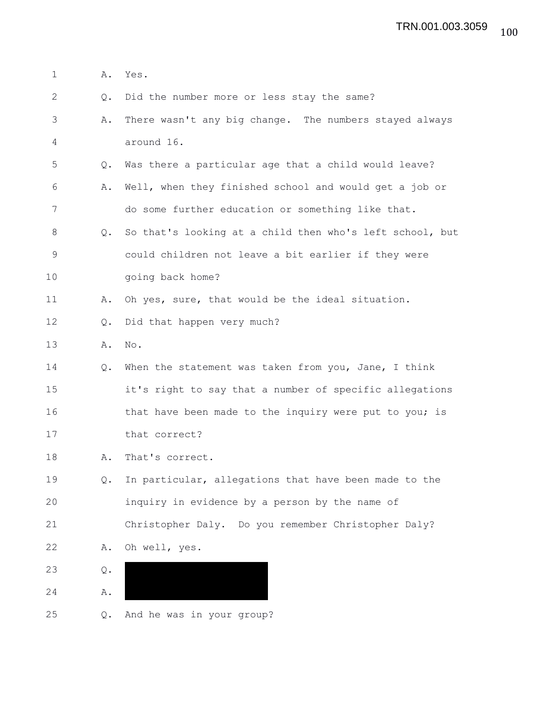| $\mathbf 1$ | Α.            | Yes.                                                     |
|-------------|---------------|----------------------------------------------------------|
| 2           | Q.            | Did the number more or less stay the same?               |
| 3           | Α.            | There wasn't any big change. The numbers stayed always   |
| 4           |               | around 16.                                               |
| 5           | Q.            | Was there a particular age that a child would leave?     |
| 6           | Α.            | Well, when they finished school and would get a job or   |
| 7           |               | do some further education or something like that.        |
| 8           | $Q_{\bullet}$ | So that's looking at a child then who's left school, but |
| 9           |               | could children not leave a bit earlier if they were      |
| 10          |               | going back home?                                         |
| 11          | Α.            | Oh yes, sure, that would be the ideal situation.         |
| 12          | Q.            | Did that happen very much?                               |
| 13          | Α.            | No.                                                      |
| 14          | Q.            | When the statement was taken from you, Jane, I think     |
| 15          |               | it's right to say that a number of specific allegations  |
| 16          |               | that have been made to the inquiry were put to you; is   |
| 17          |               | that correct?                                            |
| 18          | Α.            | That's correct.                                          |
| 19          | Q.            | In particular, allegations that have been made to the    |
| 20          |               | inquiry in evidence by a person by the name of           |
| 21          |               | Christopher Daly. Do you remember Christopher Daly?      |
| 22          | Α.            | Oh well, yes.                                            |
| 23          | Q.            |                                                          |
| 24          | Α.            |                                                          |
| 25          | Q.            | And he was in your group?                                |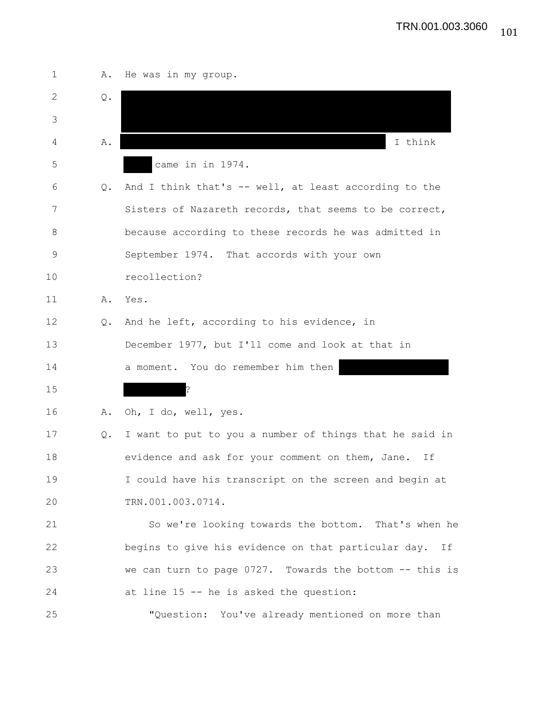| $\mathbf 1$ | Α.            | He was in my group.                                       |
|-------------|---------------|-----------------------------------------------------------|
| 2           | Q.            |                                                           |
| 3           |               |                                                           |
| 4           | Α.            | I think                                                   |
| 5           |               | came in in 1974.                                          |
| 6           | Q.            | And I think that's -- well, at least according to the     |
| 7           |               | Sisters of Nazareth records, that seems to be correct,    |
| 8           |               | because according to these records he was admitted in     |
| $\mathsf 9$ |               | September 1974. That accords with your own                |
| 10          |               | recollection?                                             |
| 11          | Α.            | Yes.                                                      |
| 12          | $Q_{\bullet}$ | And he left, according to his evidence, in                |
| 13          |               | December 1977, but I'll come and look at that in          |
| 14          |               | a moment. You do remember him then                        |
| 15          |               | ?                                                         |
| 16          | Α.            | Oh, I do, well, yes.                                      |
| 17          | Q.            | I want to put to you a number of things that he said in   |
| 18          |               | evidence and ask for your comment on them, Jane.<br>Ιf    |
| 19          |               | I could have his transcript on the screen and begin at    |
| 20          |               | TRN.001.003.0714.                                         |
| 21          |               | So we're looking towards the bottom. That's when he       |
| 22          |               | begins to give his evidence on that particular day.<br>If |
| 23          |               | we can turn to page 0727. Towards the bottom -- this is   |
| 24          |               | at line 15 -- he is asked the question:                   |
| 25          |               | "Question: You've already mentioned on more than          |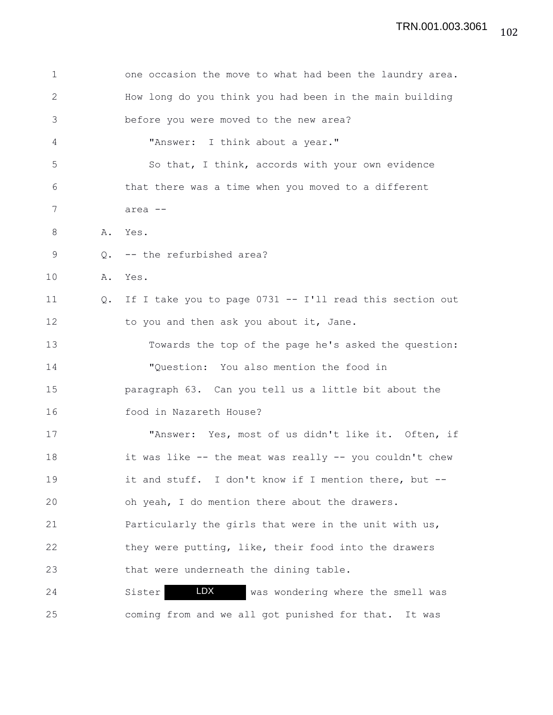| $\mathbf 1$  |               | one occasion the move to what had been the laundry area. |
|--------------|---------------|----------------------------------------------------------|
| $\mathbf{2}$ |               | How long do you think you had been in the main building  |
| 3            |               | before you were moved to the new area?                   |
| 4            |               | "Answer: I think about a year."                          |
| 5            |               | So that, I think, accords with your own evidence         |
| 6            |               | that there was a time when you moved to a different      |
| 7            |               | area --                                                  |
| 8            |               | A. Yes.                                                  |
| 9            | $\circ$ .     | -- the refurbished area?                                 |
| 10           | Α.            | Yes.                                                     |
| 11           | $Q_{\bullet}$ | If I take you to page 0731 -- I'll read this section out |
| 12           |               | to you and then ask you about it, Jane.                  |
| 13           |               | Towards the top of the page he's asked the question:     |
| 14           |               | "Question: You also mention the food in                  |
| 15           |               | paragraph 63. Can you tell us a little bit about the     |
| 16           |               | food in Nazareth House?                                  |
| 17           |               | "Answer: Yes, most of us didn't like it. Often, if       |
| 18           |               | it was like -- the meat was really -- you couldn't chew  |
| 19           |               | it and stuff. I don't know if I mention there, but --    |
| 20           |               | oh yeah, I do mention there about the drawers.           |
| 21           |               | Particularly the girls that were in the unit with us,    |
| 22           |               | they were putting, like, their food into the drawers     |
| 23           |               | that were underneath the dining table.                   |
| 24           |               | LDX<br>was wondering where the smell was<br>Sister       |
| 25           |               | coming from and we all got punished for that.<br>It was  |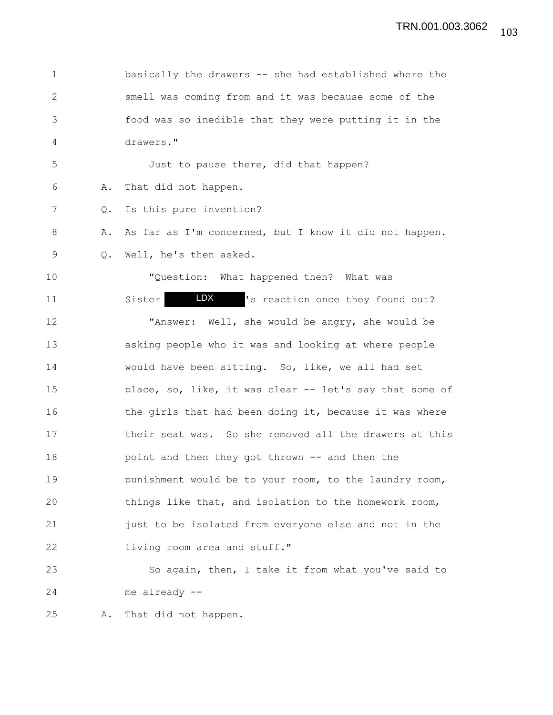| $\mathbf 1$  |    | basically the drawers -- she had established where the  |
|--------------|----|---------------------------------------------------------|
| $\mathbf{2}$ |    | smell was coming from and it was because some of the    |
| 3            |    | food was so inedible that they were putting it in the   |
| 4            |    | drawers."                                               |
| 5            |    | Just to pause there, did that happen?                   |
| 6            | Α. | That did not happen.                                    |
| 7            | Q. | Is this pure invention?                                 |
| $8\,$        | Α. | As far as I'm concerned, but I know it did not happen.  |
| 9            | Q. | Well, he's then asked.                                  |
| 10           |    | "Question: What happened then? What was                 |
| 11           |    | LDX DOM:<br>'s reaction once they found out?<br>Sister  |
| 12           |    | "Answer: Well, she would be angry, she would be         |
| 13           |    | asking people who it was and looking at where people    |
| 14           |    | would have been sitting. So, like, we all had set       |
| 15           |    | place, so, like, it was clear -- let's say that some of |
| 16           |    | the girls that had been doing it, because it was where  |
| 17           |    | their seat was. So she removed all the drawers at this  |
| 18           |    | point and then they got thrown -- and then the          |
| 19           |    | punishment would be to your room, to the laundry room,  |
| 20           |    | things like that, and isolation to the homework room,   |
| 21           |    | just to be isolated from everyone else and not in the   |
| 22           |    | living room area and stuff."                            |
| 23           |    | So again, then, I take it from what you've said to      |
| 24           |    | me already --                                           |
| 25           | Α. | That did not happen.                                    |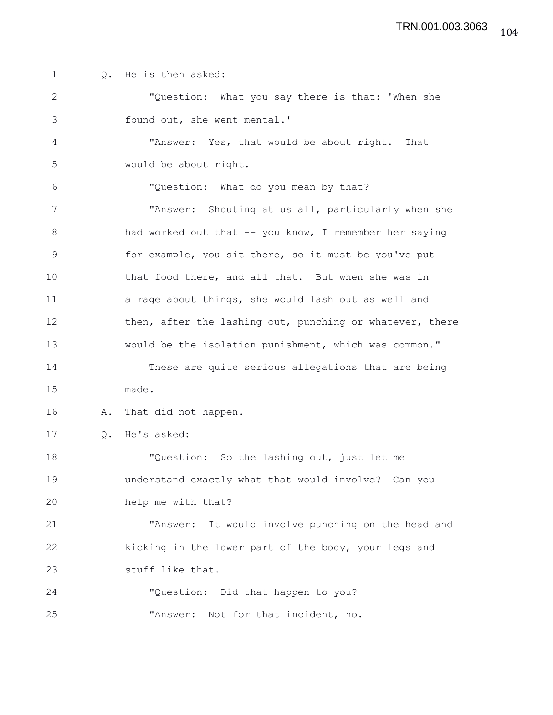1 0. He is then asked: 2 "Question: What you say there is that: 'When she 3 found out, she went mental.' 4 "Answer: Yes, that would be about right. That 5 would be about right. 6 "Question: What do you mean by that? 7 "Answer: Shouting at us all, particularly when she 8 had worked out that -- you know, I remember her saying 9 for example, you sit there, so it must be you've put 10 that food there, and all that. But when she was in 11 a rage about things, she would lash out as well and 12 then, after the lashing out, punching or whatever, there 13 would be the isolation punishment, which was common." 14 These are quite serious allegations that are being 15 made. 16 A. That did not happen. 17 Q. He's asked: 18 "Question: So the lashing out, just let me 19 understand exactly what that would involve? Can you 20 help me with that? 21 "Answer: It would involve punching on the head and 22 kicking in the lower part of the body, your legs and 23 stuff like that. 24 "Question: Did that happen to you? 25 "Answer: Not for that incident, no.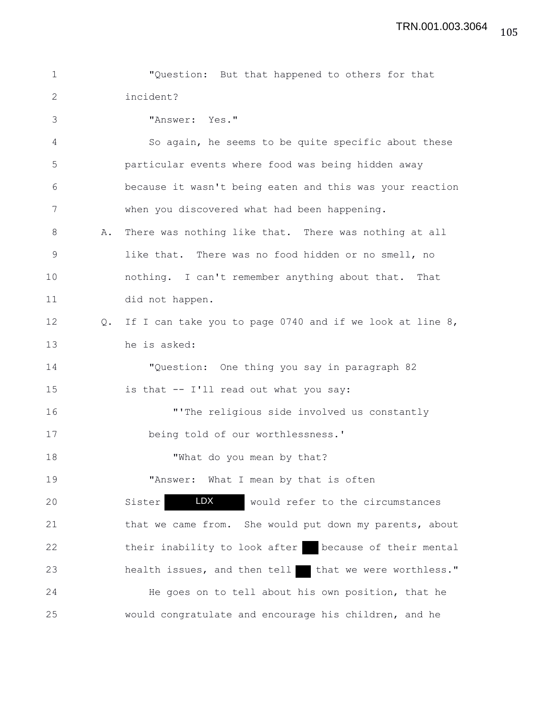| $\mathbf 1$   |               | "Question: But that happened to others for that          |
|---------------|---------------|----------------------------------------------------------|
| $\mathbf{2}$  |               | incident?                                                |
| 3             |               | "Answer: Yes."                                           |
| 4             |               | So again, he seems to be quite specific about these      |
| 5             |               | particular events where food was being hidden away       |
| 6             |               | because it wasn't being eaten and this was your reaction |
| 7             |               | when you discovered what had been happening.             |
| 8             | Α.            | There was nothing like that. There was nothing at all    |
| $\mathcal{G}$ |               | like that. There was no food hidden or no smell, no      |
| 10            |               | nothing. I can't remember anything about that. That      |
| 11            |               | did not happen.                                          |
| 12            | $Q_{\bullet}$ | If I can take you to page 0740 and if we look at line 8, |
| 13            |               | he is asked:                                             |
| 14            |               | "Question: One thing you say in paragraph 82             |
| 15            |               | is that -- I'll read out what you say:                   |
| 16            |               | "'The religious side involved us constantly              |
| 17            |               | being told of our worthlessness.'                        |
| 18            |               | "What do you mean by that?                               |
| 19            |               | "Answer: What I mean by that is often                    |
| 20            |               | LDX<br>would refer to the circumstances<br>Sister        |
| 21            |               | that we came from. She would put down my parents, about  |
| 22            |               | their inability to look after<br>because of their mental |
| 23            |               | that we were worthless."<br>health issues, and then tell |
| 24            |               | He goes on to tell about his own position, that he       |
| 25            |               | would congratulate and encourage his children, and he    |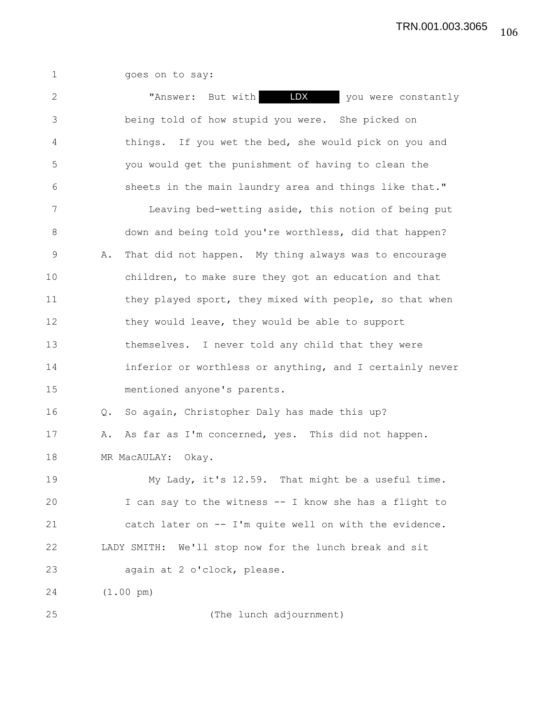1 goes on to say:

| $\mathbf{2}$   | LDX<br>"Answer: But with<br>you were constantly             |
|----------------|-------------------------------------------------------------|
| 3              | being told of how stupid you were. She picked on            |
| 4              | things. If you wet the bed, she would pick on you and       |
| 5              | you would get the punishment of having to clean the         |
| 6              | sheets in the main laundry area and things like that."      |
| $7\phantom{.}$ | Leaving bed-wetting aside, this notion of being put         |
| $8\,$          | down and being told you're worthless, did that happen?      |
| 9              | That did not happen. My thing always was to encourage<br>Α. |
| 10             | children, to make sure they got an education and that       |
| 11             | they played sport, they mixed with people, so that when     |
| 12             | they would leave, they would be able to support             |
| 13             | themselves. I never told any child that they were           |
| 14             | inferior or worthless or anything, and I certainly never    |
| 15             | mentioned anyone's parents.                                 |
| 16             | So again, Christopher Daly has made this up?<br>Q.          |
| 17             | As far as I'm concerned, yes. This did not happen.<br>Α.    |
| 18             | MR MacAULAY:<br>Okay.                                       |
| 19             | My Lady, it's 12.59. That might be a useful time.           |
| 20             | I can say to the witness -- I know she has a flight to      |
| 21             | catch later on -- I'm quite well on with the evidence.      |
| 22             | LADY SMITH: We'll stop now for the lunch break and sit      |
| 23             | again at 2 o'clock, please.                                 |
| 24             | $(1.00 \text{ pm})$                                         |
| 25             | (The lunch adjournment)                                     |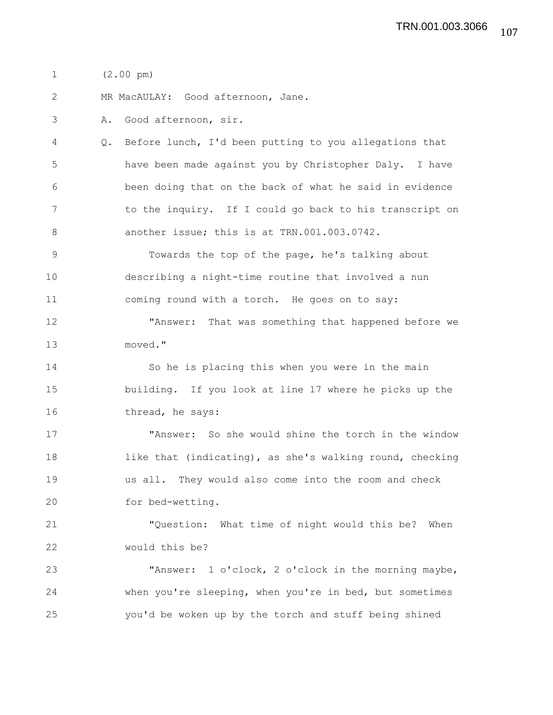1 (2.00 pm)

2 MR MacAULAY: Good afternoon, Jane.

3 A. Good afternoon, sir.

4 Q. Before lunch, I'd been putting to you allegations that 5 have been made against you by Christopher Daly. I have 6 been doing that on the back of what he said in evidence 7 to the inquiry. If I could go back to his transcript on 8 another issue; this is at TRN.001.003.0742.

9 Towards the top of the page, he's talking about 10 describing a night-time routine that involved a nun 11 coming round with a torch. He goes on to say:

12 "Answer: That was something that happened before we 13 moved."

14 So he is placing this when you were in the main 15 building. If you look at line 17 where he picks up the 16 thread, he says:

17 "Answer: So she would shine the torch in the window 18 like that (indicating), as she's walking round, checking 19 us all. They would also come into the room and check 20 for bed-wetting.

21 "Question: What time of night would this be? When 22 would this be?

23 "Answer: 1 o'clock, 2 o'clock in the morning maybe, 24 when you're sleeping, when you're in bed, but sometimes 25 you'd be woken up by the torch and stuff being shined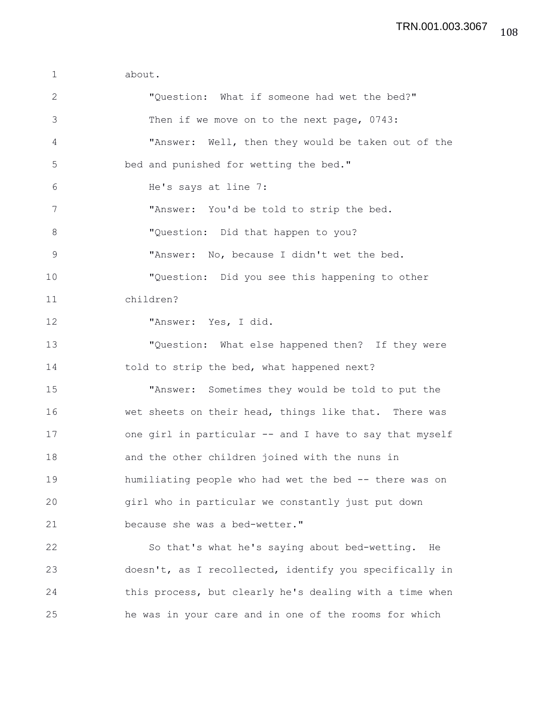1 about. 2 "Question: What if someone had wet the bed?" 3 Then if we move on to the next page, 0743: 4 "Answer: Well, then they would be taken out of the 5 bed and punished for wetting the bed." 6 He's says at line 7: 7 "Answer: You'd be told to strip the bed. 8 "Question: Did that happen to you? 9 "Answer: No, because I didn't wet the bed. 10 "Question: Did you see this happening to other 11 children? 12 "Answer: Yes, I did. 13 "Question: What else happened then? If they were 14 told to strip the bed, what happened next? 15 "Answer: Sometimes they would be told to put the 16 wet sheets on their head, things like that. There was 17 one girl in particular -- and I have to say that myself 18 and the other children joined with the nuns in 19 humiliating people who had wet the bed -- there was on 20 girl who in particular we constantly just put down 21 because she was a bed-wetter." 22 So that's what he's saying about bed-wetting. He 23 doesn't, as I recollected, identify you specifically in 24 this process, but clearly he's dealing with a time when 25 he was in your care and in one of the rooms for which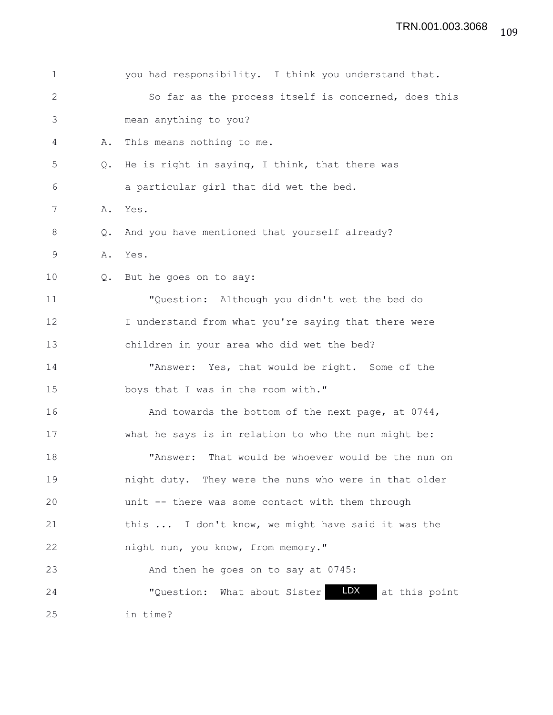| $\mathbf 1$  |               | you had responsibility. I think you understand that.        |
|--------------|---------------|-------------------------------------------------------------|
| $\mathbf{2}$ |               | So far as the process itself is concerned, does this        |
| 3            |               | mean anything to you?                                       |
| 4            | Α.            | This means nothing to me.                                   |
| 5            | $Q_{\bullet}$ | He is right in saying, I think, that there was              |
| 6            |               | a particular girl that did wet the bed.                     |
| 7            | Α.            | Yes.                                                        |
| 8            | Q.            | And you have mentioned that yourself already?               |
| 9            | Α.            | Yes.                                                        |
| 10           | Q.            | But he goes on to say:                                      |
| 11           |               | "Question: Although you didn't wet the bed do               |
| 12           |               | I understand from what you're saying that there were        |
| 13           |               | children in your area who did wet the bed?                  |
| 14           |               | "Answer: Yes, that would be right. Some of the              |
| 15           |               | boys that I was in the room with."                          |
| 16           |               | And towards the bottom of the next page, at 0744,           |
| 17           |               | what he says is in relation to who the nun might be:        |
| 18           |               | "Answer: That would be whoever would be the nun on          |
| 19           |               | night duty. They were the nuns who were in that older       |
| 20           |               | unit -- there was some contact with them through            |
| 21           |               | this  I don't know, we might have said it was the           |
| 22           |               | night nun, you know, from memory."                          |
| 23           |               | And then he goes on to say at 0745:                         |
| 24           |               | <b>LDX</b><br>"Question: What about Sister<br>at this point |
| 25           |               | in time?                                                    |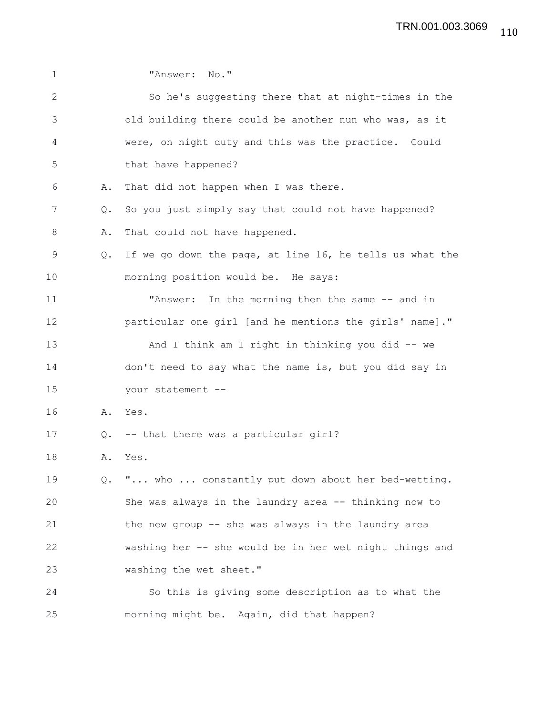| $\mathbf 1$  |               | "Answer: No."                                            |
|--------------|---------------|----------------------------------------------------------|
| $\mathbf{2}$ |               | So he's suggesting there that at night-times in the      |
| 3            |               | old building there could be another nun who was, as it   |
| 4            |               | were, on night duty and this was the practice. Could     |
| 5            |               | that have happened?                                      |
| 6            | Α.            | That did not happen when I was there.                    |
| 7            | $Q_{\bullet}$ | So you just simply say that could not have happened?     |
| 8            | Α.            | That could not have happened.                            |
| 9            | $Q_{\bullet}$ | If we go down the page, at line 16, he tells us what the |
| 10           |               | morning position would be. He says:                      |
| 11           |               | In the morning then the same -- and in<br>"Answer:       |
| 12           |               | particular one girl [and he mentions the girls' name]."  |
| 13           |               | And I think am I right in thinking you did -- we         |
| 14           |               | don't need to say what the name is, but you did say in   |
| 15           |               | your statement --                                        |
| 16           | Α.            | Yes.                                                     |
| 17           | Q.            | -- that there was a particular girl?                     |
| 18           | Α.            | Yes.                                                     |
| 19           |               | Q. " who  constantly put down about her bed-wetting.     |
| 20           |               | She was always in the laundry area -- thinking now to    |
| 21           |               | the new group -- she was always in the laundry area      |
| 22           |               | washing her -- she would be in her wet night things and  |
| 23           |               | washing the wet sheet."                                  |
| 24           |               | So this is giving some description as to what the        |
| 25           |               | morning might be. Again, did that happen?                |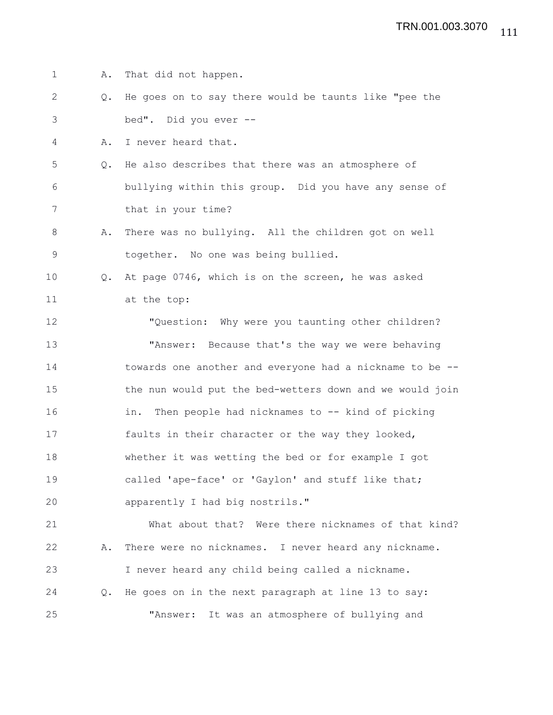1 A. That did not happen. 2 Q. He goes on to say there would be taunts like "pee the 3 bed". Did you ever -- 4 A. I never heard that. 5 Q. He also describes that there was an atmosphere of 6 bullying within this group. Did you have any sense of 7 that in your time? 8 A. There was no bullying. All the children got on well 9 together. No one was being bullied. 10 Q. At page 0746, which is on the screen, he was asked 11 at the top: 12 "Question: Why were you taunting other children? 13 "Answer: Because that's the way we were behaving 14 towards one another and everyone had a nickname to be -- 15 the nun would put the bed-wetters down and we would join 16 in. Then people had nicknames to -- kind of picking 17 faults in their character or the way they looked, 18 whether it was wetting the bed or for example I got 19 called 'ape-face' or 'Gaylon' and stuff like that; 20 apparently I had big nostrils." 21 What about that? Were there nicknames of that kind? 22 A. There were no nicknames. I never heard any nickname. 23 I never heard any child being called a nickname. 24 Q. He goes on in the next paragraph at line 13 to say: 25 "Answer: It was an atmosphere of bullying and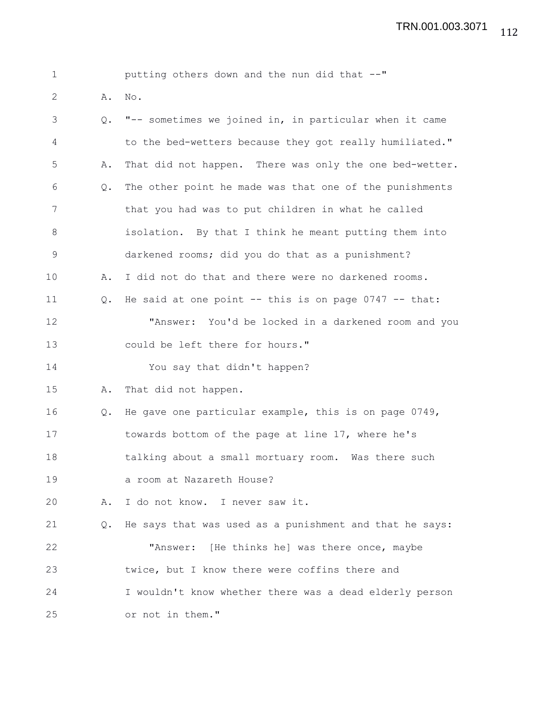| $\mathbf 1$ |               | putting others down and the nun did that --"              |
|-------------|---------------|-----------------------------------------------------------|
| 2           | Α.            | No.                                                       |
| 3           | Q.            | "-- sometimes we joined in, in particular when it came    |
| 4           |               | to the bed-wetters because they got really humiliated."   |
| 5           | Α.            | That did not happen. There was only the one bed-wetter.   |
| 6           | Q.            | The other point he made was that one of the punishments   |
| 7           |               | that you had was to put children in what he called        |
| $8\,$       |               | isolation. By that I think he meant putting them into     |
| $\mathsf 9$ |               | darkened rooms; did you do that as a punishment?          |
| 10          | Α.            | I did not do that and there were no darkened rooms.       |
| 11          | $Q_{\bullet}$ | He said at one point $--$ this is on page 0747 $--$ that: |
| 12          |               | "Answer: You'd be locked in a darkened room and you       |
| 13          |               | could be left there for hours."                           |
| 14          |               | You say that didn't happen?                               |
| 15          | Α.            | That did not happen.                                      |
| 16          | Q.            | He gave one particular example, this is on page 0749,     |
| 17          |               | towards bottom of the page at line 17, where he's         |
| 18          |               | talking about a small mortuary room. Was there such       |
| 19          |               | a room at Nazareth House?                                 |
| 20          | Α.            | I do not know. I never saw it.                            |
| 21          | Q.            | He says that was used as a punishment and that he says:   |
| 22          |               | "Answer: [He thinks he] was there once, maybe             |
| 23          |               | twice, but I know there were coffins there and            |
| 24          |               | I wouldn't know whether there was a dead elderly person   |
| 25          |               | or not in them."                                          |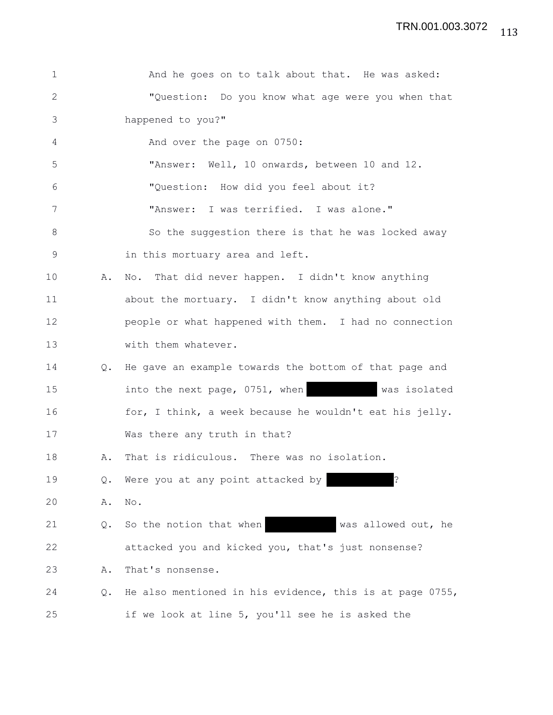| $\mathbf 1$ |               | And he goes on to talk about that. He was asked:         |
|-------------|---------------|----------------------------------------------------------|
| 2           |               | "Question: Do you know what age were you when that       |
| 3           |               | happened to you?"                                        |
| 4           |               | And over the page on 0750:                               |
| 5           |               | "Answer: Well, 10 onwards, between 10 and 12.            |
| 6           |               | "Question: How did you feel about it?                    |
| 7           |               | "Answer: I was terrified. I was alone."                  |
| 8           |               | So the suggestion there is that he was locked away       |
| $\mathsf 9$ |               | in this mortuary area and left.                          |
| 10          | Α.            | No. That did never happen. I didn't know anything        |
| 11          |               | about the mortuary. I didn't know anything about old     |
| 12          |               | people or what happened with them. I had no connection   |
| 13          |               | with them whatever.                                      |
| 14          | $Q_{\bullet}$ | He gave an example towards the bottom of that page and   |
| 15          |               | into the next page, 0751, when<br>was isolated           |
| 16          |               | for, I think, a week because he wouldn't eat his jelly.  |
| 17          |               | Was there any truth in that?                             |
| 18          | Α.            | That is ridiculous. There was no isolation.              |
| 19          | Q.            | İ.<br>Were you at any point attacked by                  |
| 20          | Α.            | No.                                                      |
| 21          | Q.            | So the notion that when<br>was allowed out, he           |
| 22          |               | attacked you and kicked you, that's just nonsense?       |
| 23          | Α.            | That's nonsense.                                         |
| 24          | Q.            | He also mentioned in his evidence, this is at page 0755, |
| 25          |               | if we look at line 5, you'll see he is asked the         |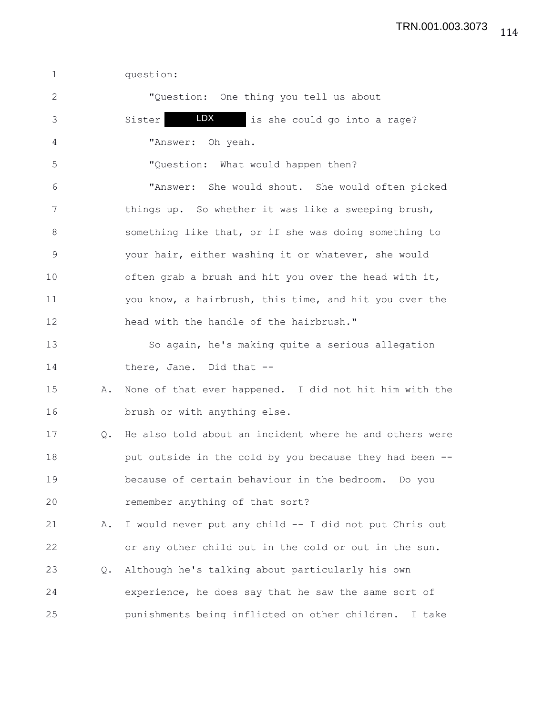1 question: 2 "Question: One thing you tell us about 3 Sister **IDX** is she could go into a rage? 4 "Answer: Oh yeah. 5 "Question: What would happen then? 6 "Answer: She would shout. She would often picked 7 things up. So whether it was like a sweeping brush, 8 something like that, or if she was doing something to 9 your hair, either washing it or whatever, she would 10 often grab a brush and hit you over the head with it, 11 you know, a hairbrush, this time, and hit you over the 12 head with the handle of the hairbrush." 13 So again, he's making quite a serious allegation 14 there, Jane. Did that --15 A. None of that ever happened. I did not hit him with the 16 brush or with anything else. 17 Q. He also told about an incident where he and others were 18 put outside in the cold by you because they had been -- 19 because of certain behaviour in the bedroom. Do you 20 remember anything of that sort? 21 A. I would never put any child -- I did not put Chris out 22 or any other child out in the cold or out in the sun. 23 Q. Although he's talking about particularly his own 24 experience, he does say that he saw the same sort of 25 punishments being inflicted on other children. I take LDX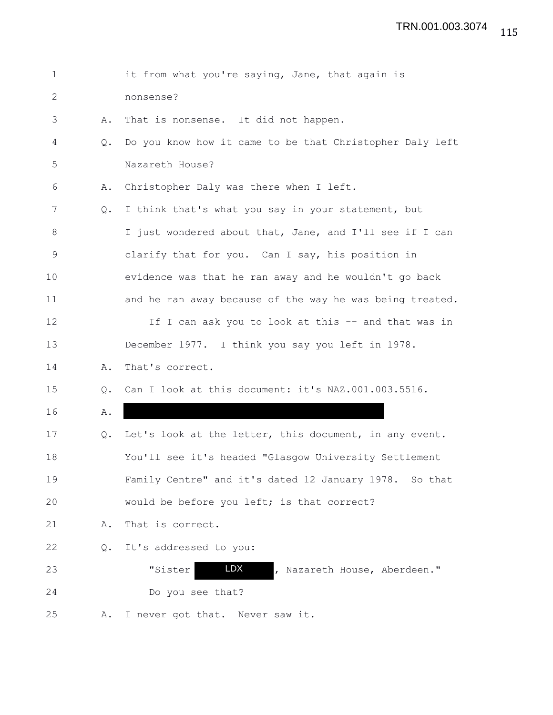| 1            |               | it from what you're saying, Jane, that again is          |
|--------------|---------------|----------------------------------------------------------|
| $\mathbf{2}$ |               | nonsense?                                                |
| 3            | Α.            | That is nonsense. It did not happen.                     |
| 4            | $Q_{\bullet}$ | Do you know how it came to be that Christopher Daly left |
| 5            |               | Nazareth House?                                          |
| 6            | Α.            | Christopher Daly was there when I left.                  |
| 7            | $Q_{\bullet}$ | I think that's what you say in your statement, but       |
| $8\,$        |               | I just wondered about that, Jane, and I'll see if I can  |
| $\mathsf 9$  |               | clarify that for you. Can I say, his position in         |
| 10           |               | evidence was that he ran away and he wouldn't go back    |
| 11           |               | and he ran away because of the way he was being treated. |
| 12           |               | If I can ask you to look at this -- and that was in      |
| 13           |               | December 1977. I think you say you left in 1978.         |
| 14           | Α.            | That's correct.                                          |
| 15           | Q.            | Can I look at this document: it's NAZ.001.003.5516.      |
| 16           | Α.            |                                                          |
| 17           | Q.            | Let's look at the letter, this document, in any event.   |
| 18           |               | You'll see it's headed "Glasgow University Settlement    |
| 19           |               | Family Centre" and it's dated 12 January 1978. So that   |
| 20           |               | would be before you left; is that correct?               |
| 21           | Α.            | That is correct.                                         |
| 22           | $Q_{\bullet}$ | It's addressed to you:                                   |
| 23           |               | LDX<br>"Sister<br>, Nazareth House, Aberdeen."           |
| 24           |               | Do you see that?                                         |
| 25           | Α.            | I never got that. Never saw it.                          |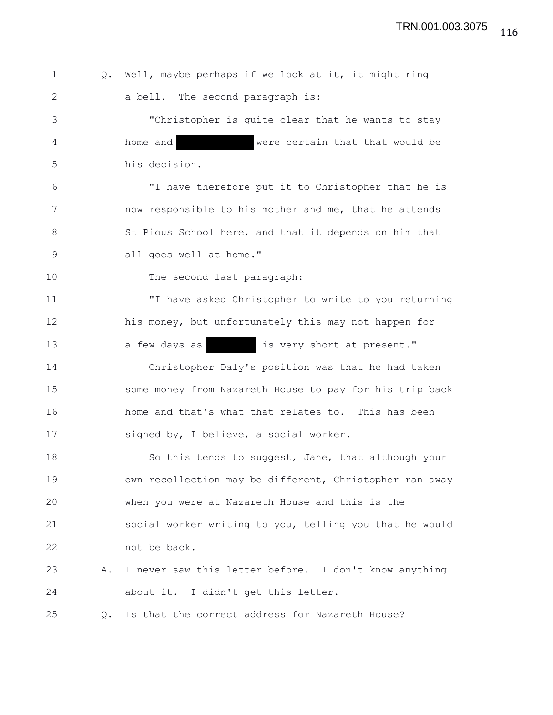116 TRN.001.003.3075

1 Q. Well, maybe perhaps if we look at it, it might ring 2 a bell. The second paragraph is: 3 "Christopher is quite clear that he wants to stay 4 home and were certain that that would be 5 his decision. 6 "I have therefore put it to Christopher that he is 7 now responsible to his mother and me, that he attends 8 St Pious School here, and that it depends on him that 9 all goes well at home." 10 The second last paragraph: 11 "I have asked Christopher to write to you returning 12 his money, but unfortunately this may not happen for 13 a few days as is very short at present." 14 Christopher Daly's position was that he had taken 15 some money from Nazareth House to pay for his trip back 16 home and that's what that relates to. This has been 17 signed by, I believe, a social worker. 18 So this tends to suggest, Jane, that although your 19 own recollection may be different, Christopher ran away 20 when you were at Nazareth House and this is the 21 social worker writing to you, telling you that he would 22 not be back. 23 A. I never saw this letter before. I don't know anything 24 about it. I didn't get this letter. 25 Q. Is that the correct address for Nazareth House?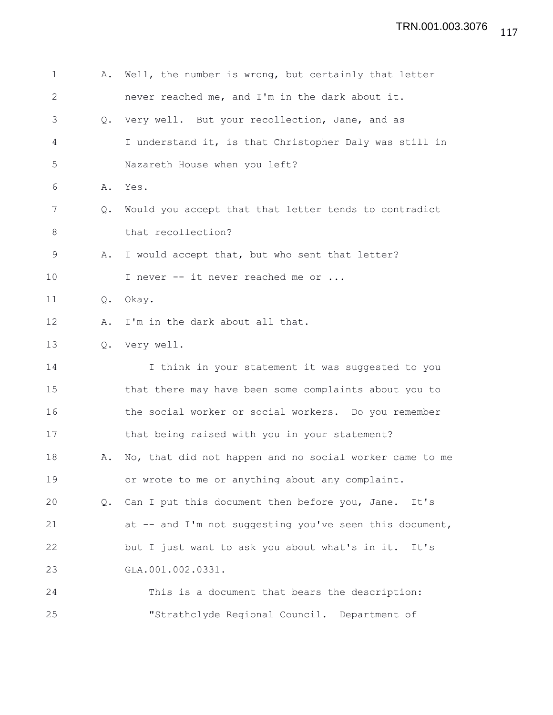| 1              | Α.            | Well, the number is wrong, but certainly that letter    |
|----------------|---------------|---------------------------------------------------------|
| $\overline{2}$ |               | never reached me, and I'm in the dark about it.         |
| 3              | $Q_{\bullet}$ | Very well. But your recollection, Jane, and as          |
| 4              |               | I understand it, is that Christopher Daly was still in  |
| 5              |               | Nazareth House when you left?                           |
| 6              | Α.            | Yes.                                                    |
| 7              | Q.            | Would you accept that that letter tends to contradict   |
| 8              |               | that recollection?                                      |
| 9              | Α.            | I would accept that, but who sent that letter?          |
| 10             |               | I never -- it never reached me or                       |
| 11             | Q.            | Okay.                                                   |
| 12             | Α.            | I'm in the dark about all that.                         |
| 13             | $Q_{\bullet}$ | Very well.                                              |
| 14             |               | I think in your statement it was suggested to you       |
| 15             |               | that there may have been some complaints about you to   |
| 16             |               | the social worker or social workers. Do you remember    |
| 17             |               | that being raised with you in your statement?           |
| 18             | Α.            | No, that did not happen and no social worker came to me |
| 19             |               | or wrote to me or anything about any complaint.         |
| 20             | Q.            | Can I put this document then before you, Jane.<br>It's  |
| 21             |               | at -- and I'm not suggesting you've seen this document, |
| 22             |               | but I just want to ask you about what's in it.<br>It's  |
| 23             |               | GLA.001.002.0331.                                       |
| 24             |               | This is a document that bears the description:          |
| 25             |               | "Strathclyde Regional Council. Department of            |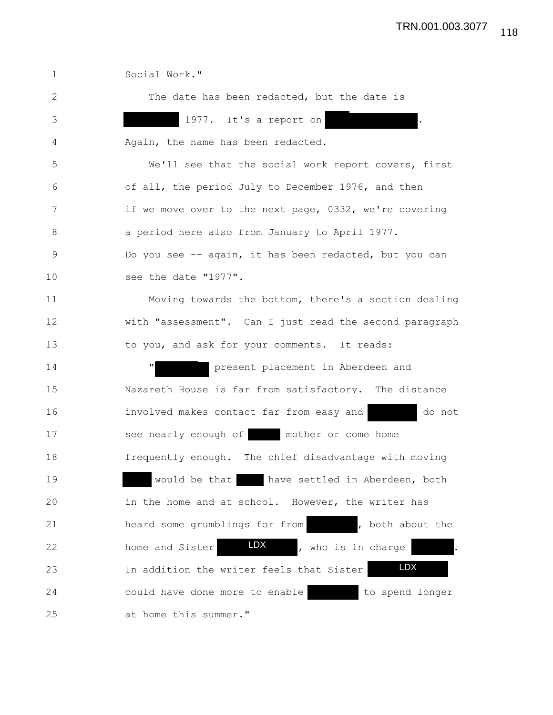1 Social Work." 2 The date has been redacted, but the date is 3 1977. It's a report on . 4 Again, the name has been redacted. 5 We'll see that the social work report covers, first 6 of all, the period July to December 1976, and then 7 if we move over to the next page, 0332, we're covering 8 a period here also from January to April 1977. 9 Do you see -- again, it has been redacted, but you can 10 see the date "1977". 11 Moving towards the bottom, there's a section dealing 12 with "assessment". Can I just read the second paragraph 13 to you, and ask for your comments. It reads: 14 **"** present placement in Aberdeen and 15 Nazareth House is far from satisfactory. The distance 16 involved makes contact far from easy and do not 17 see nearly enough of mother or come home 18 frequently enough. The chief disadvantage with moving 19 would be that have settled in Aberdeen, both 20 in the home and at school. However, the writer has 21 heard some grumblings for from , both about the 22 home and Sister **LDX**, who is in charge . 23 In addition the writer feels that Sister 24 could have done more to enable to spend longer 25 at home this summer." LDX

118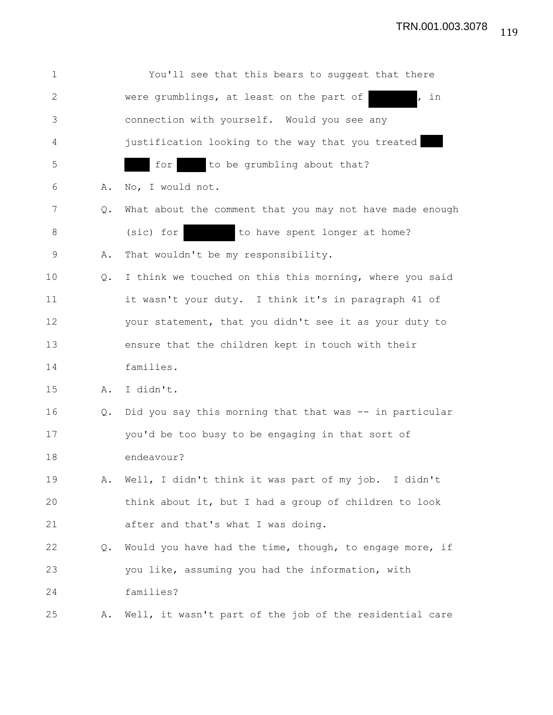| $\mathbf 1$ |               | You'll see that this bears to suggest that there         |
|-------------|---------------|----------------------------------------------------------|
| 2           |               | were grumblings, at least on the part of<br>, in         |
| 3           |               | connection with yourself. Would you see any              |
| 4           |               | justification looking to the way that you treated        |
| 5           |               | to be grumbling about that?<br>for                       |
| 6           | Α.            | No, I would not.                                         |
| 7           | $Q_{\bullet}$ | What about the comment that you may not have made enough |
| 8           |               | to have spent longer at home?<br>(sic) for               |
| 9           | Α.            | That wouldn't be my responsibility.                      |
| 10          | $Q_{\bullet}$ | I think we touched on this this morning, where you said  |
| 11          |               | it wasn't your duty. I think it's in paragraph 41 of     |
| 12          |               | your statement, that you didn't see it as your duty to   |
| 13          |               | ensure that the children kept in touch with their        |
| 14          |               | families.                                                |
| 15          | Α.            | I didn't.                                                |
| 16          | Q.            | Did you say this morning that that was -- in particular  |
| 17          |               | you'd be too busy to be engaging in that sort of         |
| 18          |               | endeavour?                                               |
| 19          | Α.            | Well, I didn't think it was part of my job. I didn't     |
| 20          |               | think about it, but I had a group of children to look    |
| 21          |               | after and that's what I was doing.                       |
| 22          | Q.            | Would you have had the time, though, to engage more, if  |
| 23          |               | you like, assuming you had the information, with         |
| 24          |               | families?                                                |
| 25          | Α.            | Well, it wasn't part of the job of the residential care  |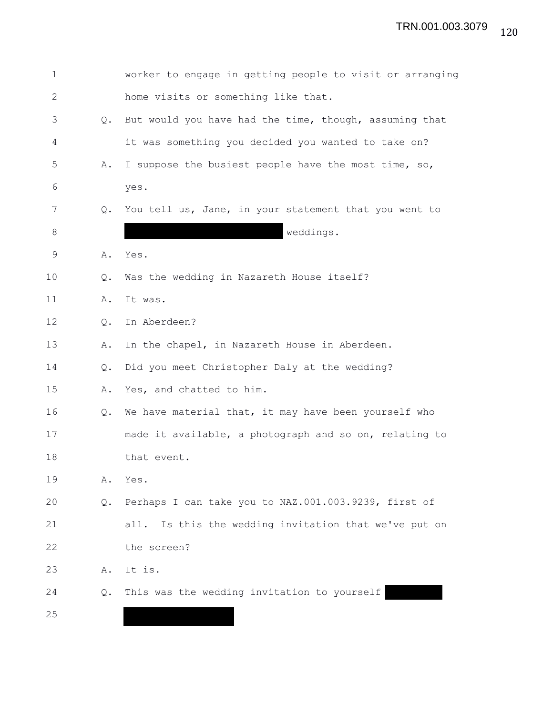| $\mathbf 1$  |    | worker to engage in getting people to visit or arranging |
|--------------|----|----------------------------------------------------------|
| $\mathbf{2}$ |    | home visits or something like that.                      |
| 3            | Q. | But would you have had the time, though, assuming that   |
| 4            |    | it was something you decided you wanted to take on?      |
| 5            | Α. | I suppose the busiest people have the most time, so,     |
| 6            |    | yes.                                                     |
| 7            | Q. | You tell us, Jane, in your statement that you went to    |
| 8            |    | weddings.                                                |
| 9            | Α. | Yes.                                                     |
| 10           | Q. | Was the wedding in Nazareth House itself?                |
| 11           | Α. | It was.                                                  |
| 12           | Q. | In Aberdeen?                                             |
| 13           | Α. | In the chapel, in Nazareth House in Aberdeen.            |
| 14           | Q. | Did you meet Christopher Daly at the wedding?            |
| 15           | Α. | Yes, and chatted to him.                                 |
| 16           | Q. | We have material that, it may have been yourself who     |
| 17           |    | made it available, a photograph and so on, relating to   |
| 18           |    | that event.                                              |
| 19           | Α. | Yes.                                                     |
| 20           | Q. | Perhaps I can take you to NAZ.001.003.9239, first of     |
| 21           |    | Is this the wedding invitation that we've put on<br>all. |
| 22           |    | the screen?                                              |
| 23           | Α. | It is.                                                   |
| 24           | Q. | This was the wedding invitation to yourself              |
| 25           |    |                                                          |
|              |    |                                                          |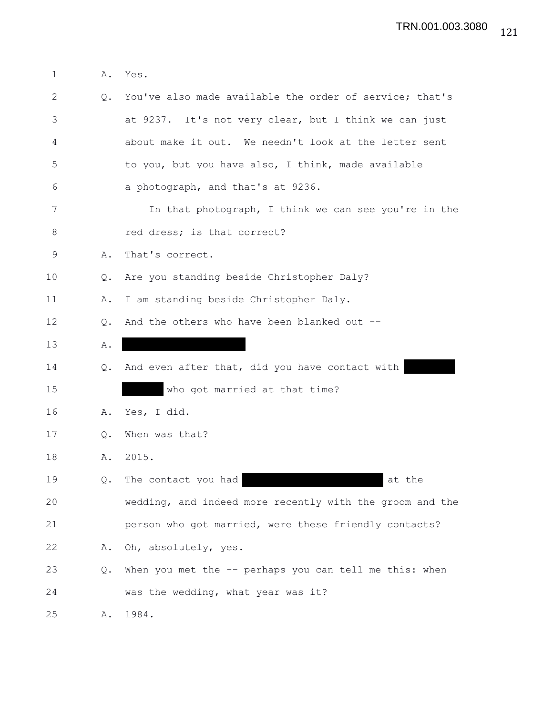1 A. Yes.

| $\mathbf{2}$ | Q. | You've also made available the order of service; that's  |
|--------------|----|----------------------------------------------------------|
| 3            |    | at 9237. It's not very clear, but I think we can just    |
| 4            |    | about make it out. We needn't look at the letter sent    |
| 5            |    | to you, but you have also, I think, made available       |
| 6            |    | a photograph, and that's at 9236.                        |
| 7            |    | In that photograph, I think we can see you're in the     |
| 8            |    | red dress; is that correct?                              |
| $\mathsf 9$  | Α. | That's correct.                                          |
| 10           | Q. | Are you standing beside Christopher Daly?                |
| 11           | Α. | I am standing beside Christopher Daly.                   |
| 12           | Q. | And the others who have been blanked out --              |
| 13           | Α. |                                                          |
| 14           | Q. | And even after that, did you have contact with           |
| 15           |    | who got married at that time?                            |
| 16           | Α. | Yes, I did.                                              |
| 17           | Q. | When was that?                                           |
| 18           | Α. | 2015.                                                    |
| 19           | Q. | The contact you had<br>at the                            |
| 20           |    | wedding, and indeed more recently with the groom and the |
| 21           |    | person who got married, were these friendly contacts?    |
| 22           | Α. | Oh, absolutely, yes.                                     |
| 23           | Q. | When you met the -- perhaps you can tell me this: when   |
| 24           |    | was the wedding, what year was it?                       |
| 25           | Α. | 1984.                                                    |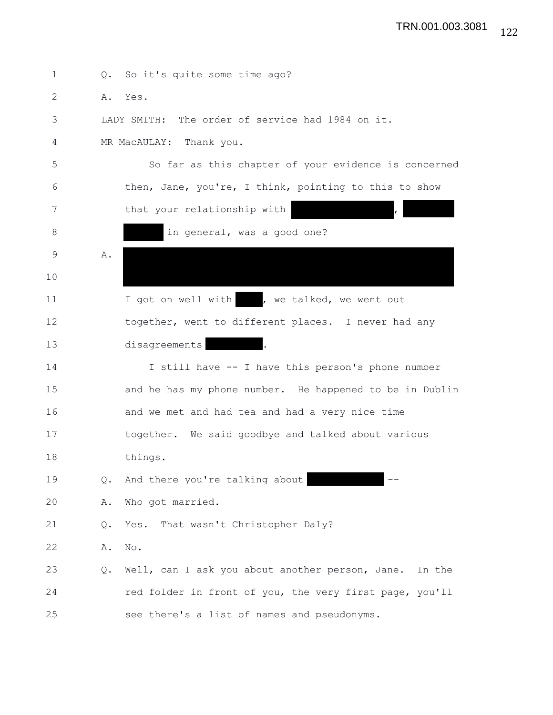| 1     | $Q_{\bullet}$ | So it's quite some time ago?                              |
|-------|---------------|-----------------------------------------------------------|
| 2     |               | A. Yes.                                                   |
| 3     |               | LADY SMITH: The order of service had 1984 on it.          |
| 4     |               | MR MacAULAY: Thank you.                                   |
| 5     |               | So far as this chapter of your evidence is concerned      |
| 6     |               | then, Jane, you're, I think, pointing to this to show     |
| 7     |               | that your relationship with                               |
| $8\,$ |               | in general, was a good one?                               |
| 9     | Α.            |                                                           |
| 10    |               |                                                           |
| 11    |               | I got on well with , we talked, we went out               |
| 12    |               | together, went to different places. I never had any       |
| 13    |               | disagreements                                             |
| 14    |               | I still have -- I have this person's phone number         |
| 15    |               | and he has my phone number. He happened to be in Dublin   |
| 16    |               | and we met and had tea and had a very nice time           |
| 17    |               | together. We said goodbye and talked about various        |
| 18    |               | things.                                                   |
| 19    | Q.            | And there you're talking about                            |
| 20    | Α.            | Who got married.                                          |
| 21    | Q.            | That wasn't Christopher Daly?<br>Yes.                     |
| 22    | Α.            | No.                                                       |
| 23    | Q.            | Well, can I ask you about another person, Jane.<br>In the |
| 24    |               | red folder in front of you, the very first page, you'll   |
| 25    |               | see there's a list of names and pseudonyms.               |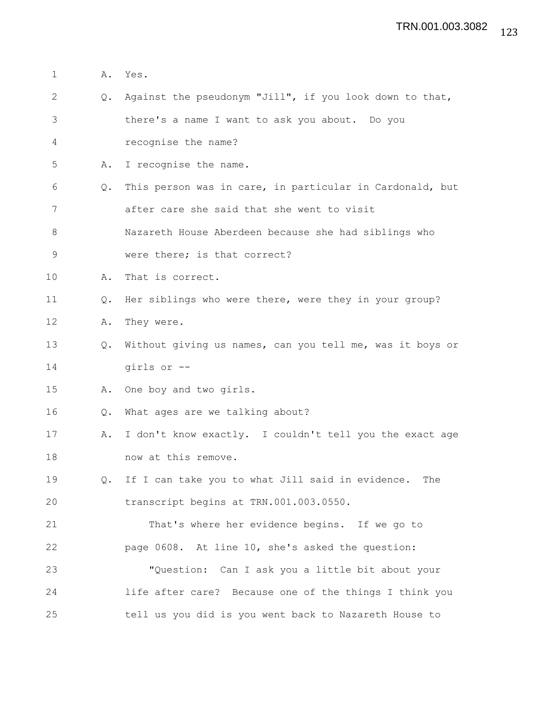1 A. Yes.

3 there's a name I want to ask you about. Do you 4 recognise the name? 5 A. I recognise the name. 6 Q. This person was in care, in particular in Cardonald, but 7 after care she said that she went to visit 8 Nazareth House Aberdeen because she had siblings who 9 were there; is that correct? 10 A. That is correct. 11 Q. Her siblings who were there, were they in your group? 12 A. They were. 13 Q. Without giving us names, can you tell me, was it boys or 14 girls or -- 15 A. One boy and two girls. 16 Q. What ages are we talking about? 17 A. I don't know exactly. I couldn't tell you the exact age 18 now at this remove. 19 Q. If I can take you to what Jill said in evidence. The 20 transcript begins at TRN.001.003.0550. 21 That's where her evidence begins. If we go to 22 page 0608. At line 10, she's asked the question: 23 "Question: Can I ask you a little bit about your 24 life after care? Because one of the things I think you 25 tell us you did is you went back to Nazareth House to

2 Q. Against the pseudonym "Jill", if you look down to that,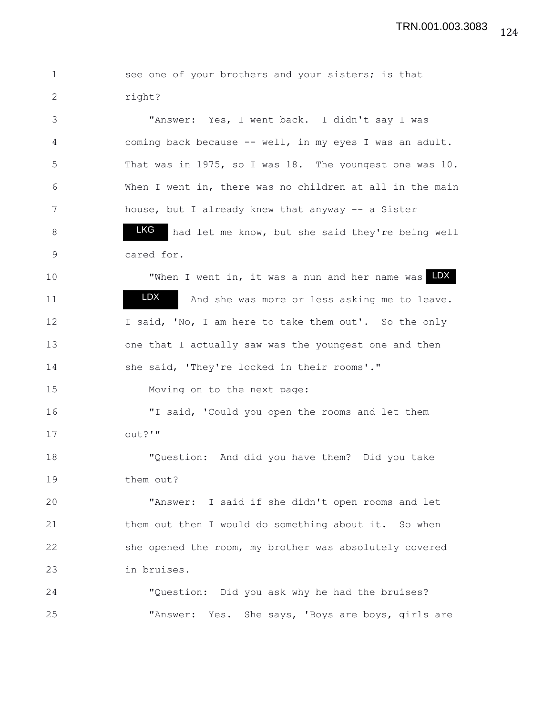1 see one of your brothers and your sisters; is that 2 right? 3 "Answer: Yes, I went back. I didn't say I was 4 coming back because -- well, in my eyes I was an adult. 5 That was in 1975, so I was 18. The youngest one was 10. 6 When I went in, there was no children at all in the main 7 house, but I already knew that anyway -- a Sister 8 **LKG** had let me know, but she said they're being well 9 cared for. 10 TWhen I went in, it was a nun and her name was **LDX** 11 **IDX** And she was more or less asking me to leave. 12 I said, 'No, I am here to take them out'. So the only 13 one that I actually saw was the youngest one and then 14 she said, 'They're locked in their rooms'." 15 Moving on to the next page: 16 "I said, 'Could you open the rooms and let them  $17$   $\qquad \qquad$   $\qquad \qquad$   $\qquad \qquad$   $\qquad \qquad$   $\qquad \qquad$   $\qquad \qquad$   $\qquad \qquad$   $\qquad \qquad$   $\qquad \qquad$   $\qquad \qquad$   $\qquad \qquad$   $\qquad$   $\qquad \qquad$   $\qquad$   $\qquad$   $\qquad$   $\qquad$   $\qquad$   $\qquad$   $\qquad$   $\qquad$   $\qquad$   $\qquad$   $\qquad$   $\qquad$   $\qquad$   $\qquad$   $\qquad$   $\qquad$   $\qquad$  18 "Question: And did you have them? Did you take 19 them out? 20 "Answer: I said if she didn't open rooms and let 21 them out then I would do something about it. So when 22 she opened the room, my brother was absolutely covered 23 in bruises. 24 "Question: Did you ask why he had the bruises? 25 "Answer: Yes. She says, 'Boys are boys, girls are LDX LKG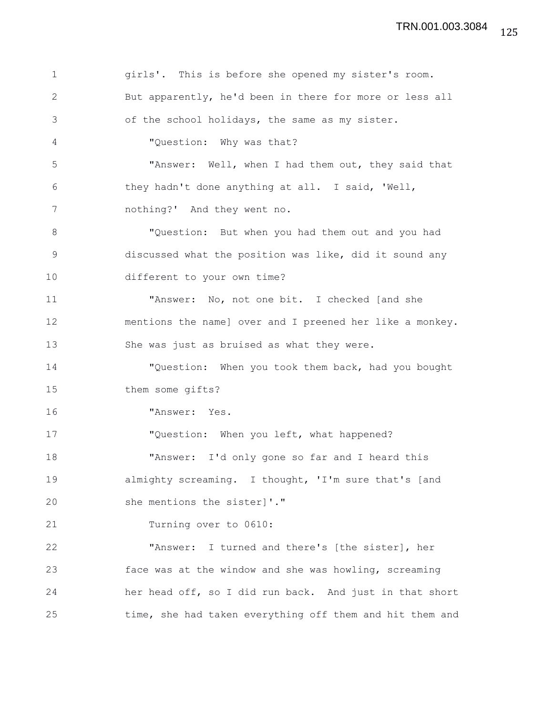| $\mathbf 1$ | girls'. This is before she opened my sister's room.      |
|-------------|----------------------------------------------------------|
| 2           | But apparently, he'd been in there for more or less all  |
| 3           | of the school holidays, the same as my sister.           |
| 4           | "Question: Why was that?                                 |
| 5           | "Answer: Well, when I had them out, they said that       |
| 6           | they hadn't done anything at all. I said, 'Well,         |
| 7           | nothing?' And they went no.                              |
| 8           | "Question: But when you had them out and you had         |
| 9           | discussed what the position was like, did it sound any   |
| 10          | different to your own time?                              |
| 11          | "Answer: No, not one bit. I checked [and she             |
| 12          | mentions the name] over and I preened her like a monkey. |
| 13          | She was just as bruised as what they were.               |
| 14          | "Question: When you took them back, had you bought       |
| 15          | them some gifts?                                         |
| 16          | "Answer: Yes.                                            |
| 17          | "Question: When you left, what happened?                 |
| 18          | "Answer: I'd only gone so far and I heard this           |
| 19          | almighty screaming. I thought, 'I'm sure that's [and     |
| 20          | she mentions the sister]'."                              |
| 21          | Turning over to 0610:                                    |
| 22          | "Answer: I turned and there's [the sister], her          |
| 23          | face was at the window and she was howling, screaming    |
| 24          | her head off, so I did run back. And just in that short  |
| 25          | time, she had taken everything off them and hit them and |

125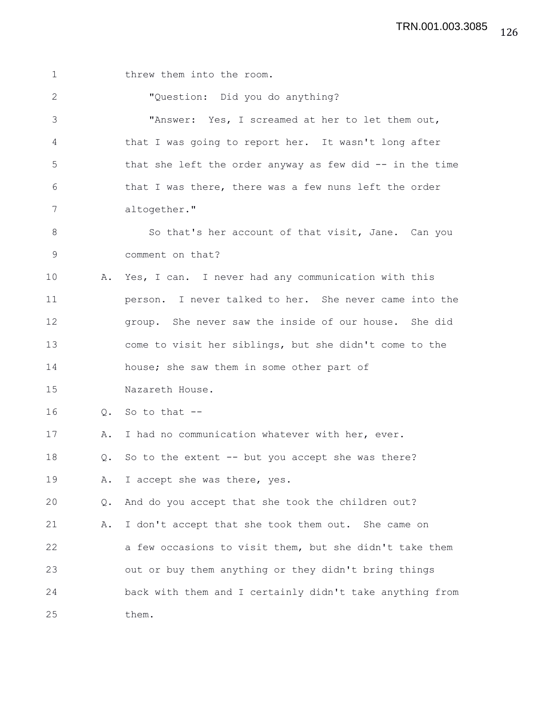1 threw them into the room. 2 "Question: Did you do anything? 3 "Answer: Yes, I screamed at her to let them out, 4 that I was going to report her. It wasn't long after 5 that she left the order anyway as few did -- in the time 6 that I was there, there was a few nuns left the order 7 altogether." 8 So that's her account of that visit, Jane. Can you 9 comment on that? 10 A. Yes, I can. I never had any communication with this 11 person. I never talked to her. She never came into the 12 group. She never saw the inside of our house. She did 13 come to visit her siblings, but she didn't come to the 14 house; she saw them in some other part of 15 Nazareth House. 16 Q. So to that -- 17 A. I had no communication whatever with her, ever. 18 Q. So to the extent -- but you accept she was there? 19 A. I accept she was there, yes. 20 Q. And do you accept that she took the children out? 21 A. I don't accept that she took them out. She came on 22 a few occasions to visit them, but she didn't take them 23 out or buy them anything or they didn't bring things 24 back with them and I certainly didn't take anything from 25 them.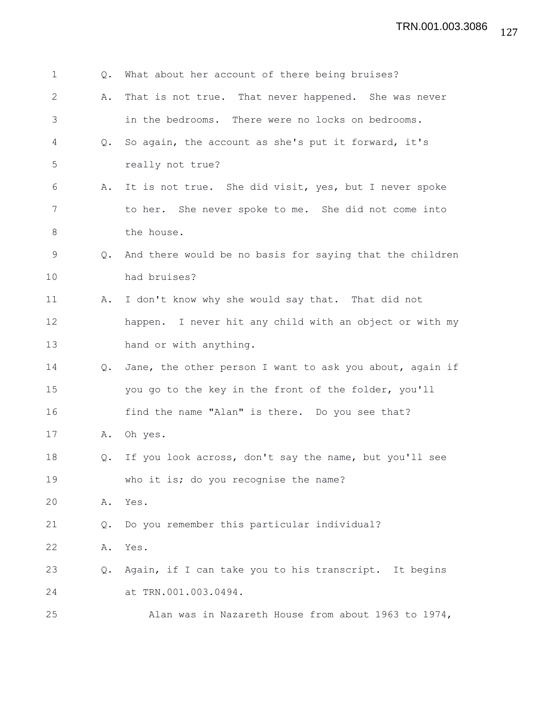| $\mathbf 1$ | $Q_{\bullet}$ | What about her account of there being bruises?           |
|-------------|---------------|----------------------------------------------------------|
| 2           | Α.            | That is not true. That never happened. She was never     |
| 3           |               | in the bedrooms. There were no locks on bedrooms.        |
| 4           | Q.            | So again, the account as she's put it forward, it's      |
| 5           |               | really not true?                                         |
| 6           | Α.            | It is not true. She did visit, yes, but I never spoke    |
| 7           |               | to her. She never spoke to me. She did not come into     |
| 8           |               | the house.                                               |
| 9           | $Q_{\bullet}$ | And there would be no basis for saying that the children |
| 10          |               | had bruises?                                             |
| 11          | Α.            | I don't know why she would say that. That did not        |
| 12          |               | happen. I never hit any child with an object or with my  |
| 13          |               | hand or with anything.                                   |
| 14          | Q.            | Jane, the other person I want to ask you about, again if |
| 15          |               | you go to the key in the front of the folder, you'll     |
| 16          |               | find the name "Alan" is there. Do you see that?          |
| 17          | Α.            | Oh yes.                                                  |
| 18          | Q.            | If you look across, don't say the name, but you'll see   |
| 19          |               | who it is; do you recognise the name?                    |
| 20          | Α.            | Yes.                                                     |
| 21          | Q.            | Do you remember this particular individual?              |
| 22          | Α.            | Yes.                                                     |
| 23          | Q.            | Again, if I can take you to his transcript. It begins    |
| 24          |               | at TRN.001.003.0494.                                     |
| 25          |               | Alan was in Nazareth House from about 1963 to 1974,      |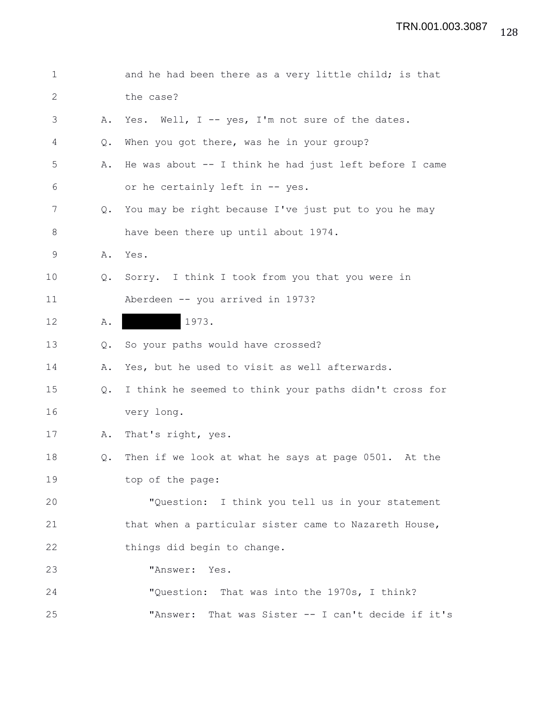| 1  |               | and he had been there as a very little child; is that    |
|----|---------------|----------------------------------------------------------|
| 2  |               | the case?                                                |
| 3  | Α.            | Yes. Well, I -- yes, I'm not sure of the dates.          |
| 4  | Q.            | When you got there, was he in your group?                |
| 5  | Α.            | He was about $--$ I think he had just left before I came |
| 6  |               | or he certainly left in -- yes.                          |
| 7  | $Q_{\bullet}$ | You may be right because I've just put to you he may     |
| 8  |               | have been there up until about 1974.                     |
| 9  | Α.            | Yes.                                                     |
| 10 | $Q_{\bullet}$ | Sorry. I think I took from you that you were in          |
| 11 |               | Aberdeen -- you arrived in 1973?                         |
| 12 | Α.            | 1973.                                                    |
| 13 | Q.            | So your paths would have crossed?                        |
| 14 | Α.            | Yes, but he used to visit as well afterwards.            |
| 15 | Q.            | I think he seemed to think your paths didn't cross for   |
| 16 |               | very long.                                               |
| 17 | Α.            | That's right, yes.                                       |
| 18 | Q.            | Then if we look at what he says at page 0501. At the     |
| 19 |               | top of the page:                                         |
| 20 |               | "Question: I think you tell us in your statement         |
| 21 |               | that when a particular sister came to Nazareth House,    |
| 22 |               | things did begin to change.                              |
| 23 |               | "Answer: Yes.                                            |
| 24 |               | "Question: That was into the 1970s, I think?             |
| 25 |               | "Answer:<br>That was Sister -- I can't decide if it's    |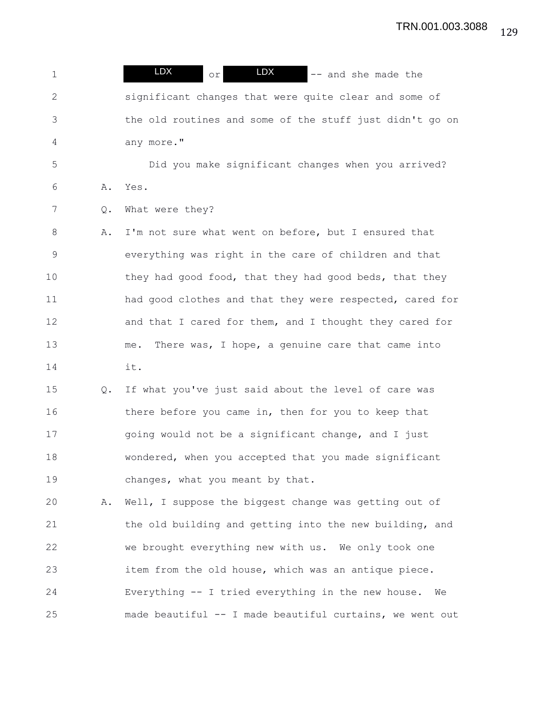1 **LDX** or  $\overline{L}$  **LDX**  $\overline{L}$   $\overline{L}$  and she made the 2 significant changes that were quite clear and some of 3 the old routines and some of the stuff just didn't go on 4 any more." 5 Did you make significant changes when you arrived? 6 A. Yes. 7 Q. What were they? 8 A. I'm not sure what went on before, but I ensured that 9 everything was right in the care of children and that 10 they had good food, that they had good beds, that they 11 had good clothes and that they were respected, cared for 12 and that I cared for them, and I thought they cared for 13 me. There was, I hope, a genuine care that came into 14 it. 15 Q. If what you've just said about the level of care was 16 there before you came in, then for you to keep that 17 going would not be a significant change, and I just 18 wondered, when you accepted that you made significant 19 changes, what you meant by that. 20 A. Well, I suppose the biggest change was getting out of 21 the old building and getting into the new building, and 22 we brought everything new with us. We only took one 23 item from the old house, which was an antique piece. 24 Everything -- I tried everything in the new house. We 25 made beautiful -- I made beautiful curtains, we went out LDX LDX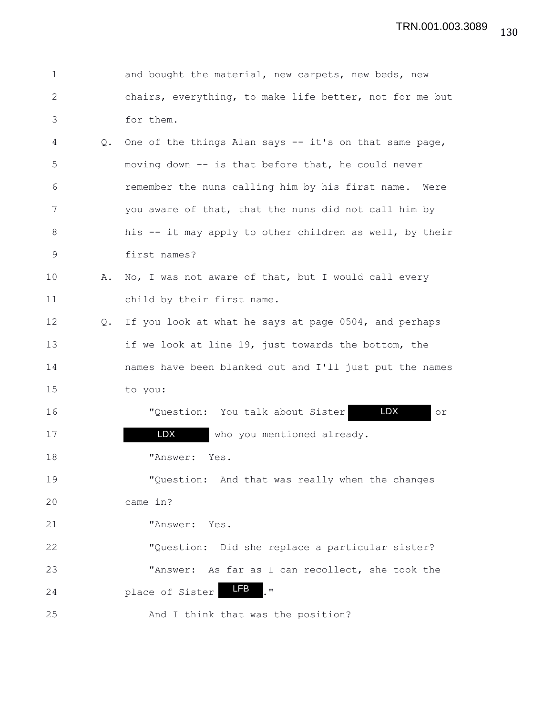| $\mathbf 1$  |               | and bought the material, new carpets, new beds, new     |
|--------------|---------------|---------------------------------------------------------|
| $\mathbf{2}$ |               | chairs, everything, to make life better, not for me but |
| 3            |               | for them.                                               |
| 4            | $Q_{\bullet}$ | One of the things Alan says -- it's on that same page,  |
| 5            |               | moving down -- is that before that, he could never      |
| 6            |               | remember the nuns calling him by his first name. Were   |
| 7            |               | you aware of that, that the nuns did not call him by    |
| 8            |               | his -- it may apply to other children as well, by their |
| 9            |               | first names?                                            |
| 10           | Α.            | No, I was not aware of that, but I would call every     |
| 11           |               | child by their first name.                              |
| 12           | Q.            | If you look at what he says at page 0504, and perhaps   |
| 13           |               | if we look at line 19, just towards the bottom, the     |
| 14           |               | names have been blanked out and I'll just put the names |
| 15           |               | to you:                                                 |
| 16           |               | LDX<br>"Question: You talk about Sister<br>or           |
| 17           |               | LDX<br>who you mentioned already.                       |
| 18           |               | "Answer:<br>Yes.                                        |
| 19           |               | "Question: And that was really when the changes         |
| 20           |               | came in?                                                |
| 21           |               | "Answer: Yes.                                           |
| 22           |               | "Question: Did she replace a particular sister?         |
| 23           |               | "Answer: As far as I can recollect, she took the        |
| 24           |               | LFB<br>$\boldsymbol{\mathsf{H}}$<br>place of Sister     |
| 25           |               | And I think that was the position?                      |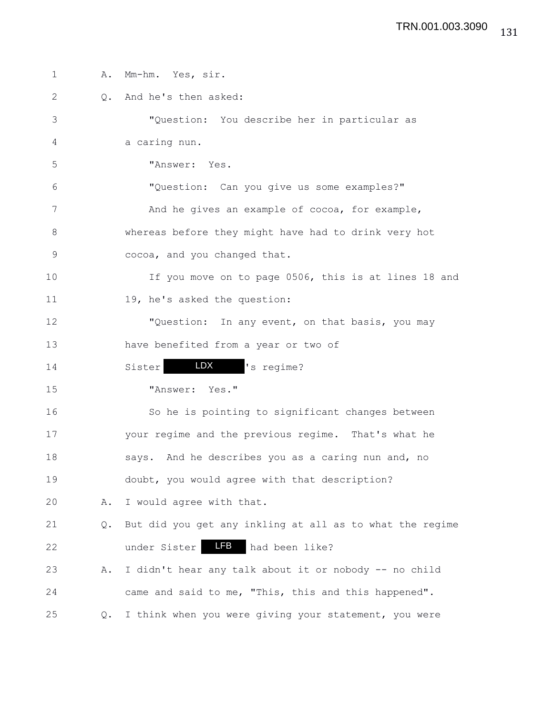| $\mathbf 1$  | Α. | Mm-hm. Yes, sir.                                         |
|--------------|----|----------------------------------------------------------|
| $\mathbf{2}$ | Q. | And he's then asked:                                     |
| 3            |    | "Question: You describe her in particular as             |
| 4            |    | a caring nun.                                            |
| 5            |    | "Answer: Yes.                                            |
| $6\,$        |    | "Question: Can you give us some examples?"               |
| 7            |    | And he gives an example of cocoa, for example,           |
| 8            |    | whereas before they might have had to drink very hot     |
| $\mathsf 9$  |    | cocoa, and you changed that.                             |
| 10           |    | If you move on to page 0506, this is at lines 18 and     |
| 11           |    | 19, he's asked the question:                             |
| 12           |    | "Question: In any event, on that basis, you may          |
| 13           |    | have benefited from a year or two of                     |
| 14           |    | LDX<br>'s regime?<br>Sister                              |
| 15           |    | "Answer: Yes."                                           |
| 16           |    | So he is pointing to significant changes between         |
| 17           |    | your regime and the previous regime. That's what he      |
| 18           |    | says. And he describes you as a caring nun and, no       |
| 19           |    | doubt, you would agree with that description?            |
| 20           | Α. | I would agree with that.                                 |
| 21           | Q. | But did you get any inkling at all as to what the regime |
| 22           |    | <b>LFB</b><br>under Sister<br>had been like?             |
| 23           | Α. | I didn't hear any talk about it or nobody -- no child    |
| 24           |    | came and said to me, "This, this and this happened".     |
| 25           | Q. | I think when you were giving your statement, you were    |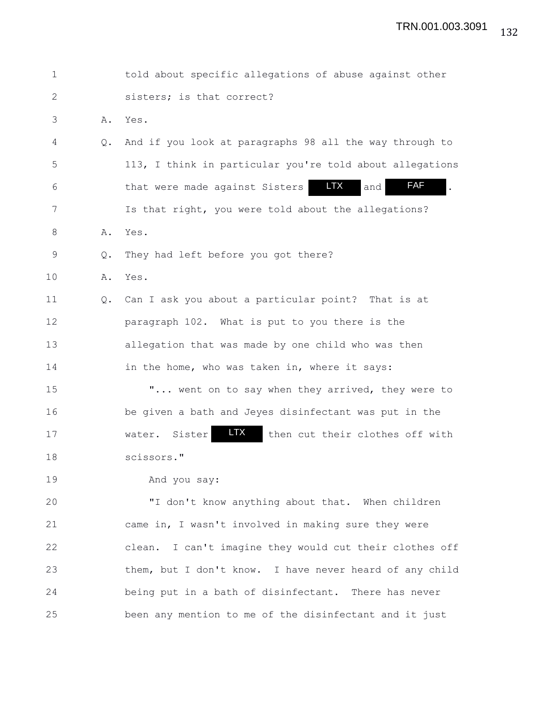| $\mathbf 1$ |    | told about specific allegations of abuse against other            |
|-------------|----|-------------------------------------------------------------------|
| 2           |    | sisters; is that correct?                                         |
| 3           | Α. | Yes.                                                              |
| 4           | Q. | And if you look at paragraphs 98 all the way through to           |
| 5           |    | 113, I think in particular you're told about allegations          |
| 6           |    | <b>FAF</b><br><b>LTX</b><br>that were made against Sisters<br>and |
| 7           |    | Is that right, you were told about the allegations?               |
| 8           | Α. | Yes.                                                              |
| $\mathsf 9$ | Q. | They had left before you got there?                               |
| 10          | Α. | Yes.                                                              |
| 11          | Q. | Can I ask you about a particular point? That is at                |
| 12          |    | paragraph 102. What is put to you there is the                    |
| 13          |    | allegation that was made by one child who was then                |
| 14          |    | in the home, who was taken in, where it says:                     |
| 15          |    | " went on to say when they arrived, they were to                  |
| 16          |    | be given a bath and Jeyes disinfectant was put in the             |
| 17          |    | LTX.<br>Sister<br>then cut their clothes off with<br>water.       |
| 18          |    | scissors."                                                        |
| 19          |    | And you say:                                                      |
| 20          |    | "I don't know anything about that. When children                  |
| 21          |    | came in, I wasn't involved in making sure they were               |
| 22          |    | clean. I can't imagine they would cut their clothes off           |
| 23          |    | them, but I don't know. I have never heard of any child           |
|             |    |                                                                   |

25 been any mention to me of the disinfectant and it just

24 being put in a bath of disinfectant. There has never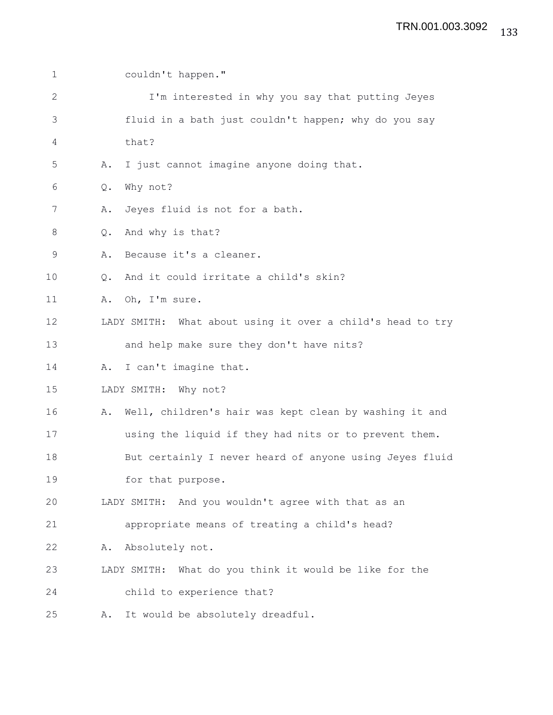| $\mathbf 1$  | couldn't happen."                                            |
|--------------|--------------------------------------------------------------|
| $\mathbf{2}$ | I'm interested in why you say that putting Jeyes             |
| 3            | fluid in a bath just couldn't happen; why do you say         |
| 4            | that?                                                        |
| 5            | I just cannot imagine anyone doing that.<br>Α.               |
| 6            | Why not?<br>Q.                                               |
| 7            | Jeyes fluid is not for a bath.<br>Α.                         |
| $\,8\,$      | And why is that?<br>Q.                                       |
| $\mathsf 9$  | Because it's a cleaner.<br>Α.                                |
| 10           | And it could irritate a child's skin?<br>Q.                  |
| 11           | A. Oh, I'm sure.                                             |
| 12           | LADY SMITH: What about using it over a child's head to try   |
| 13           | and help make sure they don't have nits?                     |
| 14           | I can't imagine that.<br>Α.                                  |
| 15           | LADY SMITH: Why not?                                         |
| 16           | Well, children's hair was kept clean by washing it and<br>Α. |
| 17           | using the liquid if they had nits or to prevent them.        |
| 18           | But certainly I never heard of anyone using Jeyes fluid      |
| 19           | for that purpose.                                            |
| 20           | LADY SMITH: And you wouldn't agree with that as an           |
| 21           | appropriate means of treating a child's head?                |
| 22           | Absolutely not.<br>Α.                                        |
| 23           | LADY SMITH: What do you think it would be like for the       |
| 24           | child to experience that?                                    |
| 25           | It would be absolutely dreadful.<br>Α.                       |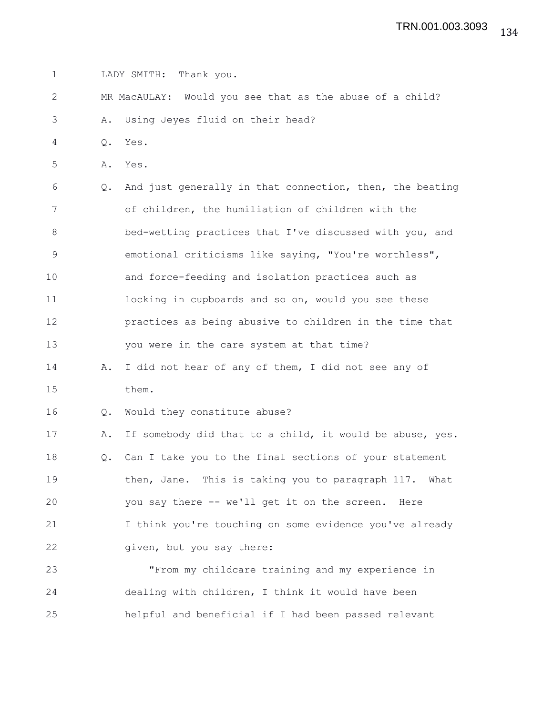1 LADY SMITH: Thank you.

2 MR MacAULAY: Would you see that as the abuse of a child?

3 A. Using Jeyes fluid on their head?

4 Q. Yes.

5 A. Yes.

6 Q. And just generally in that connection, then, the beating 7 of children, the humiliation of children with the 8 bed-wetting practices that I've discussed with you, and 9 emotional criticisms like saying, "You're worthless", 10 and force-feeding and isolation practices such as 11 **locking in cupboards and so on, would you see these** 12 practices as being abusive to children in the time that 13 you were in the care system at that time?

14 A. I did not hear of any of them, I did not see any of 15 them.

16 Q. Would they constitute abuse?

17 A. If somebody did that to a child, it would be abuse, yes. 18 Q. Can I take you to the final sections of your statement 19 then, Jane. This is taking you to paragraph 117. What 20 you say there -- we'll get it on the screen. Here 21 I think you're touching on some evidence you've already 22 given, but you say there:

23 "From my childcare training and my experience in 24 dealing with children, I think it would have been 25 helpful and beneficial if I had been passed relevant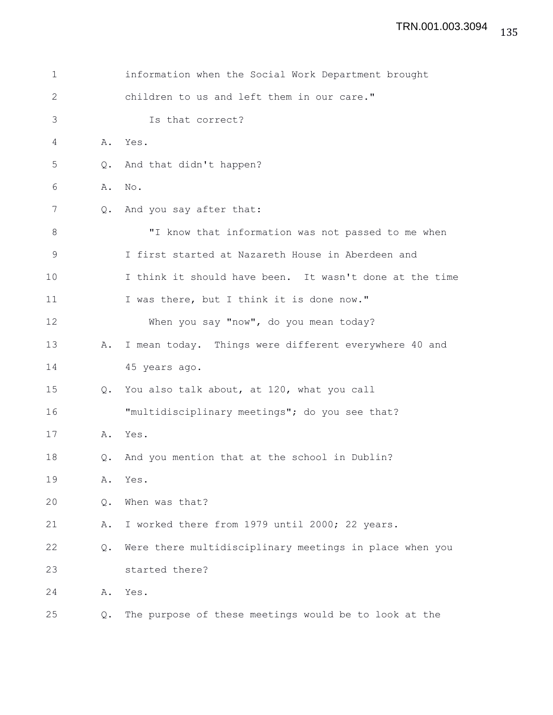| $\mathbf 1$ |    | information when the Social Work Department brought     |
|-------------|----|---------------------------------------------------------|
| 2           |    | children to us and left them in our care."              |
| 3           |    | Is that correct?                                        |
| 4           | Α. | Yes.                                                    |
| 5           | Q. | And that didn't happen?                                 |
| 6           | Α. | No.                                                     |
| 7           | Q. | And you say after that:                                 |
| 8           |    | "I know that information was not passed to me when      |
| 9           |    | I first started at Nazareth House in Aberdeen and       |
| 10          |    | I think it should have been. It wasn't done at the time |
| 11          |    | I was there, but I think it is done now."               |
| 12          |    | When you say "now", do you mean today?                  |
| 13          | Α. | I mean today. Things were different everywhere 40 and   |
| 14          |    | 45 years ago.                                           |
| 15          | Q. | You also talk about, at 120, what you call              |
| 16          |    | "multidisciplinary meetings"; do you see that?          |
| 17          | Α. | Yes.                                                    |
| 18          | Q. | And you mention that at the school in Dublin?           |
| 19          | Α. | Yes.                                                    |
| 20          | Q. | When was that?                                          |
| 21          | Α. | I worked there from 1979 until 2000; 22 years.          |
| 22          | Q. | Were there multidisciplinary meetings in place when you |
| 23          |    | started there?                                          |
| 24          | Α. | Yes.                                                    |
| 25          | Q. | The purpose of these meetings would be to look at the   |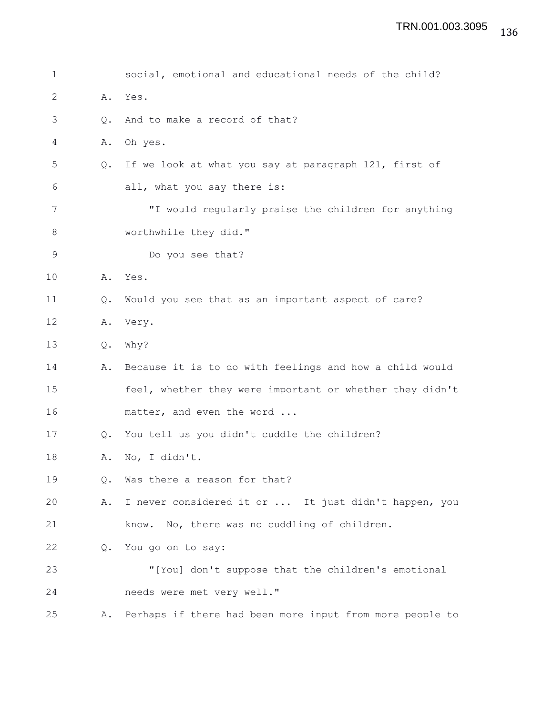| 1  |               | social, emotional and educational needs of the child?    |
|----|---------------|----------------------------------------------------------|
| 2  | Α.            | Yes.                                                     |
| 3  | $Q_{\bullet}$ | And to make a record of that?                            |
| 4  | Α.            | Oh yes.                                                  |
| 5  | Q.            | If we look at what you say at paragraph 121, first of    |
| 6  |               | all, what you say there is:                              |
| 7  |               | "I would regularly praise the children for anything      |
| 8  |               | worthwhile they did."                                    |
| 9  |               | Do you see that?                                         |
| 10 | Α.            | Yes.                                                     |
| 11 | Q.            | Would you see that as an important aspect of care?       |
| 12 | Α.            | Very.                                                    |
| 13 | Q.            | Why?                                                     |
| 14 | Α.            | Because it is to do with feelings and how a child would  |
| 15 |               | feel, whether they were important or whether they didn't |
| 16 |               | matter, and even the word                                |
| 17 | Q.            | You tell us you didn't cuddle the children?              |
| 18 | Α.            | No, I didn't.                                            |
| 19 | О.            | Was there a reason for that?                             |
| 20 | Α.            | I never considered it or  It just didn't happen, you     |
| 21 |               | know. No, there was no cuddling of children.             |
| 22 | $Q_{\bullet}$ | You go on to say:                                        |
| 23 |               | "[You] don't suppose that the children's emotional       |
| 24 |               | needs were met very well."                               |
| 25 | Α.            | Perhaps if there had been more input from more people to |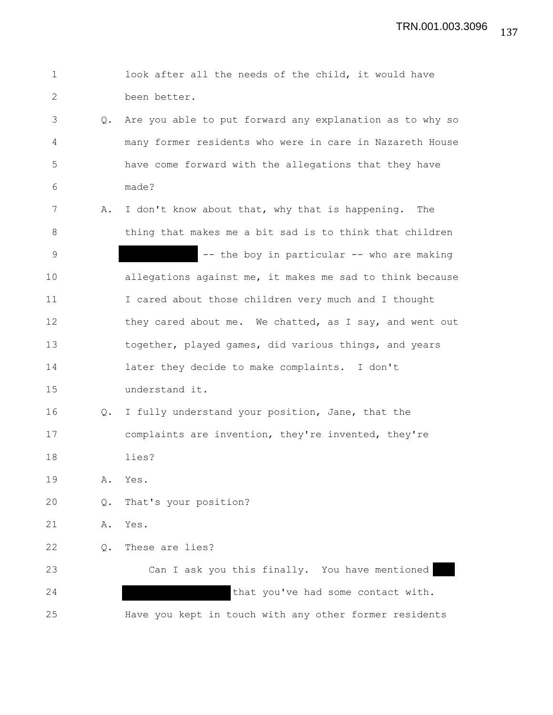| $\mathbf 1$  |    | look after all the needs of the child, it would have     |
|--------------|----|----------------------------------------------------------|
| $\mathbf{2}$ |    | been better.                                             |
| 3            | Q. | Are you able to put forward any explanation as to why so |
| 4            |    | many former residents who were in care in Nazareth House |
| 5            |    | have come forward with the allegations that they have    |
| 6            |    | made?                                                    |
| 7            | Α. | I don't know about that, why that is happening. The      |
| 8            |    | thing that makes me a bit sad is to think that children  |
| 9            |    | -- the boy in particular -- who are making               |
| 10           |    | allegations against me, it makes me sad to think because |
| 11           |    | I cared about those children very much and I thought     |
| 12           |    | they cared about me. We chatted, as I say, and went out  |
| 13           |    | together, played games, did various things, and years    |
| 14           |    | later they decide to make complaints. I don't            |
| 15           |    | understand it.                                           |
| 16           | Q. | I fully understand your position, Jane, that the         |
| 17           |    | complaints are invention, they're invented, they're      |
| 18           |    | lies?                                                    |
| 19           | Α. | Yes.                                                     |
| 20           | Q. | That's your position?                                    |
| 21           | Α. | Yes.                                                     |
| 22           | Q. | These are lies?                                          |
| 23           |    | Can I ask you this finally. You have mentioned           |
| 24           |    | that you've had some contact with.                       |
| 25           |    | Have you kept in touch with any other former residents   |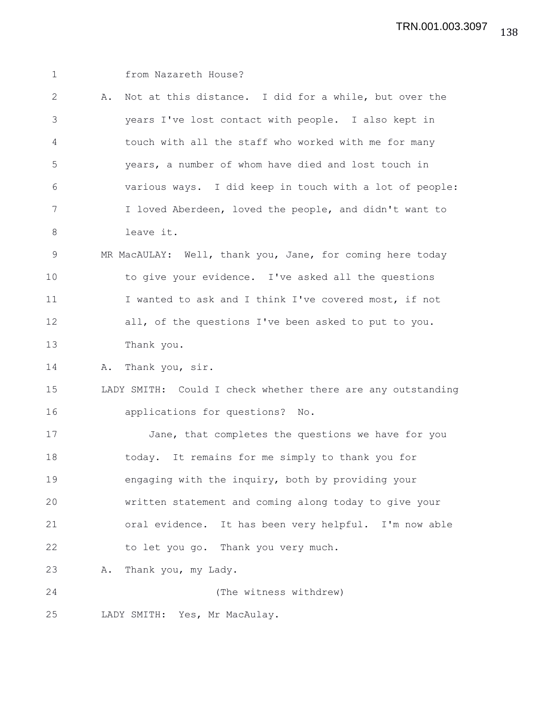1 from Nazareth House? 2 A. Not at this distance. I did for a while, but over the 3 years I've lost contact with people. I also kept in 4 touch with all the staff who worked with me for many 5 years, a number of whom have died and lost touch in 6 various ways. I did keep in touch with a lot of people: 7 I loved Aberdeen, loved the people, and didn't want to 8 leave it. 9 MR MacAULAY: Well, thank you, Jane, for coming here today 10 to give your evidence. I've asked all the questions 11 I wanted to ask and I think I've covered most, if not 12 all, of the questions I've been asked to put to you. 13 Thank you. 14 A. Thank you, sir. 15 LADY SMITH: Could I check whether there are any outstanding 16 applications for questions? No. 17 Jane, that completes the questions we have for you 18 today. It remains for me simply to thank you for 19 engaging with the inquiry, both by providing your 20 written statement and coming along today to give your 21 oral evidence. It has been very helpful. I'm now able 22 to let you go. Thank you very much. 23 A. Thank you, my Lady. 24 (The witness withdrew) 25 LADY SMITH: Yes, Mr MacAulay.

138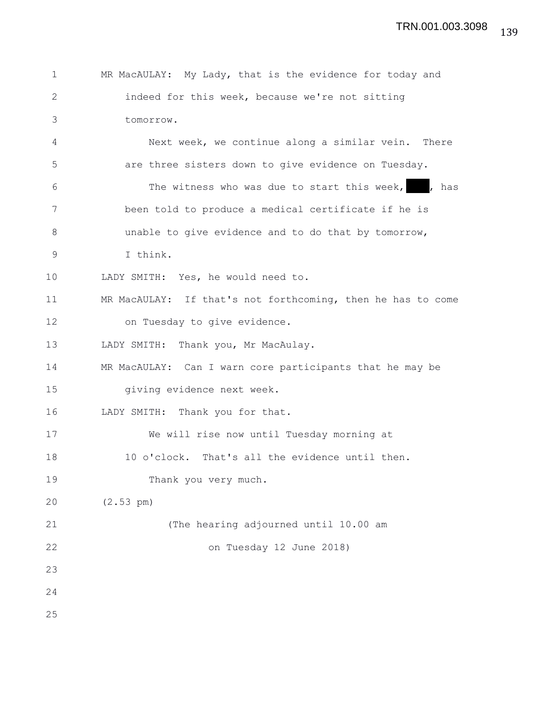| 1            | MR MacAULAY: My Lady, that is the evidence for today and    |
|--------------|-------------------------------------------------------------|
| $\mathbf{2}$ | indeed for this week, because we're not sitting             |
| 3            | tomorrow.                                                   |
| 4            | Next week, we continue along a similar vein. There          |
| 5            | are three sisters down to give evidence on Tuesday.         |
| 6            | The witness who was due to start this week, , has           |
| 7            | been told to produce a medical certificate if he is         |
| 8            | unable to give evidence and to do that by tomorrow,         |
| 9            | I think.                                                    |
| 10           | LADY SMITH: Yes, he would need to.                          |
| 11           | MR MacAULAY: If that's not forthcoming, then he has to come |
| 12           | on Tuesday to give evidence.                                |
| 13           | LADY SMITH: Thank you, Mr MacAulay.                         |
| 14           | MR MacAULAY: Can I warn core participants that he may be    |
| 15           | giving evidence next week.                                  |
| 16           | LADY SMITH: Thank you for that.                             |
| 17           | We will rise now until Tuesday morning at                   |
| 18           | 10 o'clock. That's all the evidence until then.             |
| 19           | Thank you very much.                                        |
| 20           | $(2.53 \text{ pm})$                                         |
| 21           | (The hearing adjourned until 10.00 am                       |
| 22           | on Tuesday 12 June 2018)                                    |
| 23           |                                                             |
| 24           |                                                             |
| 25           |                                                             |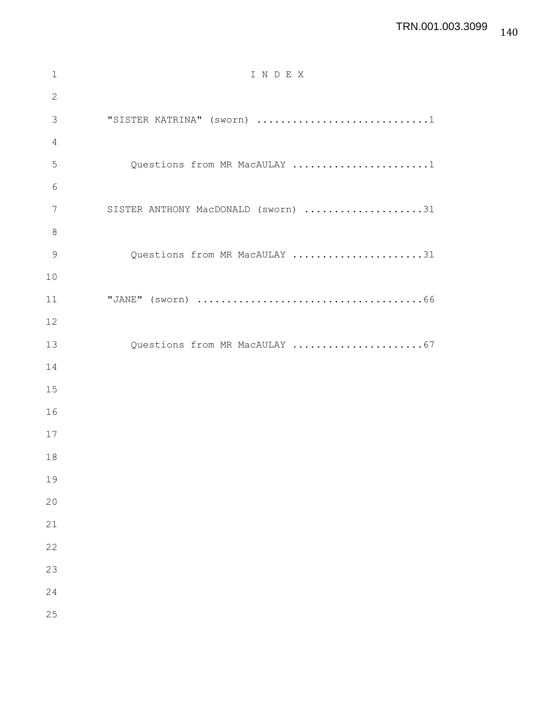## TRN.001.003.3099

| 1             | INDEX                               |
|---------------|-------------------------------------|
| $\mathbf{2}$  |                                     |
| 3             | "SISTER KATRINA" (sworn) 1          |
| 4             |                                     |
| 5             | Questions from MR MacAULAY 1        |
| 6             |                                     |
| 7             | SISTER ANTHONY MacDONALD (sworn) 31 |
| $8\,$         |                                     |
| $\mathcal{G}$ | Questions from MR MacAULAY 31       |
| 10            |                                     |
| 11            |                                     |
| 12            |                                     |
| 13            | Questions from MR MacAULAY 67       |
| 14            |                                     |
| 15            |                                     |
| 16            |                                     |
| 17            |                                     |
| 18            |                                     |
| 19            |                                     |
| 20            |                                     |
| 21            |                                     |
| 22            |                                     |
| 23            |                                     |
| 24            |                                     |
| 25            |                                     |